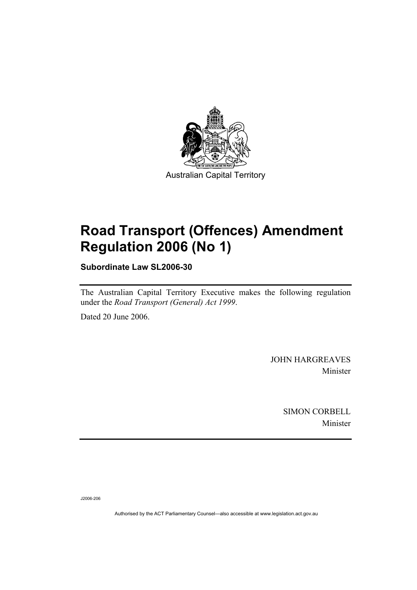

# **Road Transport (Offences) Amendment Regulation 2006 (No 1)**

**Subordinate Law SL2006-30** 

The Australian Capital Territory Executive makes the following regulation under the *Road Transport (General) Act 1999*.

Dated 20 June 2006.

JOHN HARGREAVES Minister

> SIMON CORBELL Minister

J2006-206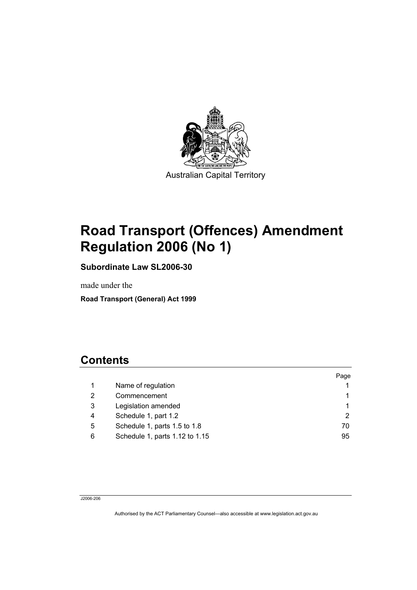

# **Road Transport (Offences) Amendment Regulation 2006 (No 1)**

**Subordinate Law SL2006-30** 

made under the

**Road Transport (General) Act 1999** 

## **Contents**

|   |                                | Page |
|---|--------------------------------|------|
|   | Name of regulation             |      |
| 2 | Commencement                   |      |
| 3 | Legislation amended            |      |
| 4 | Schedule 1, part 1.2           | 2    |
| 5 | Schedule 1, parts 1.5 to 1.8   | 70   |
| 6 | Schedule 1, parts 1.12 to 1.15 | 95   |

J2006-206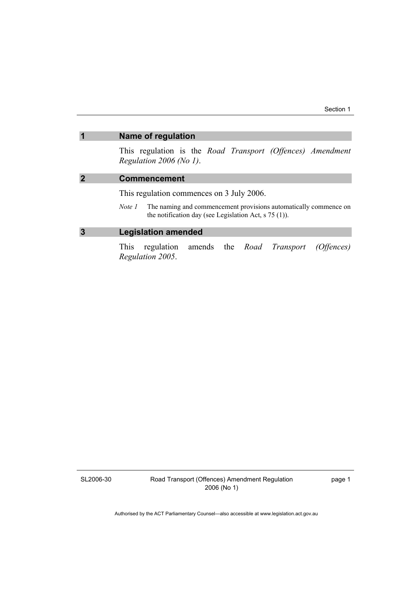### **1 Name of regulation**

This regulation is the *Road Transport (Offences) Amendment Regulation 2006 (No 1)*.

### **2 Commencement**

This regulation commences on 3 July 2006.

*Note 1* The naming and commencement provisions automatically commence on the notification day (see Legislation Act, s 75 (1)).

### **3 Legislation amended**

This regulation amends the *Road Transport (Offences) Regulation 2005*.

SL2006-30

Road Transport (Offences) Amendment Regulation 2006 (No 1)

page 1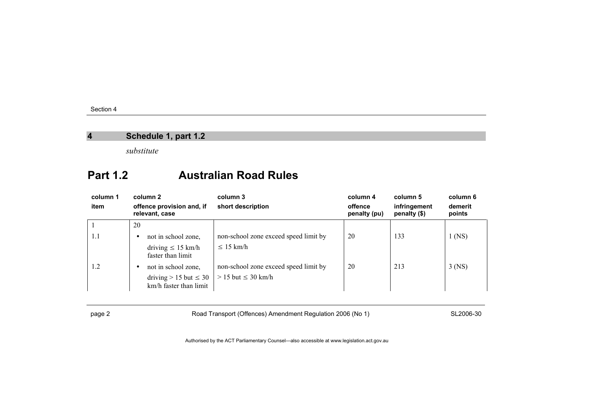### **4 Schedule 1, part 1.2**

*substitute* 

### **Part 1.2 Australian Road Rules**

| column 1<br>item | column 2<br>offence provision and, if<br>relevant, case | column 3<br>short description         | column 4<br>offence<br>penalty (pu) | column 5<br>infringement<br>penalty (\$) | column 6<br>demerit<br>points |
|------------------|---------------------------------------------------------|---------------------------------------|-------------------------------------|------------------------------------------|-------------------------------|
|                  | 20                                                      |                                       |                                     |                                          |                               |
| 1.1              | not in school zone,<br>٠                                | non-school zone exceed speed limit by | 20                                  | 133                                      | $1$ (NS)                      |
|                  | driving $\leq 15$ km/h<br>faster than limit             | $\leq 15$ km/h                        |                                     |                                          |                               |
| 1.2              | not in school zone,<br>٠                                | non-school zone exceed speed limit by | 20                                  | 213                                      | $3$ (NS)                      |
|                  | driving $> 15$ but $\leq 30$<br>km/h faster than limit  | $> 15$ but $\leq 30$ km/h             |                                     |                                          |                               |

page 2 Road Transport (Offences) Amendment Regulation 2006 (No 1) SL2006-30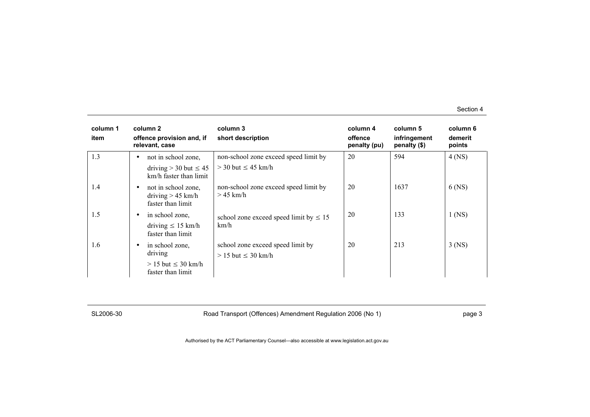| column 1<br>item | column 2<br>offence provision and, if<br>relevant, case                                   | column 3<br>short description                                      | column 4<br>offence<br>penalty (pu) | column 5<br>infringement<br>penalty $(\$)$ | column 6<br>demerit<br>points |
|------------------|-------------------------------------------------------------------------------------------|--------------------------------------------------------------------|-------------------------------------|--------------------------------------------|-------------------------------|
| 1.3              | not in school zone,<br>٠<br>driving $>$ 30 but $\leq$ 45<br>km/h faster than limit        | non-school zone exceed speed limit by<br>$>$ 30 but $\leq$ 45 km/h | 20                                  | 594                                        | $4$ (NS)                      |
| 1.4              | not in school zone,<br>٠<br>driving $> 45$ km/h<br>faster than limit                      | non-school zone exceed speed limit by<br>$>45$ km/h                | 20                                  | 1637                                       | $6$ (NS)                      |
| 1.5              | in school zone,<br>٠<br>driving $\leq 15$ km/h<br>faster than limit                       | school zone exceed speed limit by $\leq 15$<br>km/h                | 20                                  | 133                                        | $1$ (NS)                      |
| 1.6              | in school zone,<br>$\bullet$<br>driving<br>$> 15$ but $\leq 30$ km/h<br>faster than limit | school zone exceed speed limit by<br>$> 15$ but $\leq 30$ km/h     | 20                                  | 213                                        | $3$ (NS)                      |

SL2006-30 Road Transport (Offences) Amendment Regulation 2006 (No 1) Page 3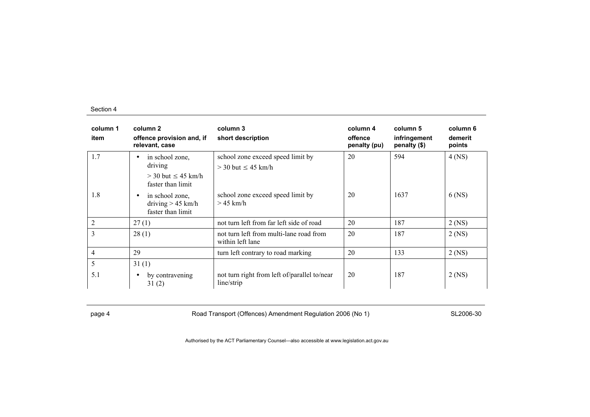| column 1<br>item | column 2<br>offence provision and, if<br>relevant, case                                   | column 3<br>short description                                  | column 4<br>offence<br>penalty (pu) | column 5<br>infringement<br>penalty (\$) | column 6<br>demerit<br>points |
|------------------|-------------------------------------------------------------------------------------------|----------------------------------------------------------------|-------------------------------------|------------------------------------------|-------------------------------|
| 1.7              | in school zone,<br>$\bullet$<br>driving<br>$>$ 30 but $\leq$ 45 km/h<br>faster than limit | school zone exceed speed limit by<br>$>$ 30 but $\leq$ 45 km/h | 20                                  | 594                                      | $4$ (NS)                      |
| 1.8              | in school zone,<br>$\bullet$<br>driving $> 45$ km/h<br>faster than limit                  | school zone exceed speed limit by<br>$>$ 45 km/h               | 20                                  | 1637                                     | $6$ (NS)                      |
| 2                | 27(1)                                                                                     | not turn left from far left side of road                       | 20                                  | 187                                      | $2$ (NS)                      |
| 3                | 28(1)                                                                                     | not turn left from multi-lane road from<br>within left lane    | 20                                  | 187                                      | $2$ (NS)                      |
| $\overline{4}$   | 29                                                                                        | turn left contrary to road marking                             | 20                                  | 133                                      | $2$ (NS)                      |
| 5<br>5.1         | 31(1)<br>by contravening<br>$\bullet$<br>31(2)                                            | not turn right from left of/parallel to/near<br>line/strip     | 20                                  | 187                                      | $2$ (NS)                      |

page 4 Road Transport (Offences) Amendment Regulation 2006 (No 1) SL2006-30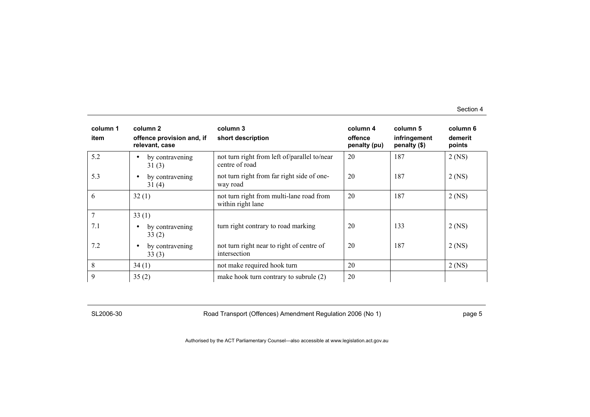| column 1<br>item | column 2<br>offence provision and, if<br>relevant, case | column 3<br>short description                                  | column 4<br>offence<br>penalty (pu) | column 5<br>infringement<br>penalty (\$) | column 6<br>demerit<br>points |
|------------------|---------------------------------------------------------|----------------------------------------------------------------|-------------------------------------|------------------------------------------|-------------------------------|
| 5.2              | by contravening<br>$\bullet$<br>31(3)                   | not turn right from left of/parallel to/near<br>centre of road | 20                                  | 187                                      | $2$ (NS)                      |
| 5.3              | by contravening<br>$\bullet$<br>31(4)                   | not turn right from far right side of one-<br>way road         | 20                                  | 187                                      | $2$ (NS)                      |
| 6                | 32(1)                                                   | not turn right from multi-lane road from<br>within right lane  | 20                                  | 187                                      | $2$ (NS)                      |
|                  | 33(1)                                                   |                                                                |                                     |                                          |                               |
| 7.1              | by contravening<br>$\bullet$<br>33(2)                   | turn right contrary to road marking                            | 20                                  | 133                                      | $2$ (NS)                      |
| 7.2              | by contravening<br>$\bullet$<br>33(3)                   | not turn right near to right of centre of<br>intersection      | 20                                  | 187                                      | $2$ (NS)                      |
| 8                | 34(1)                                                   | not make required hook turn                                    | 20                                  |                                          | $2$ (NS)                      |
| 9                | 35(2)                                                   | make hook turn contrary to subrule (2)                         | 20                                  |                                          |                               |

SL2006-30 Road Transport (Offences) Amendment Regulation 2006 (No 1) Page 5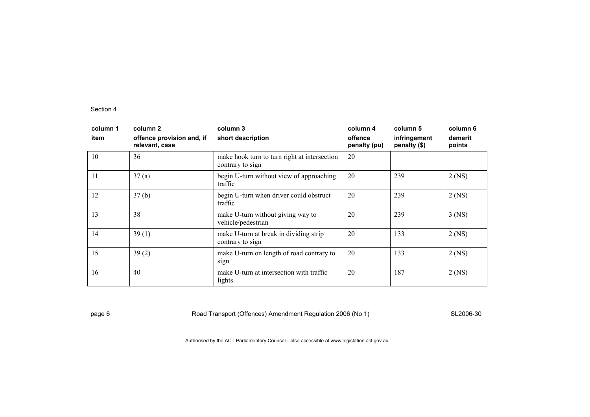| column 1<br>item | column 2<br>offence provision and, if<br>relevant, case | column 3<br>short description                                    | column 4<br>offence<br>penalty (pu) | column 5<br>infringement<br>penalty (\$) | column 6<br>demerit<br>points |
|------------------|---------------------------------------------------------|------------------------------------------------------------------|-------------------------------------|------------------------------------------|-------------------------------|
| 10               | 36                                                      | make hook turn to turn right at intersection<br>contrary to sign | 20                                  |                                          |                               |
| 11               | 37(a)                                                   | begin U-turn without view of approaching<br>traffic              | 20                                  | 239                                      | $2$ (NS)                      |
| 12               | 37(b)                                                   | begin U-turn when driver could obstruct<br>traffic               | 20                                  | 239                                      | $2$ (NS)                      |
| 13               | 38                                                      | make U-turn without giving way to<br>vehicle/pedestrian          | 20                                  | 239                                      | $3$ (NS)                      |
| 14               | 39(1)                                                   | make U-turn at break in dividing strip<br>contrary to sign       | 20                                  | 133                                      | $2$ (NS)                      |
| 15               | 39(2)                                                   | make U-turn on length of road contrary to<br>sign                | 20                                  | 133                                      | $2$ (NS)                      |
| 16               | 40                                                      | make U-turn at intersection with traffic<br>lights               | 20                                  | 187                                      | $2$ (NS)                      |

page 6 **Road Transport (Offences) Amendment Regulation 2006 (No 1)** SL2006-30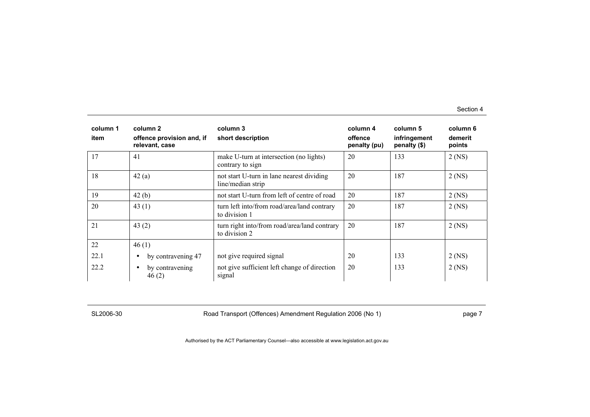| column 1<br>item | column 2<br>offence provision and, if<br>relevant, case | column 3<br>short description                                  | column 4<br>offence<br>penalty (pu) | column 5<br>infringement<br>penalty (\$) | column 6<br>demerit<br>points |
|------------------|---------------------------------------------------------|----------------------------------------------------------------|-------------------------------------|------------------------------------------|-------------------------------|
| 17               | 41                                                      | make U-turn at intersection (no lights)<br>contrary to sign    | 20                                  | 133                                      | $2$ (NS)                      |
| 18               | 42(a)                                                   | not start U-turn in lane nearest dividing<br>line/median strip | 20                                  | 187                                      | $2$ (NS)                      |
| 19               | 42(b)                                                   | not start U-turn from left of centre of road                   | 20                                  | 187                                      | $2$ (NS)                      |
| 20               | 43 $(1)$                                                | turn left into/from road/area/land contrary<br>to division 1   | 20                                  | 187                                      | $2$ (NS)                      |
| 21               | 43 $(2)$                                                | turn right into/from road/area/land contrary<br>to division 2  | 20                                  | 187                                      | $2$ (NS)                      |
| 22               | 46(1)                                                   |                                                                |                                     |                                          |                               |
| 22.1             | by contravening 47<br>$\bullet$                         | not give required signal                                       | 20                                  | 133                                      | $2$ (NS)                      |
| 22.2             | by contravening<br>$\bullet$<br>46(2)                   | not give sufficient left change of direction<br>signal         | 20                                  | 133                                      | $2$ (NS)                      |

SL2006-30 Road Transport (Offences) Amendment Regulation 2006 (No 1) Page 7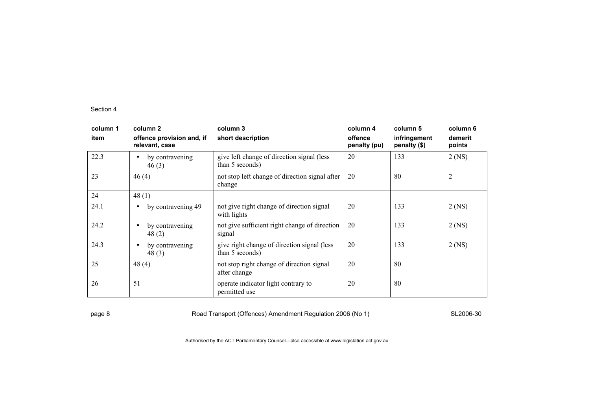| column 1<br>item | column 2<br>offence provision and, if<br>relevant, case | column 3<br>short description                                  | column 4<br>offence<br>penalty (pu) | column 5<br>infringement<br>penalty (\$) | column 6<br>demerit<br>points |
|------------------|---------------------------------------------------------|----------------------------------------------------------------|-------------------------------------|------------------------------------------|-------------------------------|
| 22.3             | by contravening<br>$\bullet$<br>46(3)                   | give left change of direction signal (less<br>than 5 seconds)  | 20                                  | 133                                      | $2$ (NS)                      |
| 23               | 46(4)                                                   | not stop left change of direction signal after<br>change       | 20                                  | 80                                       | $\overline{2}$                |
| 24               | 48(1)                                                   |                                                                |                                     |                                          |                               |
| 24.1             | by contravening 49<br>$\bullet$                         | not give right change of direction signal<br>with lights       | 20                                  | 133                                      | $2$ (NS)                      |
| 24.2             | by contravening<br>$\bullet$<br>48(2)                   | not give sufficient right change of direction<br>signal        | 20                                  | 133                                      | $2$ (NS)                      |
| 24.3             | by contravening<br>$\bullet$<br>48(3)                   | give right change of direction signal (less<br>than 5 seconds) | 20                                  | 133                                      | $2$ (NS)                      |
| 25               | 48(4)                                                   | not stop right change of direction signal<br>after change      | 20                                  | 80                                       |                               |
| 26               | 51                                                      | operate indicator light contrary to<br>permitted use           | 20                                  | 80                                       |                               |

page 8 Road Transport (Offences) Amendment Regulation 2006 (No 1) SL2006-30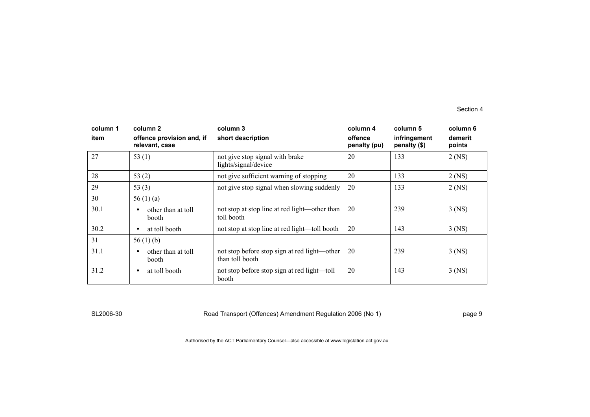| column 1<br>item | column 2<br>offence provision and, if<br>relevant, case | column 3<br>short description                                   | column 4<br>offence<br>penalty (pu) | column 5<br>infringement<br>penalty (\$) | column 6<br>demerit<br>points |
|------------------|---------------------------------------------------------|-----------------------------------------------------------------|-------------------------------------|------------------------------------------|-------------------------------|
| 27               | 53 $(1)$                                                | not give stop signal with brake<br>lights/signal/device         | 20                                  | 133                                      | $2$ (NS)                      |
| 28               | 53 $(2)$                                                | not give sufficient warning of stopping                         | 20                                  | 133                                      | $2$ (NS)                      |
| 29               | 53 $(3)$                                                | not give stop signal when slowing suddenly                      | 20                                  | 133                                      | $2$ (NS)                      |
| 30               | 56 $(1)$ $(a)$                                          |                                                                 |                                     |                                          |                               |
| 30.1             | other than at toll<br>$\bullet$<br><b>booth</b>         | not stop at stop line at red light—other than<br>toll booth     | 20                                  | 239                                      | $3$ (NS)                      |
| 30.2             | at toll booth<br>$\bullet$                              | not stop at stop line at red light—toll booth                   | 20                                  | 143                                      | $3$ (NS)                      |
| 31               | 56 $(1)$ (b)                                            |                                                                 |                                     |                                          |                               |
| 31.1             | other than at toll<br>$\bullet$<br><b>booth</b>         | not stop before stop sign at red light—other<br>than toll booth | 20                                  | 239                                      | 3 (NS)                        |
| 31.2             | at toll booth<br>$\bullet$                              | not stop before stop sign at red light—toll<br>booth            | 20                                  | 143                                      | $3$ (NS)                      |

SL2006-30 Road Transport (Offences) Amendment Regulation 2006 (No 1) Page 9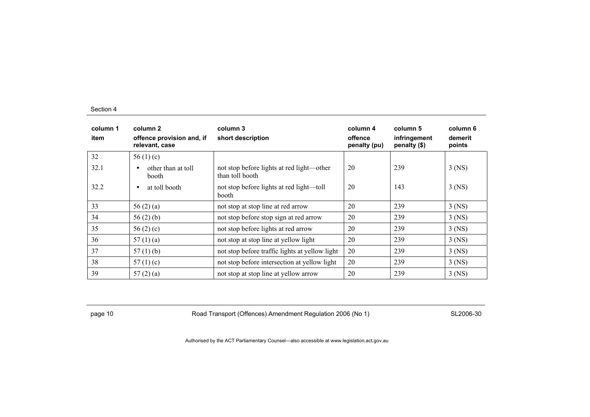| column 1<br>item | column 2<br>offence provision and, if<br>relevant, case | column 3<br>short description                                | column 4<br>offence<br>penalty (pu) | column 5<br>infringement<br>penalty (\$) | column 6<br>demerit<br>points |
|------------------|---------------------------------------------------------|--------------------------------------------------------------|-------------------------------------|------------------------------------------|-------------------------------|
| 32               | 56 $(1)(c)$                                             |                                                              |                                     |                                          |                               |
| 32.1             | other than at toll<br>$\bullet$<br>booth                | not stop before lights at red light—other<br>than toll booth | 20                                  | 239                                      | $3$ (NS)                      |
| 32.2             | at toll booth<br>$\bullet$                              | not stop before lights at red light—toll<br>booth            | 20                                  | 143                                      | $3$ (NS)                      |
| 33               | 56 $(2)$ $(a)$                                          | not stop at stop line at red arrow                           | 20                                  | 239                                      | $3$ (NS)                      |
| 34               | 56 $(2)$ $(b)$                                          | not stop before stop sign at red arrow                       | 20                                  | 239                                      | $3$ (NS)                      |
| 35               | 56 $(2)$ $(c)$                                          | not stop before lights at red arrow                          | 20                                  | 239                                      | $3$ (NS)                      |
| 36               | 57 $(1)(a)$                                             | not stop at stop line at yellow light                        | 20                                  | 239                                      | $3$ (NS)                      |
| 37               | 57 $(1)$ $(b)$                                          | not stop before traffic lights at yellow light               | 20                                  | 239                                      | $3$ (NS)                      |
| 38               | 57 $(1)(c)$                                             | not stop before intersection at yellow light                 | 20                                  | 239                                      | $3$ (NS)                      |
| 39               | 57(2)(a)                                                | not stop at stop line at yellow arrow                        | 20                                  | 239                                      | $3$ (NS)                      |

page 10 **Road Transport (Offences) Amendment Regulation 2006 (No 1)** SL2006-30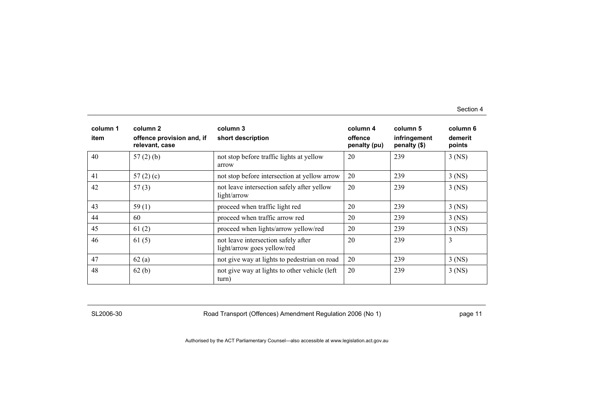| column 1<br>item | column 2<br>offence provision and, if<br>relevant, case | column 3<br>short description                                      | column 4<br>offence<br>penalty (pu) | column 5<br>infringement<br>penalty (\$) | column 6<br>demerit<br>points |
|------------------|---------------------------------------------------------|--------------------------------------------------------------------|-------------------------------------|------------------------------------------|-------------------------------|
| 40               | $57(2)$ (b)                                             | not stop before traffic lights at yellow<br>arrow                  | 20                                  | 239                                      | $3$ (NS)                      |
| 41               | 57 $(2)$ $(c)$                                          | not stop before intersection at yellow arrow                       | 20                                  | 239                                      | $3$ (NS)                      |
| 42               | 57(3)                                                   | not leave intersection safely after yellow<br>light/arrow          | 20                                  | 239                                      | $3$ (NS)                      |
| 43               | 59(1)                                                   | proceed when traffic light red                                     | 20                                  | 239                                      | $3$ (NS)                      |
| 44               | 60                                                      | proceed when traffic arrow red                                     | 20                                  | 239                                      | $3$ (NS)                      |
| 45               | 61(2)                                                   | proceed when lights/arrow yellow/red                               | 20                                  | 239                                      | $3$ (NS)                      |
| 46               | 61(5)                                                   | not leave intersection safely after<br>light/arrow goes yellow/red | 20                                  | 239                                      | 3                             |
| 47               | 62(a)                                                   | not give way at lights to pedestrian on road                       | 20                                  | 239                                      | $3$ (NS)                      |
| 48               | 62(b)                                                   | not give way at lights to other vehicle (left<br>turn)             | 20                                  | 239                                      | $3$ (NS)                      |

SL2006-30 Road Transport (Offences) Amendment Regulation 2006 (No 1) Page 11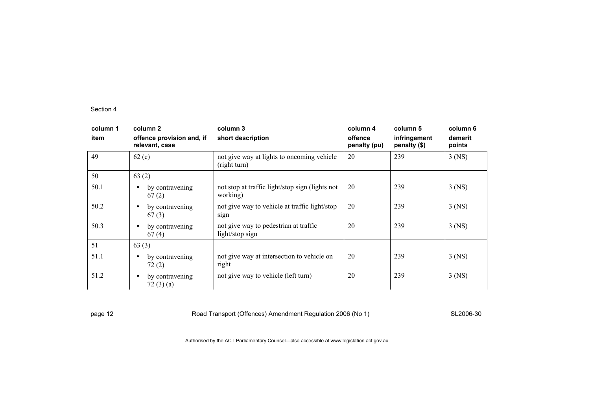| column 1<br>item | column 2<br>offence provision and, if<br>relevant, case | column 3<br>short description                               | column 4<br>offence<br>penalty (pu) | column 5<br>infringement<br>penalty (\$) | column 6<br>demerit<br>points |
|------------------|---------------------------------------------------------|-------------------------------------------------------------|-------------------------------------|------------------------------------------|-------------------------------|
| 49               | 62(c)                                                   | not give way at lights to oncoming vehicle<br>(right turn)  | 20                                  | 239                                      | $3$ (NS)                      |
| 50               | 63(2)                                                   |                                                             |                                     |                                          |                               |
| 50.1             | by contravening<br>$\bullet$<br>67(2)                   | not stop at traffic light/stop sign (lights not<br>working) | 20                                  | 239                                      | $3$ (NS)                      |
| 50.2             | by contravening<br>$\bullet$<br>67(3)                   | not give way to vehicle at traffic light/stop<br>sign       | 20                                  | 239                                      | $3$ (NS)                      |
| 50.3             | by contravening<br>$\bullet$<br>67(4)                   | not give way to pedestrian at traffic<br>light/stop sign    | 20                                  | 239                                      | $3$ (NS)                      |
| 51               | 63(3)                                                   |                                                             |                                     |                                          |                               |
| 51.1             | by contravening<br>$\bullet$<br>72(2)                   | not give way at intersection to vehicle on<br>right         | 20                                  | 239                                      | $3$ (NS)                      |
| 51.2             | by contravening<br>$\bullet$<br>72(3)(a)                | not give way to vehicle (left turn)                         | 20                                  | 239                                      | $3$ (NS)                      |

page 12 **Road Transport (Offences) Amendment Regulation 2006 (No 1)** SL2006-30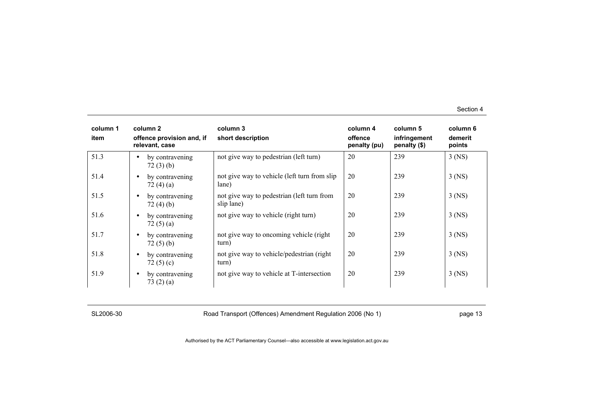| column 1<br>item | column 2<br>offence provision and, if<br>relevant, case | column 3<br>short description                            | column 4<br>offence<br>penalty (pu) | column 5<br>infringement<br>penalty (\$) | column 6<br>demerit<br>points |
|------------------|---------------------------------------------------------|----------------------------------------------------------|-------------------------------------|------------------------------------------|-------------------------------|
| 51.3             | by contravening<br>$\bullet$<br>72(3)(b)                | not give way to pedestrian (left turn)                   | 20                                  | 239                                      | $3$ (NS)                      |
| 51.4             | by contravening<br>$\bullet$<br>72 (4) (a)              | not give way to vehicle (left turn from slip<br>lane)    | 20                                  | 239                                      | $3$ (NS)                      |
| 51.5             | by contravening<br>$\bullet$<br>72(4)(b)                | not give way to pedestrian (left turn from<br>slip lane) | 20                                  | 239                                      | $3$ (NS)                      |
| 51.6             | by contravening<br>$\bullet$<br>72(5)(a)                | not give way to vehicle (right turn)                     | 20                                  | 239                                      | $3$ (NS)                      |
| 51.7             | by contravening<br>$\bullet$<br>72(5)(b)                | not give way to oncoming vehicle (right)<br>turn)        | 20                                  | 239                                      | $3$ (NS)                      |
| 51.8             | by contravening<br>$\bullet$<br>72 $(5)(c)$             | not give way to vehicle/pedestrian (right)<br>turn)      | 20                                  | 239                                      | $3$ (NS)                      |
| 51.9             | by contravening<br>$\bullet$<br>73(2)(a)                | not give way to vehicle at T-intersection                | 20                                  | 239                                      | $3$ (NS)                      |

SL2006-30 Road Transport (Offences) Amendment Regulation 2006 (No 1) Page 13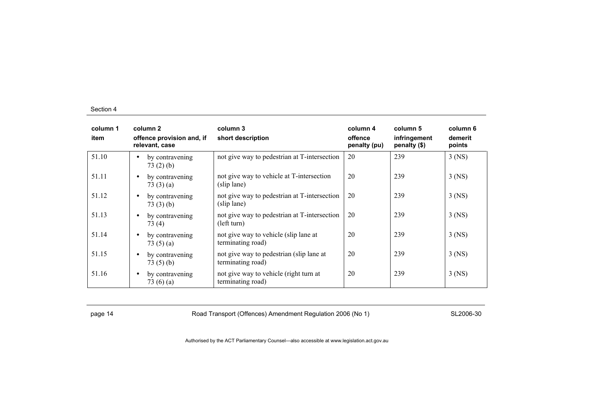| column 1<br>item | column 2<br>offence provision and, if<br>relevant, case | column 3<br>short description                                 | column 4<br>offence<br>penalty (pu) | column 5<br>infringement<br>penalty (\$) | column 6<br>demerit<br>points |
|------------------|---------------------------------------------------------|---------------------------------------------------------------|-------------------------------------|------------------------------------------|-------------------------------|
| 51.10            | by contravening<br>$\bullet$<br>73(2)(b)                | not give way to pedestrian at T-intersection                  | 20                                  | 239                                      | $3$ (NS)                      |
| 51.11            | by contravening<br>$\bullet$<br>73(3)(a)                | not give way to vehicle at T-intersection<br>(slip lane)      | 20                                  | 239                                      | $3$ (NS)                      |
| 51.12            | by contravening<br>$\bullet$<br>73(3)(b)                | not give way to pedestrian at T-intersection<br>(slip lane)   | 20                                  | 239                                      | $3$ (NS)                      |
| 51.13            | by contravening<br>$\bullet$<br>73(4)                   | not give way to pedestrian at T-intersection<br>(left turn)   | 20                                  | 239                                      | $3$ (NS)                      |
| 51.14            | by contravening<br>$\bullet$<br>73 $(5)(a)$             | not give way to vehicle (slip lane at<br>terminating road)    | 20                                  | 239                                      | $3$ (NS)                      |
| 51.15            | by contravening<br>$\bullet$<br>73(5)(b)                | not give way to pedestrian (slip lane at<br>terminating road) | 20                                  | 239                                      | $3$ (NS)                      |
| 51.16            | by contravening<br>$\bullet$<br>73 $(6)(a)$             | not give way to vehicle (right turn at<br>terminating road)   | 20                                  | 239                                      | 3 (NS)                        |

page 14 **Road Transport (Offences) Amendment Regulation 2006 (No 1)** SL2006-30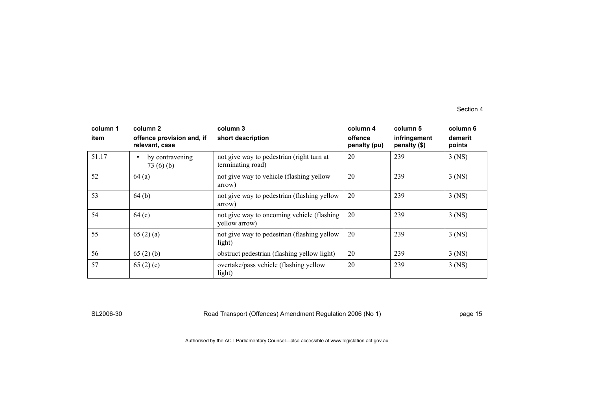| column 1<br>item | column 2<br>offence provision and, if<br>relevant, case | column 3<br>short description                                  | column 4<br>offence<br>penalty (pu) | column 5<br>infringement<br>penalty (\$) | column 6<br>demerit<br>points |
|------------------|---------------------------------------------------------|----------------------------------------------------------------|-------------------------------------|------------------------------------------|-------------------------------|
| 51.17            | by contravening<br>$\bullet$<br>73(6)(b)                | not give way to pedestrian (right turn at<br>terminating road) | 20                                  | 239                                      | $3$ (NS)                      |
| 52               | 64(a)                                                   | not give way to vehicle (flashing yellow<br>arrow)             | 20                                  | 239                                      | $3$ (NS)                      |
| 53               | 64(b)                                                   | not give way to pedestrian (flashing yellow<br>arrow)          | 20                                  | 239                                      | $3$ (NS)                      |
| 54               | 64(c)                                                   | not give way to oncoming vehicle (flashing)<br>yellow arrow)   | 20                                  | 239                                      | $3$ (NS)                      |
| 55               | 65(2)(a)                                                | not give way to pedestrian (flashing yellow<br>light)          | 20                                  | 239                                      | $3$ (NS)                      |
| 56               | 65(2)(b)                                                | obstruct pedestrian (flashing yellow light)                    | 20                                  | 239                                      | $3$ (NS)                      |
| 57               | 65 $(2)(c)$                                             | overtake/pass vehicle (flashing yellow<br>light)               | 20                                  | 239                                      | $3$ (NS)                      |

SL2006-30 Road Transport (Offences) Amendment Regulation 2006 (No 1) page 15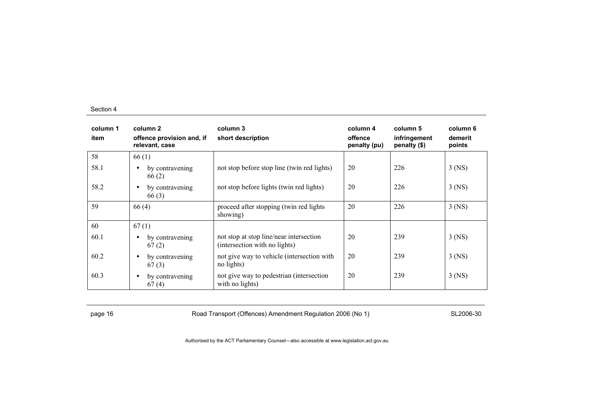| column 1<br>item | column 2<br>offence provision and, if<br>relevant, case | column 3<br>short description                                            | column 4<br>offence<br>penalty (pu) | column 5<br>infringement<br>penalty (\$) | column 6<br>demerit<br>points |
|------------------|---------------------------------------------------------|--------------------------------------------------------------------------|-------------------------------------|------------------------------------------|-------------------------------|
| 58               | 66(1)                                                   |                                                                          |                                     |                                          |                               |
| 58.1             | by contravening<br>$\bullet$<br>66(2)                   | not stop before stop line (twin red lights)                              | 20                                  | 226                                      | $3$ (NS)                      |
| 58.2             | by contravening<br>$\bullet$<br>66(3)                   | not stop before lights (twin red lights)                                 | 20                                  | 226                                      | $3$ (NS)                      |
| 59               | 66(4)                                                   | proceed after stopping (twin red lights<br>showing)                      | 20                                  | 226                                      | $3$ (NS)                      |
| 60               | 67(1)                                                   |                                                                          |                                     |                                          |                               |
| 60.1             | by contravening<br>$\bullet$<br>67(2)                   | not stop at stop line/near intersection<br>(intersection with no lights) | 20                                  | 239                                      | $3$ (NS)                      |
| 60.2             | by contravening<br>$\bullet$<br>67(3)                   | not give way to vehicle (intersection with<br>no lights)                 | 20                                  | 239                                      | $3$ (NS)                      |
| 60.3             | by contravening<br>$\bullet$<br>67(4)                   | not give way to pedestrian (intersection<br>with no lights)              | 20                                  | 239                                      | $3$ (NS)                      |

page 16 **Road Transport (Offences) Amendment Regulation 2006 (No 1)** SL2006-30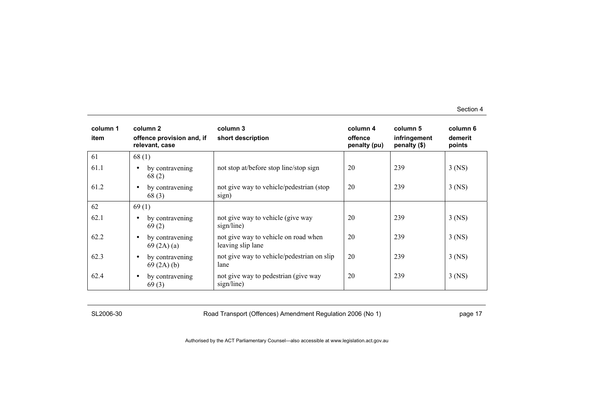| column 1<br>item | column 2<br>offence provision and, if<br>relevant, case | column 3<br>short description                             | column 4<br>offence<br>penalty (pu) | column 5<br>infringement<br>penalty (\$) | column 6<br>demerit<br>points |
|------------------|---------------------------------------------------------|-----------------------------------------------------------|-------------------------------------|------------------------------------------|-------------------------------|
| 61               | 68(1)                                                   |                                                           |                                     |                                          |                               |
| 61.1             | by contravening<br>$\bullet$<br>68(2)                   | not stop at/before stop line/stop sign                    | 20                                  | 239                                      | $3$ (NS)                      |
| 61.2             | by contravening<br>$\bullet$<br>68(3)                   | not give way to vehicle/pedestrian (stop)<br>sign)        | 20                                  | 239                                      | $3$ (NS)                      |
| 62               | 69(1)                                                   |                                                           |                                     |                                          |                               |
| 62.1             | by contravening<br>$\bullet$<br>69(2)                   | not give way to vehicle (give way<br>sign/line)           | 20                                  | 239                                      | $3$ (NS)                      |
| 62.2             | by contravening<br>$\bullet$<br>69(2A)(a)               | not give way to vehicle on road when<br>leaving slip lane | 20                                  | 239                                      | $3$ (NS)                      |
| 62.3             | by contravening<br>$\bullet$<br>69(2A)(b)               | not give way to vehicle/pedestrian on slip<br>lane        | 20                                  | 239                                      | $3$ (NS)                      |
| 62.4             | by contravening<br>$\bullet$<br>69(3)                   | not give way to pedestrian (give way<br>sign/line)        | 20                                  | 239                                      | $3$ (NS)                      |

SL2006-30 Road Transport (Offences) Amendment Regulation 2006 (No 1) Page 17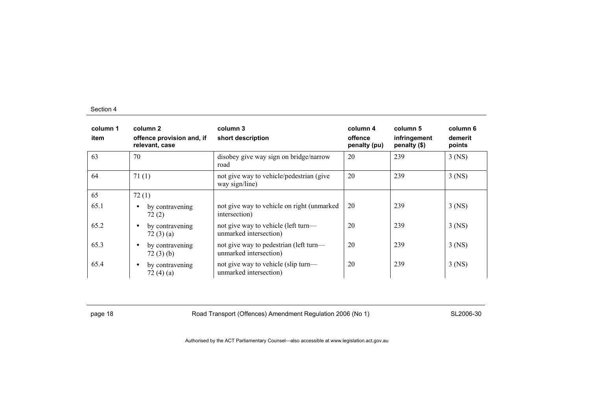| column 1<br>item | column 2<br>offence provision and, if<br>relevant, case | column 3<br>short description                                    | column 4<br>offence<br>penalty (pu) | column 5<br>infringement<br>penalty (\$) | column 6<br>demerit<br>points |
|------------------|---------------------------------------------------------|------------------------------------------------------------------|-------------------------------------|------------------------------------------|-------------------------------|
| 63               | 70                                                      | disobey give way sign on bridge/narrow<br>road                   | 20                                  | 239                                      | $3$ (NS)                      |
| 64               | 71(1)                                                   | not give way to vehicle/pedestrian (give<br>way sign/line)       | 20                                  | 239                                      | $3$ (NS)                      |
| 65               | 72(1)                                                   |                                                                  |                                     |                                          |                               |
| 65.1             | by contravening<br>$\bullet$<br>72(2)                   | not give way to vehicle on right (unmarked<br>intersection)      | 20                                  | 239                                      | $3$ (NS)                      |
| 65.2             | by contravening<br>$\bullet$<br>72(3)(a)                | not give way to vehicle (left turn—<br>unmarked intersection)    | 20                                  | 239                                      | $3$ (NS)                      |
| 65.3             | by contravening<br>$\bullet$<br>72(3)(b)                | not give way to pedestrian (left turn—<br>unmarked intersection) | 20                                  | 239                                      | $3$ (NS)                      |
| 65.4             | by contravening<br>$\bullet$<br>72(4)(a)                | not give way to vehicle (slip turn—<br>unmarked intersection)    | 20                                  | 239                                      | $3$ (NS)                      |

page 18 **Road Transport (Offences) Amendment Regulation 2006 (No 1)** SL2006-30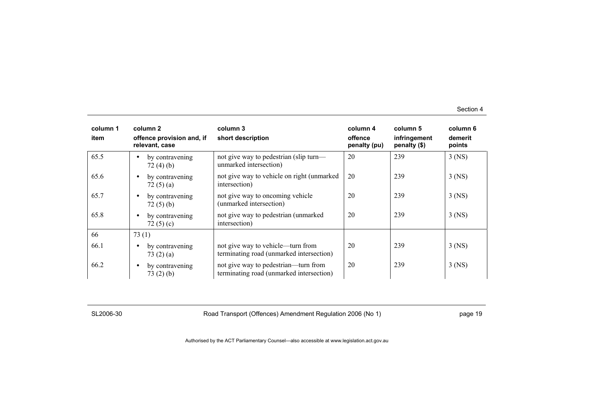| column 1<br>item | column 2<br>offence provision and, if<br>relevant, case | column 3<br>short description                                                    | column 4<br>offence<br>penalty (pu) | column 5<br>infringement<br>penalty (\$) | column 6<br>demerit<br>points |
|------------------|---------------------------------------------------------|----------------------------------------------------------------------------------|-------------------------------------|------------------------------------------|-------------------------------|
| 65.5             | by contravening<br>$\bullet$<br>72(4)(b)                | not give way to pedestrian (slip turn—<br>unmarked intersection)                 | 20                                  | 239                                      | $3$ (NS)                      |
| 65.6             | by contravening<br>$\bullet$<br>72 $(5)(a)$             | not give way to vehicle on right (unmarked<br>intersection)                      | 20                                  | 239                                      | $3$ (NS)                      |
| 65.7             | by contravening<br>$\bullet$<br>72(5)(b)                | not give way to oncoming vehicle<br>(unmarked intersection)                      | 20                                  | 239                                      | $3$ (NS)                      |
| 65.8             | by contravening<br>$\bullet$<br>72 $(5)(c)$             | not give way to pedestrian (unmarked<br>intersection)                            | 20                                  | 239                                      | $3$ (NS)                      |
| 66               | 73(1)                                                   |                                                                                  |                                     |                                          |                               |
| 66.1             | by contravening<br>$\bullet$<br>73(2)(a)                | not give way to vehicle—turn from<br>terminating road (unmarked intersection)    | 20                                  | 239                                      | $3$ (NS)                      |
| 66.2             | by contravening<br>$\bullet$<br>73(2)(b)                | not give way to pedestrian—turn from<br>terminating road (unmarked intersection) | 20                                  | 239                                      | $3$ (NS)                      |

SL2006-30 Road Transport (Offences) Amendment Regulation 2006 (No 1) page 19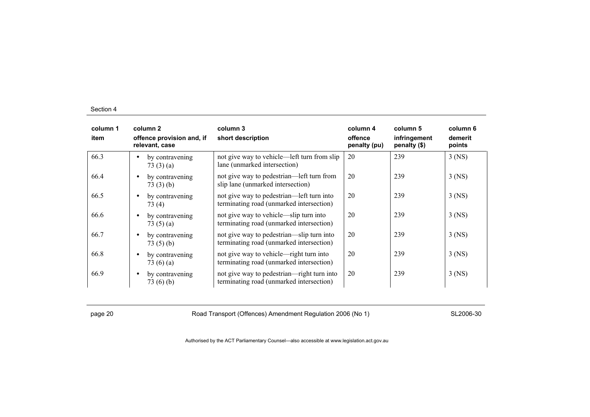| column 1<br>item | column 2<br>offence provision and, if<br>relevant, case | column 3<br>short description                                                          | column 4<br>offence<br>penalty (pu) | column 5<br>infringement<br>penalty (\$) | column 6<br>demerit<br>points |
|------------------|---------------------------------------------------------|----------------------------------------------------------------------------------------|-------------------------------------|------------------------------------------|-------------------------------|
| 66.3             | by contravening<br>$\bullet$<br>73(3)(a)                | not give way to vehicle—left turn from slip<br>lane (unmarked intersection)            | 20                                  | 239                                      | $3$ (NS)                      |
| 66.4             | by contravening<br>$\bullet$<br>73(3)(b)                | not give way to pedestrian—left turn from<br>slip lane (unmarked intersection)         | 20                                  | 239                                      | $3$ (NS)                      |
| 66.5             | by contravening<br>$\bullet$<br>73(4)                   | not give way to pedestrian—left turn into<br>terminating road (unmarked intersection)  | 20                                  | 239                                      | $3$ (NS)                      |
| 66.6             | by contravening<br>$\bullet$<br>73 $(5)(a)$             | not give way to vehicle—slip turn into<br>terminating road (unmarked intersection)     | 20                                  | 239                                      | $3$ (NS)                      |
| 66.7             | by contravening<br>$\bullet$<br>73(5)(b)                | not give way to pedestrian—slip turn into<br>terminating road (unmarked intersection)  | 20                                  | 239                                      | $3$ (NS)                      |
| 66.8             | by contravening<br>$\bullet$<br>73 $(6)(a)$             | not give way to vehicle—right turn into<br>terminating road (unmarked intersection)    | 20                                  | 239                                      | $3$ (NS)                      |
| 66.9             | by contravening<br>$\bullet$<br>73(6)(b)                | not give way to pedestrian—right turn into<br>terminating road (unmarked intersection) | 20                                  | 239                                      | $3$ (NS)                      |

page 20 **Road Transport (Offences) Amendment Regulation 2006 (No 1)** SL2006-30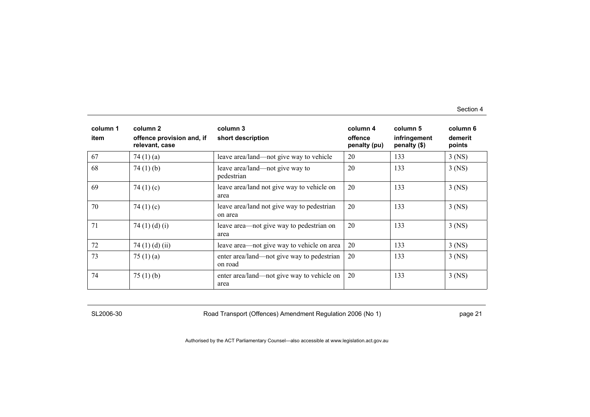| column 1<br>item | column 2<br>offence provision and, if<br>relevant, case | column 3<br>short description                         | column 4<br>offence<br>penalty (pu) | column 5<br>infringement<br>penalty (\$) | column 6<br>demerit<br>points |
|------------------|---------------------------------------------------------|-------------------------------------------------------|-------------------------------------|------------------------------------------|-------------------------------|
| 67               | 74 $(1)(a)$                                             | leave area/land—not give way to vehicle               | 20                                  | 133                                      | $3$ (NS)                      |
| 68               | 74 $(1)$ $(b)$                                          | leave area/land—not give way to<br>pedestrian         | 20                                  | 133                                      | $3$ (NS)                      |
| 69               | 74 $(1)(c)$                                             | leave area/land not give way to vehicle on<br>area    | 20                                  | 133                                      | $3$ (NS)                      |
| 70               | 74 $(1)(c)$                                             | leave area/land not give way to pedestrian<br>on area | 20                                  | 133                                      | $3$ (NS)                      |
| 71               | 74 $(1)$ $(d)$ $(i)$                                    | leave area—not give way to pedestrian on<br>area      | 20                                  | 133                                      | $3$ (NS)                      |
| 72               | 74 $(1)$ $(d)$ $(ii)$                                   | leave area—not give way to vehicle on area            | 20                                  | 133                                      | $3$ (NS)                      |
| 73               | 75 $(1)$ $(a)$                                          | enter area/land—not give way to pedestrian<br>on road | 20                                  | 133                                      | $3$ (NS)                      |
| 74               | 75(1)(b)                                                | enter area/land—not give way to vehicle on<br>area    | 20                                  | 133                                      | $3$ (NS)                      |

SL2006-30 Road Transport (Offences) Amendment Regulation 2006 (No 1) Page 21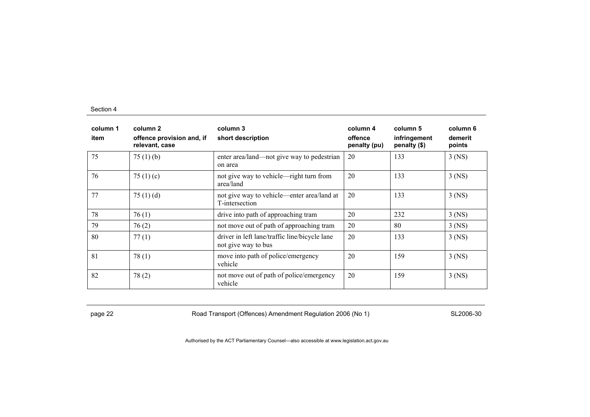| column 1<br>item | column 2<br>offence provision and, if<br>relevant, case | column 3<br>short description                                        | column 4<br>offence<br>penalty (pu) | column 5<br>infringement<br>penalty (\$) | column 6<br>demerit<br>points |
|------------------|---------------------------------------------------------|----------------------------------------------------------------------|-------------------------------------|------------------------------------------|-------------------------------|
| 75               | 75 $(1)$ (b)                                            | enter area/land—not give way to pedestrian<br>on area                | 20                                  | 133                                      | $3$ (NS)                      |
| 76               | 75 $(1)(c)$                                             | not give way to vehicle—right turn from<br>area/land                 | 20                                  | 133                                      | $3$ (NS)                      |
| 77               | 75 $(1)$ $(d)$                                          | not give way to vehicle—enter area/land at<br>T-intersection         | 20                                  | 133                                      | 3 (NS)                        |
| 78               | 76(1)                                                   | drive into path of approaching tram                                  | 20                                  | 232                                      | $3$ (NS)                      |
| 79               | 76(2)                                                   | not move out of path of approaching tram                             | 20                                  | 80                                       | $3$ (NS)                      |
| 80               | 77(1)                                                   | driver in left lane/traffic line/bicycle lane<br>not give way to bus | 20                                  | 133                                      | $3$ (NS)                      |
| 81               | 78(1)                                                   | move into path of police/emergency<br>vehicle                        | 20                                  | 159                                      | $3$ (NS)                      |
| 82               | 78(2)                                                   | not move out of path of police/emergency<br>vehicle                  | 20                                  | 159                                      | $3$ (NS)                      |

page 22 **Road Transport (Offences) Amendment Regulation 2006 (No 1)** SL2006-30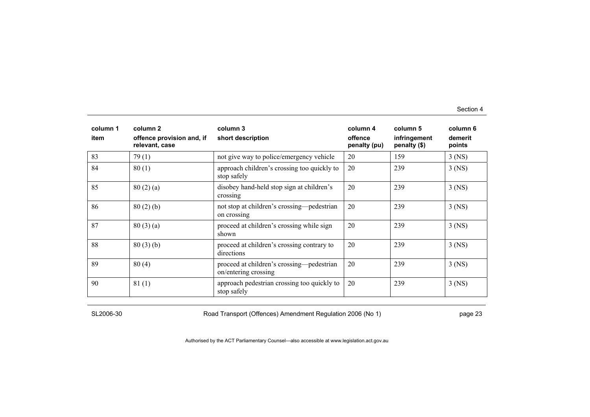| column 1<br>item | column 2<br>offence provision and, if<br>relevant, case | column 3<br>short description                                     | column 4<br>offence<br>penalty (pu) | column 5<br>infringement<br>penalty (\$) | column 6<br>demerit<br>points |
|------------------|---------------------------------------------------------|-------------------------------------------------------------------|-------------------------------------|------------------------------------------|-------------------------------|
| 83               | 79(1)                                                   | not give way to police/emergency vehicle                          | 20                                  | 159                                      | $3$ (NS)                      |
| 84               | 80(1)                                                   | approach children's crossing too quickly to<br>stop safely        | 20                                  | 239                                      | $3$ (NS)                      |
| 85               | 80(2)(a)                                                | disobey hand-held stop sign at children's<br>crossing             | 20                                  | 239                                      | $3$ (NS)                      |
| 86               | 80(2)(b)                                                | not stop at children's crossing—pedestrian<br>on crossing         | 20                                  | 239                                      | $3$ (NS)                      |
| 87               | 80(3)(a)                                                | proceed at children's crossing while sign<br>shown                | 20                                  | 239                                      | $3$ (NS)                      |
| 88               | 80(3)(b)                                                | proceed at children's crossing contrary to<br>directions          | 20                                  | 239                                      | $3$ (NS)                      |
| 89               | 80(4)                                                   | proceed at children's crossing—pedestrian<br>on/entering crossing | 20                                  | 239                                      | $3$ (NS)                      |
| 90               | 81(1)                                                   | approach pedestrian crossing too quickly to<br>stop safely        | 20                                  | 239                                      | 3 (NS)                        |

SL2006-30 Road Transport (Offences) Amendment Regulation 2006 (No 1) page 23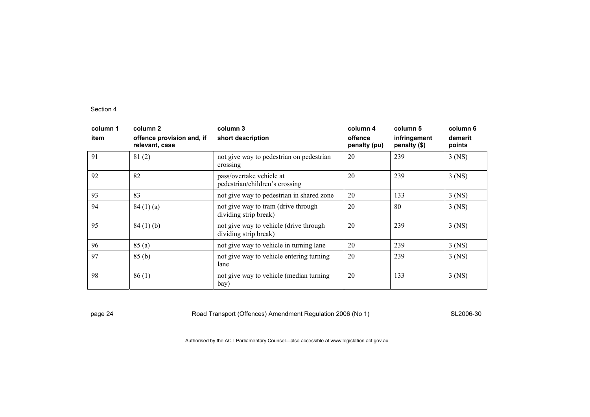| column 1<br>item | column 2<br>offence provision and, if<br>relevant, case | column 3<br>short description                                   | column 4<br>offence<br>penalty (pu) | column 5<br>infringement<br>penalty (\$) | column 6<br>demerit<br>points |
|------------------|---------------------------------------------------------|-----------------------------------------------------------------|-------------------------------------|------------------------------------------|-------------------------------|
| 91               | 81(2)                                                   | not give way to pedestrian on pedestrian<br>crossing            | 20                                  | 239                                      | $3$ (NS)                      |
| 92               | 82                                                      | pass/overtake vehicle at<br>pedestrian/children's crossing      | 20                                  | 239                                      | $3$ (NS)                      |
| 93               | 83                                                      | not give way to pedestrian in shared zone                       | 20                                  | 133                                      | $3$ (NS)                      |
| 94               | 84(1)(a)                                                | not give way to tram (drive through<br>dividing strip break)    | 20                                  | 80                                       | $3$ (NS)                      |
| 95               | 84(1)(b)                                                | not give way to vehicle (drive through<br>dividing strip break) | 20                                  | 239                                      | $3$ (NS)                      |
| 96               | 85 (a)                                                  | not give way to vehicle in turning lane                         | 20                                  | 239                                      | $3$ (NS)                      |
| 97               | 85(b)                                                   | not give way to vehicle entering turning<br>lane                | 20                                  | 239                                      | $3$ (NS)                      |
| 98               | 86(1)                                                   | not give way to vehicle (median turning<br>bay)                 | 20                                  | 133                                      | $3$ (NS)                      |

page 24 **Road Transport (Offences) Amendment Regulation 2006 (No 1)** SL2006-30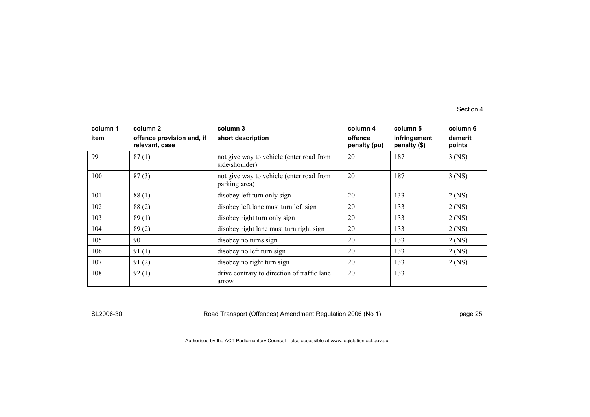| column 1<br>item | column 2<br>offence provision and, if<br>relevant, case | column 3<br>short description                              | column 4<br>offence<br>penalty (pu) | column 5<br>infringement<br>penalty (\$) | column 6<br>demerit<br>points |
|------------------|---------------------------------------------------------|------------------------------------------------------------|-------------------------------------|------------------------------------------|-------------------------------|
| 99               | 87(1)                                                   | not give way to vehicle (enter road from<br>side/shoulder) | 20                                  | 187                                      | $3$ (NS)                      |
| 100              | 87(3)                                                   | not give way to vehicle (enter road from<br>parking area)  | 20                                  | 187                                      | $3$ (NS)                      |
| 101              | 88(1)                                                   | disobey left turn only sign                                | 20                                  | 133                                      | $2$ (NS)                      |
| 102              | 88(2)                                                   | disobey left lane must turn left sign                      | 20                                  | 133                                      | $2$ (NS)                      |
| 103              | 89(1)                                                   | disobey right turn only sign                               | 20                                  | 133                                      | $2$ (NS)                      |
| 104              | 89(2)                                                   | disobey right lane must turn right sign                    | 20                                  | 133                                      | $2$ (NS)                      |
| 105              | 90                                                      | disobey no turns sign                                      | 20                                  | 133                                      | $2$ (NS)                      |
| 106              | 91(1)                                                   | disobey no left turn sign                                  | 20                                  | 133                                      | $2$ (NS)                      |
| 107              | 91(2)                                                   | disobey no right turn sign                                 | 20                                  | 133                                      | $2$ (NS)                      |
| 108              | 92(1)                                                   | drive contrary to direction of traffic lane<br>arrow       | 20                                  | 133                                      |                               |

SL2006-30 Road Transport (Offences) Amendment Regulation 2006 (No 1) page 25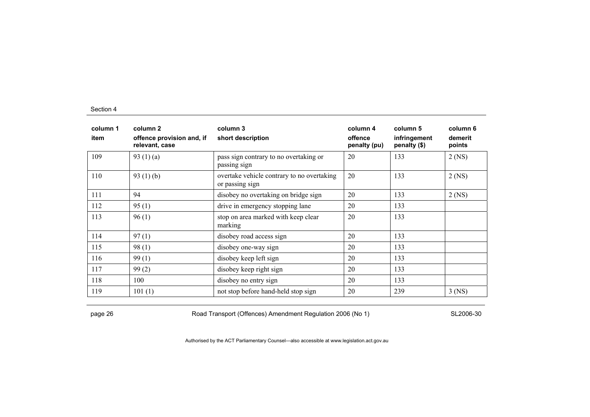| column 1<br>item | column 2<br>offence provision and, if<br>relevant, case | column 3<br>short description                                 | column 4<br>offence<br>penalty (pu) | column 5<br>infringement<br>penalty (\$) | column 6<br>demerit<br>points |
|------------------|---------------------------------------------------------|---------------------------------------------------------------|-------------------------------------|------------------------------------------|-------------------------------|
| 109              | 93 $(1)(a)$                                             | pass sign contrary to no overtaking or<br>passing sign        | 20                                  | 133                                      | $2$ (NS)                      |
| 110              | 93 $(1)$ (b)                                            | overtake vehicle contrary to no overtaking<br>or passing sign | 20                                  | 133                                      | $2$ (NS)                      |
| 111              | 94                                                      | disobey no overtaking on bridge sign                          | 20                                  | 133                                      | $2$ (NS)                      |
| 112              | 95(1)                                                   | drive in emergency stopping lane                              | 20                                  | 133                                      |                               |
| 113              | 96(1)                                                   | stop on area marked with keep clear<br>marking                | 20                                  | 133                                      |                               |
| 114              | 97(1)                                                   | disobey road access sign                                      | 20                                  | 133                                      |                               |
| 115              | 98(1)                                                   | disobey one-way sign                                          | 20                                  | 133                                      |                               |
| 116              | 99(1)                                                   | disobey keep left sign                                        | 20                                  | 133                                      |                               |
| 117              | 99(2)                                                   | disobey keep right sign                                       | 20                                  | 133                                      |                               |
| 118              | 100                                                     | disobey no entry sign                                         | 20                                  | 133                                      |                               |
| 119              | 101(1)                                                  | not stop before hand-held stop sign                           | 20                                  | 239                                      | $3$ (NS)                      |

page 26 **Road Transport (Offences) Amendment Regulation 2006 (No 1)** SL2006-30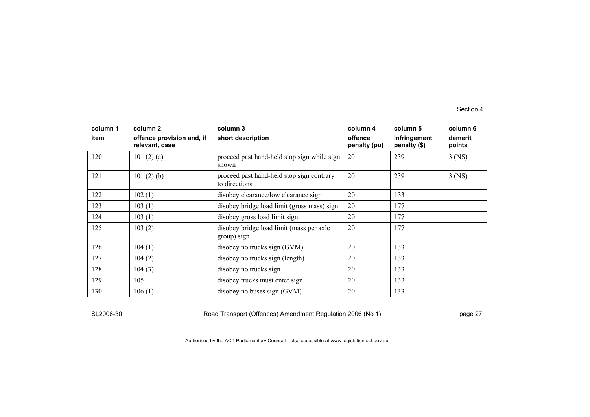| column 1<br>item | column 2<br>offence provision and, if<br>relevant, case | column 3<br>short description                              | column 4<br>offence<br>penalty (pu) | column 5<br>infringement<br>penalty (\$) | column 6<br>demerit<br>points |
|------------------|---------------------------------------------------------|------------------------------------------------------------|-------------------------------------|------------------------------------------|-------------------------------|
| 120              | 101 $(2)$ $(a)$                                         | proceed past hand-held stop sign while sign<br>shown       | 20                                  | 239                                      | $3$ (NS)                      |
| 121              | 101(2)(b)                                               | proceed past hand-held stop sign contrary<br>to directions | 20                                  | 239                                      | $3$ (NS)                      |
| 122              | 102(1)                                                  | disobey clearance/low clearance sign                       | 20                                  | 133                                      |                               |
| 123              | 103(1)                                                  | disobey bridge load limit (gross mass) sign                | 20                                  | 177                                      |                               |
| 124              | 103(1)                                                  | disobey gross load limit sign                              | 20                                  | 177                                      |                               |
| 125              | 103(2)                                                  | disobey bridge load limit (mass per axle<br>group) sign    | 20                                  | 177                                      |                               |
| 126              | 104(1)                                                  | disobey no trucks sign (GVM)                               | 20                                  | 133                                      |                               |
| 127              | 104(2)                                                  | disobey no trucks sign (length)                            | 20                                  | 133                                      |                               |
| 128              | 104(3)                                                  | disobey no trucks sign                                     | 20                                  | 133                                      |                               |
| 129              | 105                                                     | disobey trucks must enter sign                             | 20                                  | 133                                      |                               |
| 130              | 106(1)                                                  | disobey no buses sign (GVM)                                | 20                                  | 133                                      |                               |

SL2006-30 Road Transport (Offences) Amendment Regulation 2006 (No 1) page 27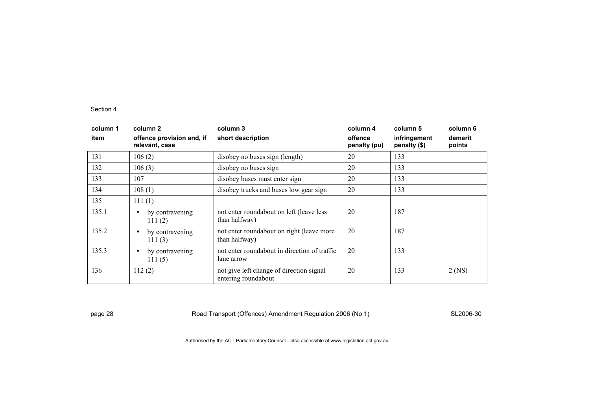| column 1<br>item | column 2<br>offence provision and, if<br>relevant, case | column 3<br>short description                                   | column 4<br>offence<br>penalty (pu) | column 5<br>infringement<br>penalty (\$) | column 6<br>demerit<br>points |
|------------------|---------------------------------------------------------|-----------------------------------------------------------------|-------------------------------------|------------------------------------------|-------------------------------|
| 131              | 106(2)                                                  | disobey no buses sign (length)                                  | 20                                  | 133                                      |                               |
| 132              | 106(3)                                                  | disobey no buses sign                                           | 20                                  | 133                                      |                               |
| 133              | 107                                                     | disobey buses must enter sign                                   | 20                                  | 133                                      |                               |
| 134              | 108(1)                                                  | disobey trucks and buses low gear sign                          | 20                                  | 133                                      |                               |
| 135              | 111(1)                                                  |                                                                 |                                     |                                          |                               |
| 135.1            | by contravening<br>$\bullet$<br>111(2)                  | not enter roundabout on left (leave less<br>than halfway)       | 20                                  | 187                                      |                               |
| 135.2            | by contravening<br>$\bullet$<br>111(3)                  | not enter roundabout on right (leave more<br>than halfway)      | 20                                  | 187                                      |                               |
| 135.3            | by contravening<br>$\bullet$<br>111(5)                  | not enter roundabout in direction of traffic<br>lane arrow      | 20                                  | 133                                      |                               |
| 136              | 112(2)                                                  | not give left change of direction signal<br>entering roundabout | 20                                  | 133                                      | $2$ (NS)                      |

page 28 **Road Transport (Offences) Amendment Regulation 2006 (No 1)** SL2006-30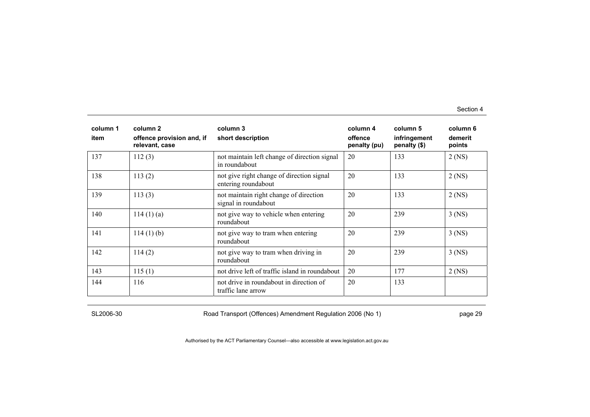| column 1<br>item | column 2<br>offence provision and, if<br>relevant, case | column 3<br>short description                                    | column 4<br>offence<br>penalty (pu) | column 5<br>infringement<br>penalty (\$) | column 6<br>demerit<br>points |
|------------------|---------------------------------------------------------|------------------------------------------------------------------|-------------------------------------|------------------------------------------|-------------------------------|
| 137              | 112(3)                                                  | not maintain left change of direction signal<br>in roundabout    | 20                                  | 133                                      | $2$ (NS)                      |
| 138              | 113(2)                                                  | not give right change of direction signal<br>entering roundabout | 20                                  | 133                                      | $2$ (NS)                      |
| 139              | 113(3)                                                  | not maintain right change of direction<br>signal in roundabout   | 20                                  | 133                                      | $2$ (NS)                      |
| 140              | 114(1)(a)                                               | not give way to vehicle when entering<br>roundabout              | 20                                  | 239                                      | $3$ (NS)                      |
| 141              | $114(1)$ (b)                                            | not give way to tram when entering<br>roundabout                 | 20                                  | 239                                      | $3$ (NS)                      |
| 142              | 114(2)                                                  | not give way to tram when driving in<br>roundabout               | 20                                  | 239                                      | $3$ (NS)                      |
| 143              | 115(1)                                                  | not drive left of traffic island in roundabout                   | 20                                  | 177                                      | $2$ (NS)                      |
| 144              | 116                                                     | not drive in roundabout in direction of<br>traffic lane arrow    | 20                                  | 133                                      |                               |

SL2006-30 Road Transport (Offences) Amendment Regulation 2006 (No 1) page 29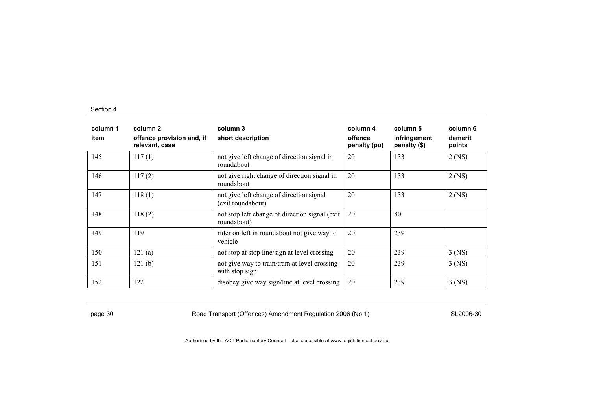| column 1<br>item | column 2<br>offence provision and, if<br>relevant, case | column 3<br>short description                                  | column 4<br>offence<br>penalty (pu) | column 5<br>infringement<br>penalty (\$) | column 6<br>demerit<br>points |
|------------------|---------------------------------------------------------|----------------------------------------------------------------|-------------------------------------|------------------------------------------|-------------------------------|
| 145              | 117(1)                                                  | not give left change of direction signal in<br>roundabout      | 20                                  | 133                                      | $2$ (NS)                      |
| 146              | 117(2)                                                  | not give right change of direction signal in<br>roundabout     | 20                                  | 133                                      | $2$ (NS)                      |
| 147              | 118(1)                                                  | not give left change of direction signal<br>(exit roundabout)  | 20                                  | 133                                      | $2$ (NS)                      |
| 148              | 118(2)                                                  | not stop left change of direction signal (exit)<br>roundabout) | 20                                  | 80                                       |                               |
| 149              | 119                                                     | rider on left in roundabout not give way to<br>vehicle         | 20                                  | 239                                      |                               |
| 150              | 121(a)                                                  | not stop at stop line/sign at level crossing                   | 20                                  | 239                                      | $3$ (NS)                      |
| 151              | 121(b)                                                  | not give way to train/tram at level crossing<br>with stop sign | 20                                  | 239                                      | $3$ (NS)                      |
| 152              | 122                                                     | disobey give way sign/line at level crossing                   | 20                                  | 239                                      | $3$ (NS)                      |

page 30 SL2006-30 Road Transport (Offences) Amendment Regulation 2006 (No 1)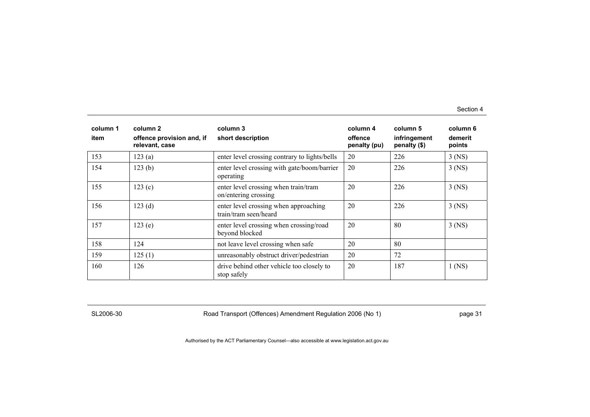| column 1<br>item | column 2<br>offence provision and, if<br>relevant, case | column 3<br>short description                                  | column 4<br>offence<br>penalty (pu) | column 5<br>infringement<br>penalty (\$) | column 6<br>demerit<br>points |
|------------------|---------------------------------------------------------|----------------------------------------------------------------|-------------------------------------|------------------------------------------|-------------------------------|
| 153              | 123(a)                                                  | enter level crossing contrary to lights/bells                  | 20                                  | 226                                      | $3$ (NS)                      |
| 154              | 123(b)                                                  | enter level crossing with gate/boom/barrier<br>operating       | 20                                  | 226                                      | $3$ (NS)                      |
| 155              | 123(c)                                                  | enter level crossing when train/tram<br>on/entering crossing   | 20                                  | 226                                      | $3$ (NS)                      |
| 156              | 123(d)                                                  | enter level crossing when approaching<br>train/tram seen/heard | 20                                  | 226                                      | $3$ (NS)                      |
| 157              | 123(e)                                                  | enter level crossing when crossing/road<br>beyond blocked      | 20                                  | 80                                       | $3$ (NS)                      |
| 158              | 124                                                     | not leave level crossing when safe                             | 20                                  | 80                                       |                               |
| 159              | 125(1)                                                  | unreasonably obstruct driver/pedestrian                        | 20                                  | 72                                       |                               |
| 160              | 126                                                     | drive behind other vehicle too closely to<br>stop safely       | 20                                  | 187                                      | $1$ (NS)                      |

SL2006-30 Road Transport (Offences) Amendment Regulation 2006 (No 1) page 31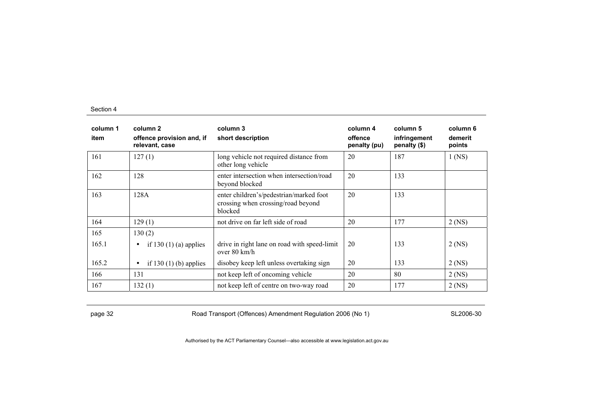| column 1<br>item | column 2<br>offence provision and, if<br>relevant, case | column 3<br>short description                                                            | column 4<br>offence<br>penalty (pu) | column 5<br>infringement<br>penalty (\$) | column 6<br>demerit<br>points |
|------------------|---------------------------------------------------------|------------------------------------------------------------------------------------------|-------------------------------------|------------------------------------------|-------------------------------|
| 161              | 127(1)                                                  | long vehicle not required distance from<br>other long vehicle                            | 20                                  | 187                                      | $1$ (NS)                      |
| 162              | 128                                                     | enter intersection when intersection/road<br>beyond blocked                              | 20                                  | 133                                      |                               |
| 163              | 128A                                                    | enter children's/pedestrian/marked foot<br>crossing when crossing/road beyond<br>blocked | 20                                  | 133                                      |                               |
| 164              | 129(1)                                                  | not drive on far left side of road                                                       | 20                                  | 177                                      | $2$ (NS)                      |
| 165              | 130(2)                                                  |                                                                                          |                                     |                                          |                               |
| 165.1            | if 130 $(1)$ $(a)$ applies<br>$\bullet$                 | drive in right lane on road with speed-limit<br>over $80 \text{ km/h}$                   | 20                                  | 133                                      | $2$ (NS)                      |
| 165.2            | if 130 $(1)$ (b) applies<br>$\bullet$                   | disobey keep left unless overtaking sign                                                 | 20                                  | 133                                      | $2$ (NS)                      |
| 166              | 131                                                     | not keep left of oncoming vehicle                                                        | 20                                  | 80                                       | $2$ (NS)                      |
| 167              | 132(1)                                                  | not keep left of centre on two-way road                                                  | 20                                  | 177                                      | $2$ (NS)                      |

page 32 SL2006-30 Road Transport (Offences) Amendment Regulation 2006 (No 1)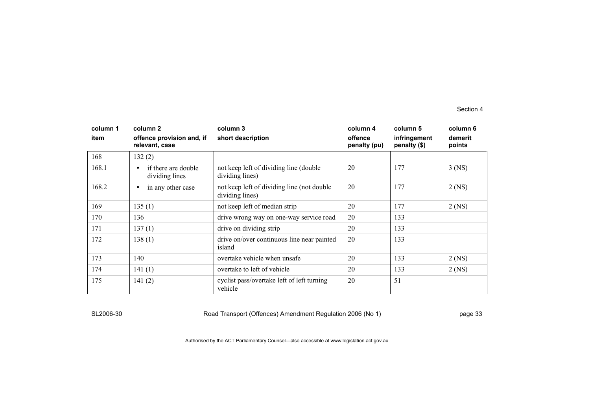| column 1<br>item | column <sub>2</sub><br>offence provision and, if<br>relevant, case | column 3<br>short description                                  | column 4<br>offence<br>penalty (pu) | column 5<br>infringement<br>penalty (\$) | column 6<br>demerit<br>points |
|------------------|--------------------------------------------------------------------|----------------------------------------------------------------|-------------------------------------|------------------------------------------|-------------------------------|
| 168              | 132(2)                                                             |                                                                |                                     |                                          |                               |
| 168.1            | if there are double<br>$\bullet$<br>dividing lines                 | not keep left of dividing line (double)<br>dividing lines)     | 20                                  | 177                                      | $3$ (NS)                      |
| 168.2            | in any other case<br>$\bullet$                                     | not keep left of dividing line (not double)<br>dividing lines) | 20                                  | 177                                      | $2$ (NS)                      |
| 169              | 135(1)                                                             | not keep left of median strip                                  | 20                                  | 177                                      | $2$ (NS)                      |
| 170              | 136                                                                | drive wrong way on one-way service road                        | 20                                  | 133                                      |                               |
| 171              | 137(1)                                                             | drive on dividing strip                                        | 20                                  | 133                                      |                               |
| 172              | 138(1)                                                             | drive on/over continuous line near painted<br>island           | 20                                  | 133                                      |                               |
| 173              | 140                                                                | overtake vehicle when unsafe                                   | 20                                  | 133                                      | $2$ (NS)                      |
| 174              | 141(1)                                                             | overtake to left of vehicle                                    | 20                                  | 133                                      | $2$ (NS)                      |
| 175              | 141(2)                                                             | cyclist pass/overtake left of left turning<br>vehicle          | 20                                  | 51                                       |                               |

SL2006-30 Road Transport (Offences) Amendment Regulation 2006 (No 1) page 33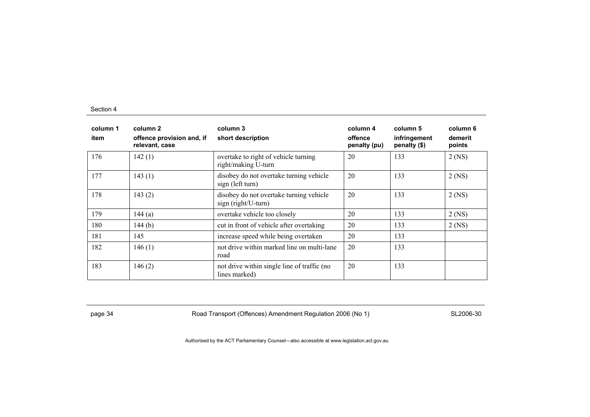| column 1<br>item | column 2<br>offence provision and, if<br>relevant, case | column 3<br>short description                                  | column 4<br>offence<br>penalty (pu) | column 5<br>infringement<br>penalty (\$) | column 6<br>demerit<br>points |
|------------------|---------------------------------------------------------|----------------------------------------------------------------|-------------------------------------|------------------------------------------|-------------------------------|
| 176              | 142(1)                                                  | overtake to right of vehicle turning<br>right/making U-turn    | 20                                  | 133                                      | $2$ (NS)                      |
| 177              | 143(1)                                                  | disobey do not overtake turning vehicle<br>sign (left turn)    | 20                                  | 133                                      | $2$ (NS)                      |
| 178              | 143(2)                                                  | disobey do not overtake turning vehicle<br>sign (right/U-turn) | 20                                  | 133                                      | $2$ (NS)                      |
| 179              | 144(a)                                                  | overtake vehicle too closely                                   | 20                                  | 133                                      | $2$ (NS)                      |
| 180              | 144(b)                                                  | cut in front of vehicle after overtaking                       | 20                                  | 133                                      | $2$ (NS)                      |
| 181              | 145                                                     | increase speed while being overtaken                           | 20                                  | 133                                      |                               |
| 182              | 146(1)                                                  | not drive within marked line on multi-lane<br>road             | 20                                  | 133                                      |                               |
| 183              | 146(2)                                                  | not drive within single line of traffic (no<br>lines marked)   | 20                                  | 133                                      |                               |

page 34 **Road Transport (Offences) Amendment Regulation 2006 (No 1)** SL2006-30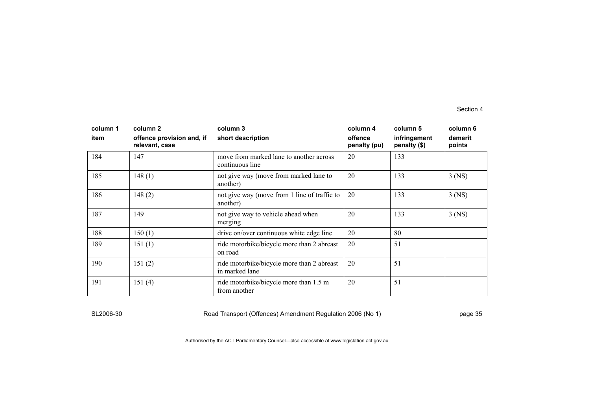| column 1<br>item | column 2<br>offence provision and, if<br>relevant, case | column 3<br>short description                                | column 4<br>offence<br>penalty (pu) | column 5<br>infringement<br>penalty (\$) | column 6<br>demerit<br>points |
|------------------|---------------------------------------------------------|--------------------------------------------------------------|-------------------------------------|------------------------------------------|-------------------------------|
| 184              | 147                                                     | move from marked lane to another across<br>continuous line   | 20                                  | 133                                      |                               |
| 185              | 148(1)                                                  | not give way (move from marked lane to<br>another)           | 20                                  | 133                                      | $3$ (NS)                      |
| 186              | 148(2)                                                  | not give way (move from 1 line of traffic to<br>another)     | 20                                  | 133                                      | $3$ (NS)                      |
| 187              | 149                                                     | not give way to vehicle ahead when<br>merging                | 20                                  | 133                                      | $3$ (NS)                      |
| 188              | 150(1)                                                  | drive on/over continuous white edge line                     | 20                                  | 80                                       |                               |
| 189              | 151(1)                                                  | ride motorbike/bicycle more than 2 abreast<br>on road        | 20                                  | 51                                       |                               |
| 190              | 151(2)                                                  | ride motorbike/bicycle more than 2 abreast<br>in marked lane | 20                                  | 51                                       |                               |
| 191              | 151(4)                                                  | ride motorbike/bicycle more than 1.5 m<br>from another       | 20                                  | 51                                       |                               |

SL2006-30 Road Transport (Offences) Amendment Regulation 2006 (No 1) page 35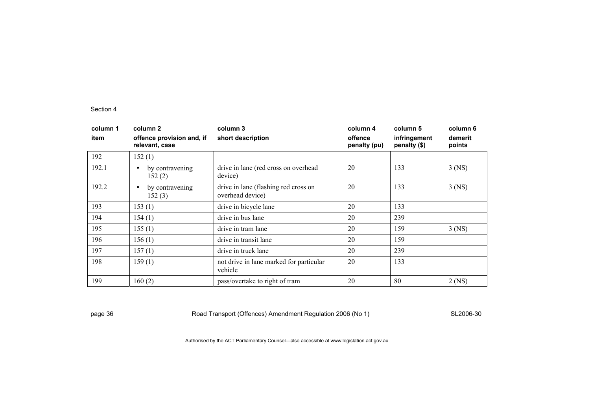| column 1<br>item | column 2<br>offence provision and, if<br>relevant, case | column 3<br>short description                            | column 4<br>offence<br>penalty (pu) | column 5<br>infringement<br>penalty (\$) | column 6<br>demerit<br>points |
|------------------|---------------------------------------------------------|----------------------------------------------------------|-------------------------------------|------------------------------------------|-------------------------------|
| 192              | 152(1)                                                  |                                                          |                                     |                                          |                               |
| 192.1            | by contravening<br>$\bullet$<br>152(2)                  | drive in lane (red cross on overhead<br>device)          | 20                                  | 133                                      | $3$ (NS)                      |
| 192.2            | by contravening<br>$\bullet$<br>152(3)                  | drive in lane (flashing red cross on<br>overhead device) | 20                                  | 133                                      | $3$ (NS)                      |
| 193              | 153(1)                                                  | drive in bicycle lane                                    | 20                                  | 133                                      |                               |
| 194              | 154(1)                                                  | drive in bus lane                                        | 20                                  | 239                                      |                               |
| 195              | 155(1)                                                  | drive in tram lane                                       | 20                                  | 159                                      | $3$ (NS)                      |
| 196              | 156(1)                                                  | drive in transit lane                                    | 20                                  | 159                                      |                               |
| 197              | 157(1)                                                  | drive in truck lane                                      | 20                                  | 239                                      |                               |
| 198              | 159(1)                                                  | not drive in lane marked for particular<br>vehicle       | 20                                  | 133                                      |                               |
| 199              | 160(2)                                                  | pass/overtake to right of tram                           | 20                                  | 80                                       | $2$ (NS)                      |

page 36 **Road Transport (Offences) Amendment Regulation 2006 (No 1)** SL2006-30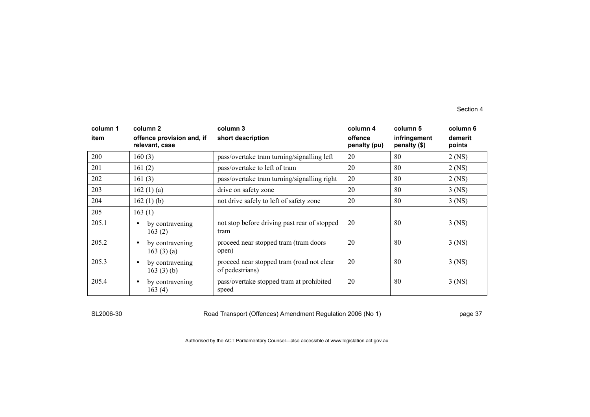| column 1<br>item | column 2<br>offence provision and, if<br>relevant, case | column 3<br>short description                                | column 4<br>offence<br>penalty (pu) | column 5<br>infringement<br>penalty (\$) | column 6<br>demerit<br>points |
|------------------|---------------------------------------------------------|--------------------------------------------------------------|-------------------------------------|------------------------------------------|-------------------------------|
| 200              | 160(3)                                                  | pass/overtake tram turning/signalling left                   | 20                                  | 80                                       | $2$ (NS)                      |
| 201              | 161(2)                                                  | pass/overtake to left of tram                                | 20                                  | 80                                       | $2$ (NS)                      |
| 202              | 161(3)                                                  | pass/overtake tram turning/signalling right                  | 20                                  | 80                                       | $2$ (NS)                      |
| 203              | 162(1)(a)                                               | drive on safety zone                                         | 20                                  | 80                                       | $3$ (NS)                      |
| 204              | 162 $(1)$ $(b)$                                         | not drive safely to left of safety zone                      | 20                                  | 80                                       | $3$ (NS)                      |
| 205              | 163(1)                                                  |                                                              |                                     |                                          |                               |
| 205.1            | by contravening<br>$\bullet$<br>163(2)                  | not stop before driving past rear of stopped<br>tram         | 20                                  | 80                                       | $3$ (NS)                      |
| 205.2            | by contravening<br>$\bullet$<br>163(3)(a)               | proceed near stopped tram (tram doors<br>open)               | 20                                  | 80                                       | $3$ (NS)                      |
| 205.3            | by contravening<br>$\bullet$<br>163 $(3)$ (b)           | proceed near stopped tram (road not clear<br>of pedestrians) | 20                                  | 80                                       | $3$ (NS)                      |
| 205.4            | by contravening<br>$\bullet$<br>163(4)                  | pass/overtake stopped tram at prohibited<br>speed            | 20                                  | 80                                       | $3$ (NS)                      |

SL2006-30 Road Transport (Offences) Amendment Regulation 2006 (No 1) page 37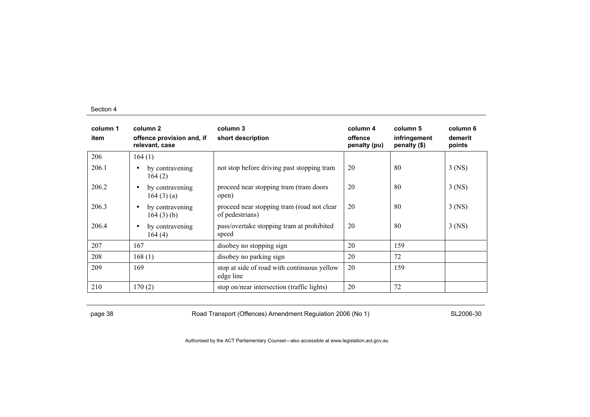| column 1<br>item | column 2<br>offence provision and, if<br>relevant, case | column 3<br>short description                                 | column 4<br>offence<br>penalty (pu) | column 5<br>infringement<br>penalty (\$) | column 6<br>demerit<br>points |
|------------------|---------------------------------------------------------|---------------------------------------------------------------|-------------------------------------|------------------------------------------|-------------------------------|
| 206              | 164(1)                                                  |                                                               |                                     |                                          |                               |
| 206.1            | by contravening<br>$\bullet$<br>164(2)                  | not stop before driving past stopping tram                    | 20                                  | 80                                       | $3$ (NS)                      |
| 206.2            | by contravening<br>$\bullet$<br>164(3)(a)               | proceed near stopping tram (tram doors<br>open)               | 20                                  | 80                                       | $3$ (NS)                      |
| 206.3            | by contravening<br>$\bullet$<br>164(3)(b)               | proceed near stopping tram (road not clear<br>of pedestrians) | 20                                  | 80                                       | $3$ (NS)                      |
| 206.4            | by contravening<br>$\bullet$<br>164(4)                  | pass/overtake stopping tram at prohibited<br>speed            | 20                                  | 80                                       | $3$ (NS)                      |
| 207              | 167                                                     | disobey no stopping sign                                      | 20                                  | 159                                      |                               |
| 208              | 168(1)                                                  | disobey no parking sign                                       | 20                                  | 72                                       |                               |
| 209              | 169                                                     | stop at side of road with continuous yellow<br>edge line      | 20                                  | 159                                      |                               |
| 210              | 170(2)                                                  | stop on/near intersection (traffic lights)                    | 20                                  | 72                                       |                               |

page 38 SL2006-30 Road Transport (Offences) Amendment Regulation 2006 (No 1)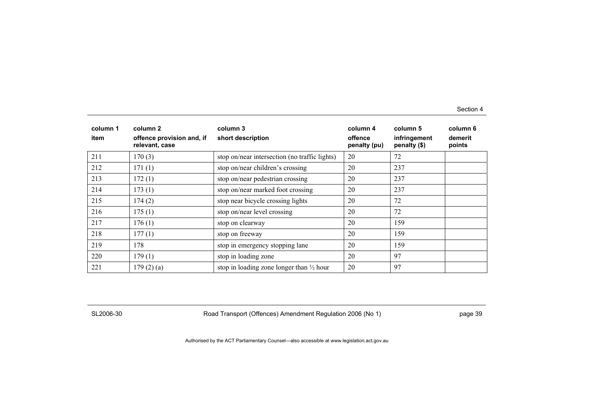| column 1<br>item | column 2<br>offence provision and, if<br>relevant, case | column 3<br>short description                       | column 4<br>offence<br>penalty (pu) | column 5<br>infringement<br>penalty (\$) | column 6<br>demerit<br>points |
|------------------|---------------------------------------------------------|-----------------------------------------------------|-------------------------------------|------------------------------------------|-------------------------------|
| 211              | 170(3)                                                  | stop on/near intersection (no traffic lights)       | 20                                  | 72                                       |                               |
| 212              | 171(1)                                                  | stop on/near children's crossing                    | 20                                  | 237                                      |                               |
| 213              | 172(1)                                                  | stop on/near pedestrian crossing                    | 20                                  | 237                                      |                               |
| 214              | 173(1)                                                  | stop on/near marked foot crossing                   | 20                                  | 237                                      |                               |
| 215              | 174(2)                                                  | stop near bicycle crossing lights                   | 20                                  | 72                                       |                               |
| 216              | 175(1)                                                  | stop on/near level crossing                         | 20                                  | 72                                       |                               |
| 217              | 176(1)                                                  | stop on clearway                                    | 20                                  | 159                                      |                               |
| 218              | 177(1)                                                  | stop on freeway                                     | 20                                  | 159                                      |                               |
| 219              | 178                                                     | stop in emergency stopping lane                     | 20                                  | 159                                      |                               |
| 220              | 179(1)                                                  | stop in loading zone                                | 20                                  | 97                                       |                               |
| 221              | 179(2)(a)                                               | stop in loading zone longer than $\frac{1}{2}$ hour | 20                                  | 97                                       |                               |

SL2006-30 Road Transport (Offences) Amendment Regulation 2006 (No 1) page 39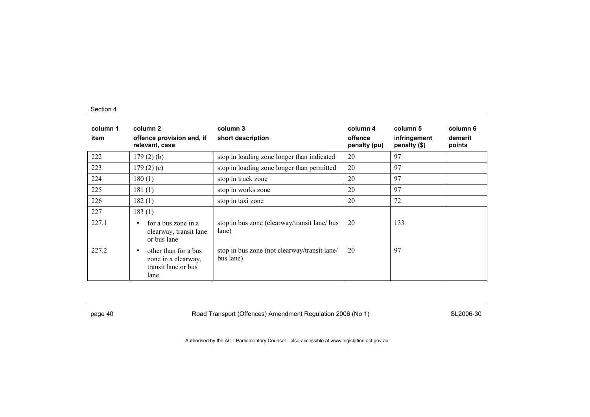| column 1<br>item | column 2<br>offence provision and, if<br>relevant, case                                 | column 3<br>short description                             | column 4<br>offence<br>penalty (pu) | column 5<br>infringement<br>penalty (\$) | column 6<br>demerit<br>points |
|------------------|-----------------------------------------------------------------------------------------|-----------------------------------------------------------|-------------------------------------|------------------------------------------|-------------------------------|
| 222              | $179(2)$ (b)                                                                            | stop in loading zone longer than indicated                | 20                                  | 97                                       |                               |
| 223              | 179(2)(c)                                                                               | stop in loading zone longer than permitted                | 20                                  | 97                                       |                               |
| 224              | 180(1)                                                                                  | stop in truck zone                                        | 20                                  | 97                                       |                               |
| 225              | 181(1)                                                                                  | stop in works zone                                        | 20                                  | 97                                       |                               |
| 226              | 182(1)                                                                                  | stop in taxi zone                                         | 20                                  | 72                                       |                               |
| 227              | 183(1)                                                                                  |                                                           |                                     |                                          |                               |
| 227.1            | for a bus zone in a<br>$\bullet$<br>clearway, transit lane<br>or bus lane               | stop in bus zone (clearway/transit lane/ bus<br>lane)     | 20                                  | 133                                      |                               |
| 227.2            | other than for a bus<br>$\bullet$<br>zone in a clearway,<br>transit lane or bus<br>lane | stop in bus zone (not clearway/transit lane/<br>bus lane) | 20                                  | 97                                       |                               |

page 40 Road Transport (Offences) Amendment Regulation 2006 (No 1) SL2006-30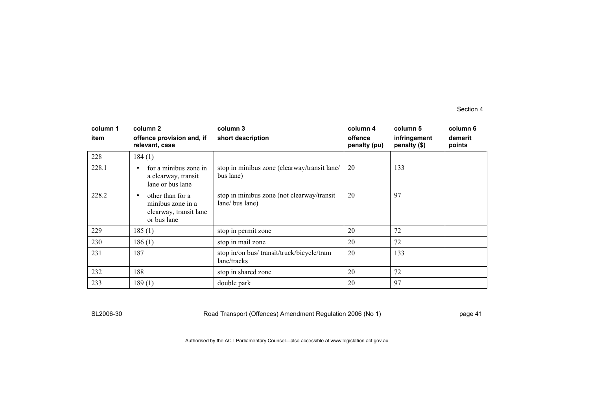| column 1<br>item | column 2<br>offence provision and, if<br>relevant, case                             | column 3<br>short description                                 | column 4<br>offence<br>penalty (pu) | column 5<br>infringement<br>penalty (\$) | column 6<br>demerit<br>points |
|------------------|-------------------------------------------------------------------------------------|---------------------------------------------------------------|-------------------------------------|------------------------------------------|-------------------------------|
| 228              | 184(1)                                                                              |                                                               |                                     |                                          |                               |
| 228.1            | for a minibus zone in<br>$\bullet$<br>a clearway, transit<br>lane or bus lane       | stop in minibus zone (clearway/transit lane/<br>bus lane)     | 20                                  | 133                                      |                               |
| 228.2            | other than for a<br>٠<br>minibus zone in a<br>clearway, transit lane<br>or bus lane | stop in minibus zone (not clearway/transit<br>lane/ bus lane) | 20                                  | 97                                       |                               |
| 229              | 185(1)                                                                              | stop in permit zone                                           | 20                                  | 72                                       |                               |
| 230              | 186(1)                                                                              | stop in mail zone                                             | 20                                  | 72                                       |                               |
| 231              | 187                                                                                 | stop in/on bus/ transit/truck/bicycle/tram<br>lane/tracks     | 20                                  | 133                                      |                               |
| 232              | 188                                                                                 | stop in shared zone                                           | 20                                  | 72                                       |                               |
| 233              | 189(1)                                                                              | double park                                                   | 20                                  | 97                                       |                               |

SL2006-30 Road Transport (Offences) Amendment Regulation 2006 (No 1) Page 41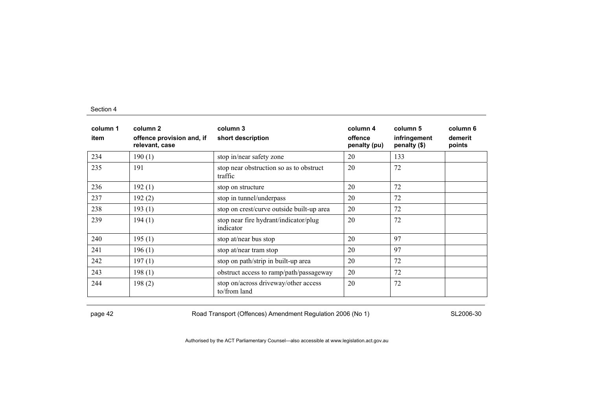| column 1<br>item | column 2<br>offence provision and, if<br>relevant, case | column 3<br>short description                        | column 4<br>offence<br>penalty (pu) | column 5<br>infringement<br>penalty (\$) | column 6<br>demerit<br>points |
|------------------|---------------------------------------------------------|------------------------------------------------------|-------------------------------------|------------------------------------------|-------------------------------|
| 234              | 190(1)                                                  | stop in/near safety zone                             | 20                                  | 133                                      |                               |
| 235              | 191                                                     | stop near obstruction so as to obstruct<br>traffic   | 20                                  | 72                                       |                               |
| 236              | 192(1)                                                  | stop on structure                                    | 20                                  | 72                                       |                               |
| 237              | 192(2)                                                  | stop in tunnel/underpass                             | 20                                  | 72                                       |                               |
| 238              | 193(1)                                                  | stop on crest/curve outside built-up area            | 20                                  | 72                                       |                               |
| 239              | 194(1)                                                  | stop near fire hydrant/indicator/plug<br>indicator   | 20                                  | 72                                       |                               |
| 240              | 195(1)                                                  | stop at/near bus stop                                | 20                                  | 97                                       |                               |
| 241              | 196(1)                                                  | stop at/near tram stop                               | 20                                  | 97                                       |                               |
| 242              | 197(1)                                                  | stop on path/strip in built-up area                  | 20                                  | 72                                       |                               |
| 243              | 198(1)                                                  | obstruct access to ramp/path/passageway              | 20                                  | 72                                       |                               |
| 244              | 198(2)                                                  | stop on/across driveway/other access<br>to/from land | 20                                  | 72                                       |                               |

page 42 **Road Transport (Offences) Amendment Regulation 2006 (No 1)** SL2006-30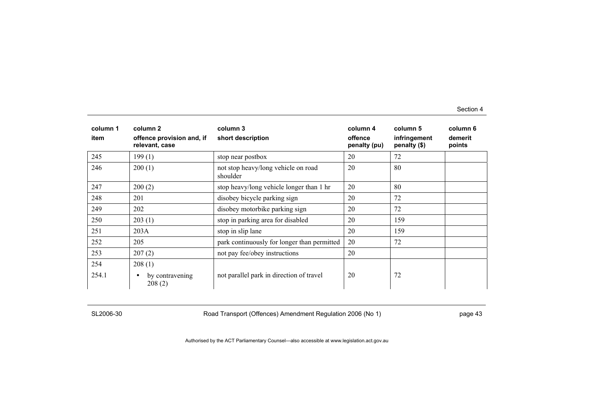| column 1<br>item | column 2<br>offence provision and, if<br>relevant, case | column 3<br>short description                   | column 4<br>offence<br>penalty (pu) | column 5<br>infringement<br>penalty (\$) | column 6<br>demerit<br>points |
|------------------|---------------------------------------------------------|-------------------------------------------------|-------------------------------------|------------------------------------------|-------------------------------|
| 245              | 199(1)                                                  | stop near postbox                               | 20                                  | 72                                       |                               |
| 246              | 200(1)                                                  | not stop heavy/long vehicle on road<br>shoulder | 20                                  | 80                                       |                               |
| 247              | 200(2)                                                  | stop heavy/long vehicle longer than 1 hr        | 20                                  | 80                                       |                               |
| 248              | 201                                                     | disobey bicycle parking sign                    | 20                                  | 72                                       |                               |
| 249              | 202                                                     | disobey motorbike parking sign                  | 20                                  | 72                                       |                               |
| 250              | 203(1)                                                  | stop in parking area for disabled               | 20                                  | 159                                      |                               |
| 251              | 203A                                                    | stop in slip lane                               | 20                                  | 159                                      |                               |
| 252              | 205                                                     | park continuously for longer than permitted     | 20                                  | 72                                       |                               |
| 253              | 207(2)                                                  | not pay fee/obey instructions                   | 20                                  |                                          |                               |
| 254              | 208(1)                                                  |                                                 |                                     |                                          |                               |
| 254.1            | by contravening<br>$\bullet$<br>208(2)                  | not parallel park in direction of travel        | 20                                  | 72                                       |                               |

SL2006-30 Road Transport (Offences) Amendment Regulation 2006 (No 1) page 43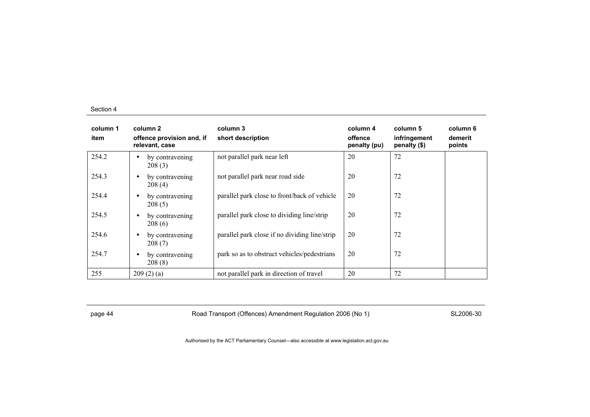| column 1<br>item | column 2<br>offence provision and, if<br>relevant, case | column 3<br>short description                 | column 4<br>offence<br>penalty (pu) | column 5<br>infringement<br>penalty (\$) | column 6<br>demerit<br>points |
|------------------|---------------------------------------------------------|-----------------------------------------------|-------------------------------------|------------------------------------------|-------------------------------|
| 254.2            | by contravening<br>$\bullet$<br>208(3)                  | not parallel park near left                   | 20                                  | 72                                       |                               |
| 254.3            | by contravening<br>$\bullet$<br>208(4)                  | not parallel park near road side              | 20                                  | 72                                       |                               |
| 254.4            | by contravening<br>$\bullet$<br>208(5)                  | parallel park close to front/back of vehicle  | 20                                  | 72                                       |                               |
| 254.5            | by contravening<br>$\bullet$<br>208(6)                  | parallel park close to dividing line/strip    | 20                                  | 72                                       |                               |
| 254.6            | by contravening<br>$\bullet$<br>208(7)                  | parallel park close if no dividing line/strip | 20                                  | 72                                       |                               |
| 254.7            | by contravening<br>$\bullet$<br>208(8)                  | park so as to obstruct vehicles/pedestrians   | 20                                  | 72                                       |                               |
| 255              | 209(2)(a)                                               | not parallel park in direction of travel      | 20                                  | 72                                       |                               |

page 44 **Road Transport (Offences) Amendment Regulation 2006 (No 1)** SL2006-30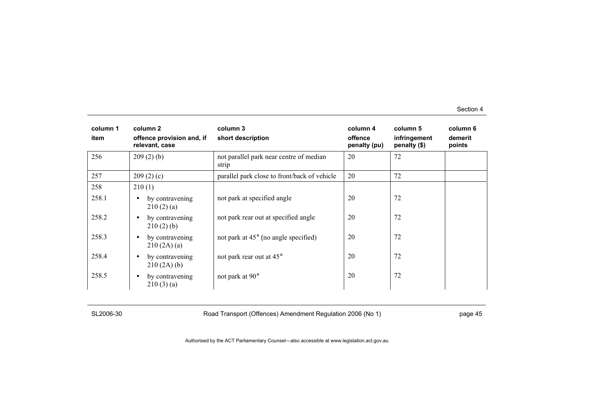| column 1<br>item | column 2<br>offence provision and, if<br>relevant, case | column 3<br>short description                    | column 4<br>offence<br>penalty (pu) | column 5<br>infringement<br>penalty (\$) | column 6<br>demerit<br>points |
|------------------|---------------------------------------------------------|--------------------------------------------------|-------------------------------------|------------------------------------------|-------------------------------|
| 256              | 209(2)(b)                                               | not parallel park near centre of median<br>strip | 20                                  | 72                                       |                               |
| 257              | 209(2)(c)                                               | parallel park close to front/back of vehicle     | 20                                  | 72                                       |                               |
| 258              | 210(1)                                                  |                                                  |                                     |                                          |                               |
| 258.1            | by contravening<br>$\bullet$<br>210(2)(a)               | not park at specified angle                      | 20                                  | 72                                       |                               |
| 258.2            | by contravening<br>$\bullet$<br>210(2)(b)               | not park rear out at specified angle             | 20                                  | 72                                       |                               |
| 258.3            | by contravening<br>$\bullet$<br>210(2A)(a)              | not park at $45^{\circ}$ (no angle specified)    | 20                                  | 72                                       |                               |
| 258.4            | by contravening<br>$\bullet$<br>210(2A)(b)              | not park rear out at 45°                         | 20                                  | 72                                       |                               |
| 258.5            | by contravening<br>$\bullet$<br>210(3)(a)               | not park at 90°                                  | 20                                  | 72                                       |                               |

SL2006-30 Road Transport (Offences) Amendment Regulation 2006 (No 1) page 45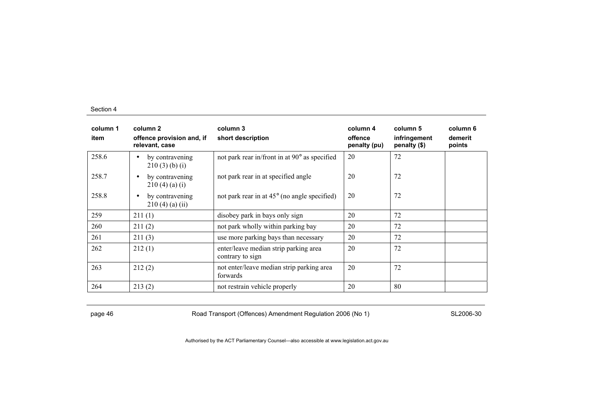| column 1<br>item | column 2<br>offence provision and, if<br>relevant, case | column 3<br>short description                             | column 4<br>offence<br>penalty (pu) | column 5<br>infringement<br>penalty (\$) | column 6<br>demerit<br>points |
|------------------|---------------------------------------------------------|-----------------------------------------------------------|-------------------------------------|------------------------------------------|-------------------------------|
| 258.6            | by contravening<br>$\bullet$<br>210(3)(b)(i)            | not park rear in/front in at 90° as specified             | 20                                  | 72                                       |                               |
| 258.7            | by contravening<br>$\bullet$<br>210(4)(a)(i)            | not park rear in at specified angle                       | 20                                  | 72                                       |                               |
| 258.8            | by contravening<br>$\bullet$<br>$210(4)$ (a) (ii)       | not park rear in at $45^{\circ}$ (no angle specified)     | 20                                  | 72                                       |                               |
| 259              | 211(1)                                                  | disobey park in bays only sign                            | 20                                  | 72                                       |                               |
| 260              | 211(2)                                                  | not park wholly within parking bay                        | 20                                  | 72                                       |                               |
| 261              | 211(3)                                                  | use more parking bays than necessary                      | 20                                  | 72                                       |                               |
| 262              | 212(1)                                                  | enter/leave median strip parking area<br>contrary to sign | 20                                  | 72                                       |                               |
| 263              | 212(2)                                                  | not enter/leave median strip parking area<br>forwards     | 20                                  | 72                                       |                               |
| 264              | 213(2)                                                  | not restrain vehicle properly                             | 20                                  | 80                                       |                               |

page 46 **Road Transport (Offences) Amendment Regulation 2006 (No 1)** SL2006-30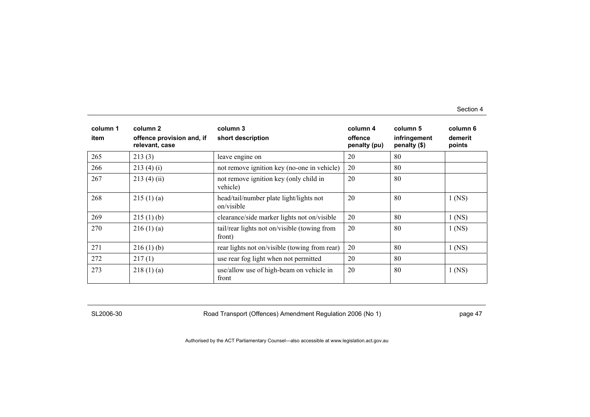| column 1<br>item | column 2<br>offence provision and, if<br>relevant, case | column 3<br>short description                          | column 4<br>offence<br>penalty (pu) | column 5<br>infringement<br>penalty (\$) | column 6<br>demerit<br>points |
|------------------|---------------------------------------------------------|--------------------------------------------------------|-------------------------------------|------------------------------------------|-------------------------------|
| 265              | 213(3)                                                  | leave engine on                                        | 20                                  | 80                                       |                               |
| 266              | 213(4)(i)                                               | not remove ignition key (no-one in vehicle)            | 20                                  | 80                                       |                               |
| 267              | 213(4)(ii)                                              | not remove ignition key (only child in<br>vehicle)     | 20                                  | 80                                       |                               |
| 268              | 215(1)(a)                                               | head/tail/number plate light/lights not<br>on/visible  | 20                                  | 80                                       | $1$ (NS)                      |
| 269              | 215(1)(b)                                               | clearance/side marker lights not on/visible            | 20                                  | 80                                       | $1$ (NS)                      |
| 270              | 216(1)(a)                                               | tail/rear lights not on/visible (towing from<br>front) | 20                                  | 80                                       | $1$ (NS)                      |
| 271              | 216(1)(b)                                               | rear lights not on/visible (towing from rear)          | 20                                  | 80                                       | $1$ (NS)                      |
| 272              | 217(1)                                                  | use rear fog light when not permitted                  | 20                                  | 80                                       |                               |
| 273              | 218(1)(a)                                               | use/allow use of high-beam on vehicle in<br>front      | 20                                  | 80                                       | $1$ (NS)                      |

SL2006-30 Road Transport (Offences) Amendment Regulation 2006 (No 1) page 47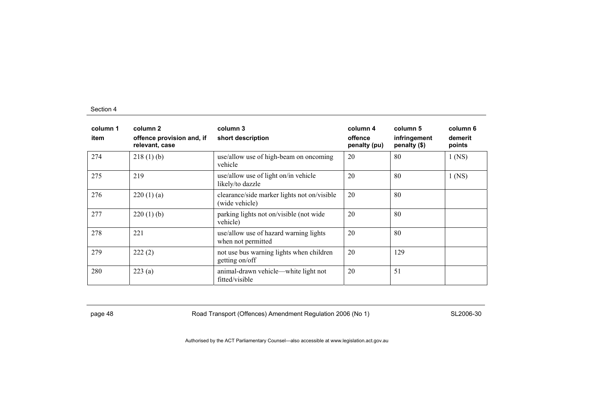| column 1<br>item | column 2<br>offence provision and, if<br>relevant, case | column 3<br>short description                                 | column 4<br>offence<br>penalty (pu) | column 5<br>infringement<br>penalty (\$) | column 6<br>demerit<br>points |
|------------------|---------------------------------------------------------|---------------------------------------------------------------|-------------------------------------|------------------------------------------|-------------------------------|
| 274              | 218(1)(b)                                               | use/allow use of high-beam on oncoming<br>vehicle             | 20                                  | 80                                       | $1$ (NS)                      |
| 275              | 219                                                     | use/allow use of light on/in vehicle<br>likely/to dazzle      | 20                                  | 80                                       | $1$ (NS)                      |
| 276              | 220(1)(a)                                               | clearance/side marker lights not on/visible<br>(wide vehicle) | 20                                  | 80                                       |                               |
| 277              | 220(1)(b)                                               | parking lights not on/visible (not wide<br>vehicle)           | 20                                  | 80                                       |                               |
| 278              | 221                                                     | use/allow use of hazard warning lights<br>when not permitted  | 20                                  | 80                                       |                               |
| 279              | 222(2)                                                  | not use bus warning lights when children<br>getting on/off    | 20                                  | 129                                      |                               |
| 280              | 223(a)                                                  | animal-drawn vehicle—white light not<br>fitted/visible        | 20                                  | 51                                       |                               |

page 48 **Road Transport (Offences) Amendment Regulation 2006 (No 1)** SL2006-30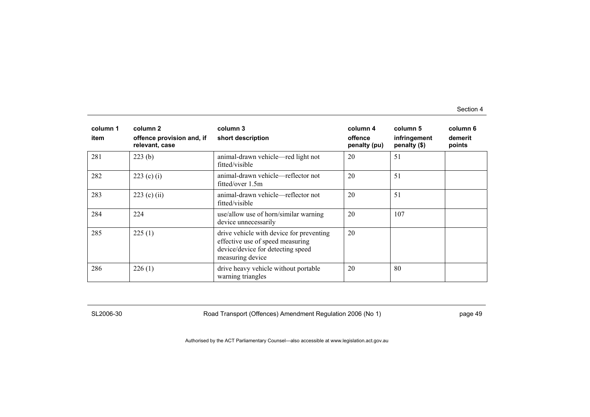| column 1<br>item | column 2<br>offence provision and, if<br>relevant, case | column 3<br>short description                                                                                                         | column 4<br>offence<br>penalty (pu) | column 5<br>infringement<br>penalty (\$) | column 6<br>demerit<br>points |
|------------------|---------------------------------------------------------|---------------------------------------------------------------------------------------------------------------------------------------|-------------------------------------|------------------------------------------|-------------------------------|
| 281              | 223(b)                                                  | animal-drawn vehicle—red light not<br>fitted/visible                                                                                  | 20                                  | 51                                       |                               |
| 282              | 223 (c) (i)                                             | animal-drawn vehicle—reflector not<br>fitted/over $1.5m$                                                                              | 20                                  | 51                                       |                               |
| 283              | 223 (c) (ii)                                            | animal-drawn vehicle—reflector not<br>fitted/visible                                                                                  | 20                                  | 51                                       |                               |
| 284              | 224                                                     | use/allow use of horn/similar warning<br>device unnecessarily                                                                         | 20                                  | 107                                      |                               |
| 285              | 225(1)                                                  | drive vehicle with device for preventing<br>effective use of speed measuring<br>device/device for detecting speed<br>measuring device | 20                                  |                                          |                               |
| 286              | 226(1)                                                  | drive heavy vehicle without portable<br>warning triangles                                                                             | 20                                  | 80                                       |                               |

SL2006-30 Road Transport (Offences) Amendment Regulation 2006 (No 1) page 49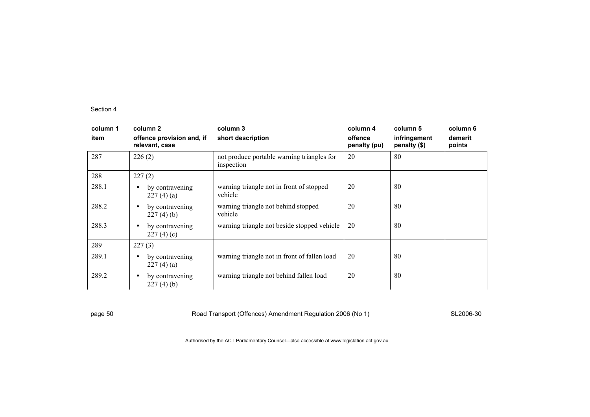| column 1<br>item | column 2<br>offence provision and, if<br>relevant, case | column 3<br>short description                            | column 4<br>offence<br>penalty (pu) | column 5<br>infringement<br>penalty (\$) | column 6<br>demerit<br>points |
|------------------|---------------------------------------------------------|----------------------------------------------------------|-------------------------------------|------------------------------------------|-------------------------------|
| 287              | 226(2)                                                  | not produce portable warning triangles for<br>inspection | 20                                  | 80                                       |                               |
| 288              | 227(2)                                                  |                                                          |                                     |                                          |                               |
| 288.1            | by contravening<br>$\bullet$<br>227(4)(a)               | warning triangle not in front of stopped<br>vehicle      | 20                                  | 80                                       |                               |
| 288.2            | by contravening<br>$\bullet$<br>227(4)(b)               | warning triangle not behind stopped<br>vehicle           | 20                                  | 80                                       |                               |
| 288.3            | by contravening<br>$\bullet$<br>227(4)(c)               | warning triangle not beside stopped vehicle              | 20                                  | 80                                       |                               |
| 289              | 227(3)                                                  |                                                          |                                     |                                          |                               |
| 289.1            | by contravening<br>$\bullet$<br>227(4)(a)               | warning triangle not in front of fallen load             | 20                                  | 80                                       |                               |
| 289.2            | by contravening<br>$\bullet$<br>227(4)(b)               | warning triangle not behind fallen load                  | 20                                  | 80                                       |                               |

page 50 Road Transport (Offences) Amendment Regulation 2006 (No 1) SL2006-30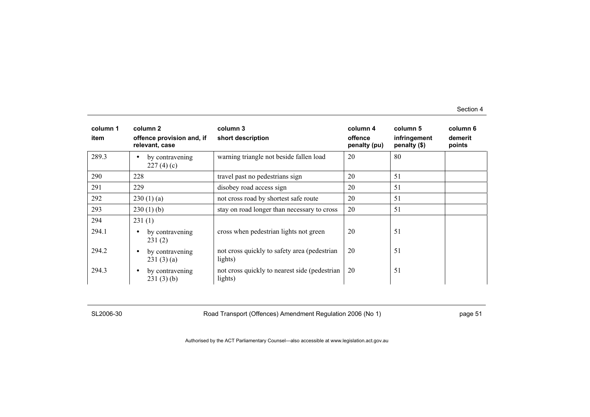| column 1<br>item | column 2<br>offence provision and, if<br>relevant, case | column 3<br>short description                             | column 4<br>offence<br>penalty (pu) | column 5<br>infringement<br>penalty (\$) | column 6<br>demerit<br>points |
|------------------|---------------------------------------------------------|-----------------------------------------------------------|-------------------------------------|------------------------------------------|-------------------------------|
| 289.3            | by contravening<br>$\bullet$<br>227(4)(c)               | warning triangle not beside fallen load                   | 20                                  | 80                                       |                               |
| 290              | 228                                                     | travel past no pedestrians sign                           | 20                                  | 51                                       |                               |
| 291              | 229                                                     | disobey road access sign                                  | 20                                  | 51                                       |                               |
| 292              | 230(1)(a)                                               | not cross road by shortest safe route                     | 20                                  | 51                                       |                               |
| 293              | $230(1)$ (b)                                            | stay on road longer than necessary to cross               | 20                                  | 51                                       |                               |
| 294              | 231(1)                                                  |                                                           |                                     |                                          |                               |
| 294.1            | by contravening<br>$\bullet$<br>231(2)                  | cross when pedestrian lights not green                    | 20                                  | 51                                       |                               |
| 294.2            | by contravening<br>$\bullet$<br>231(3)(a)               | not cross quickly to safety area (pedestrian)<br>lights)  | 20                                  | 51                                       |                               |
| 294.3            | by contravening<br>$\bullet$<br>231(3)(b)               | not cross quickly to nearest side (pedestrian)<br>lights) | 20                                  | 51                                       |                               |

SL2006-30 Road Transport (Offences) Amendment Regulation 2006 (No 1) Page 51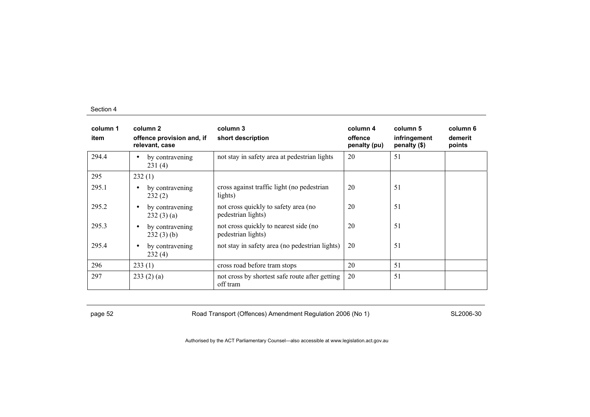| column 1<br>item | column 2<br>offence provision and, if<br>relevant, case | column 3<br>short description                               | column 4<br>offence<br>penalty (pu) | column 5<br>infringement<br>penalty (\$) | column 6<br>demerit<br>points |
|------------------|---------------------------------------------------------|-------------------------------------------------------------|-------------------------------------|------------------------------------------|-------------------------------|
| 294.4            | by contravening<br>$\bullet$<br>231(4)                  | not stay in safety area at pedestrian lights                | 20                                  | 51                                       |                               |
| 295              | 232(1)                                                  |                                                             |                                     |                                          |                               |
| 295.1            | by contravening<br>$\bullet$<br>232(2)                  | cross against traffic light (no pedestrian<br>lights)       | 20                                  | 51                                       |                               |
| 295.2            | by contravening<br>$\bullet$<br>232(3)(a)               | not cross quickly to safety area (no<br>pedestrian lights)  | 20                                  | 51                                       |                               |
| 295.3            | by contravening<br>$\bullet$<br>232(3)(b)               | not cross quickly to nearest side (no<br>pedestrian lights) | 20                                  | 51                                       |                               |
| 295.4            | by contravening<br>$\bullet$<br>232(4)                  | not stay in safety area (no pedestrian lights)              | 20                                  | 51                                       |                               |
| 296              | 233(1)                                                  | cross road before tram stops                                | 20                                  | 51                                       |                               |
| 297              | 233(2)(a)                                               | not cross by shortest safe route after getting<br>off tram  | 20                                  | 51                                       |                               |

page 52 **Road Transport (Offences) Amendment Regulation 2006 (No 1)** SL2006-30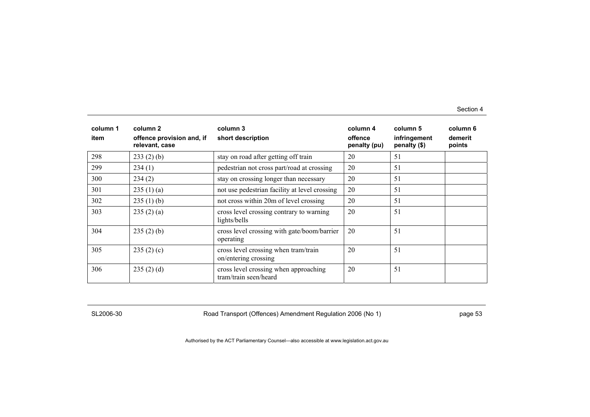| column 1<br>item | column 2<br>offence provision and, if<br>relevant, case | column 3<br>short description                                  | column 4<br>offence<br>penalty (pu) | column 5<br>infringement<br>penalty (\$) | column 6<br>demerit<br>points |
|------------------|---------------------------------------------------------|----------------------------------------------------------------|-------------------------------------|------------------------------------------|-------------------------------|
| 298              | 233(2)(b)                                               | stay on road after getting off train                           | 20                                  | 51                                       |                               |
| 299              | 234(1)                                                  | pedestrian not cross part/road at crossing                     | 20                                  | 51                                       |                               |
| 300              | 234(2)                                                  | stay on crossing longer than necessary                         | 20                                  | 51                                       |                               |
| 301              | 235(1)(a)                                               | not use pedestrian facility at level crossing                  | 20                                  | 51                                       |                               |
| 302              | 235(1)(b)                                               | not cross within 20m of level crossing                         | 20                                  | 51                                       |                               |
| 303              | 235(2)(a)                                               | cross level crossing contrary to warning<br>lights/bells       | 20                                  | 51                                       |                               |
| 304              | 235(2)(b)                                               | cross level crossing with gate/boom/barrier<br>operating       | 20                                  | 51                                       |                               |
| 305              | 235(2)(c)                                               | cross level crossing when tram/train<br>on/entering crossing   | 20                                  | 51                                       |                               |
| 306              | 235(2)(d)                                               | cross level crossing when approaching<br>tram/train seen/heard | 20                                  | 51                                       |                               |

SL2006-30 Road Transport (Offences) Amendment Regulation 2006 (No 1) page 53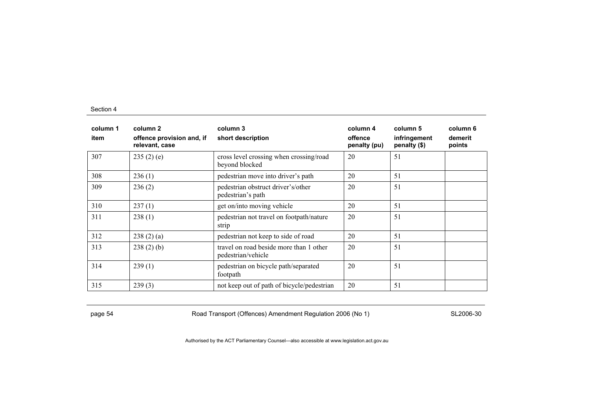| column 1<br>item | column <sub>2</sub><br>offence provision and, if<br>relevant, case | column 3<br>short description                                 | column 4<br>offence<br>penalty (pu) | column 5<br>infringement<br>penalty (\$) | column 6<br>demerit<br>points |
|------------------|--------------------------------------------------------------------|---------------------------------------------------------------|-------------------------------------|------------------------------------------|-------------------------------|
| 307              | 235(2)(e)                                                          | cross level crossing when crossing/road<br>beyond blocked     | 20                                  | 51                                       |                               |
| 308              | 236(1)                                                             | pedestrian move into driver's path                            | 20                                  | 51                                       |                               |
| 309              | 236(2)                                                             | pedestrian obstruct driver's/other<br>pedestrian's path       | 20                                  | 51                                       |                               |
| 310              | 237(1)                                                             | get on/into moving vehicle                                    | 20                                  | 51                                       |                               |
| 311              | 238(1)                                                             | pedestrian not travel on footpath/nature<br>strip             | 20                                  | 51                                       |                               |
| 312              | 238(2)(a)                                                          | pedestrian not keep to side of road                           | 20                                  | 51                                       |                               |
| 313              | 238(2)(b)                                                          | travel on road beside more than 1 other<br>pedestrian/vehicle | 20                                  | 51                                       |                               |
| 314              | 239(1)                                                             | pedestrian on bicycle path/separated<br>footpath              | 20                                  | 51                                       |                               |
| 315              | 239(3)                                                             | not keep out of path of bicycle/pedestrian                    | 20                                  | 51                                       |                               |

page 54 Road Transport (Offences) Amendment Regulation 2006 (No 1) SL2006-30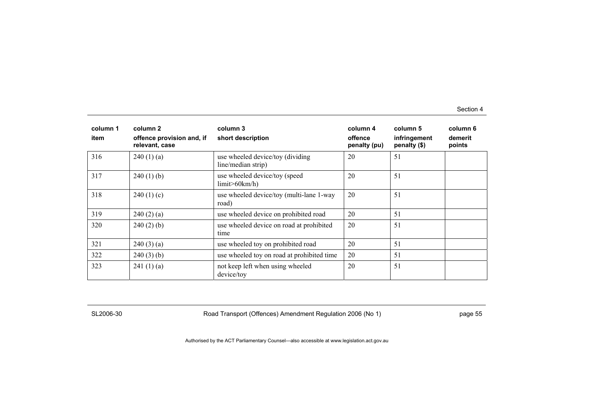| column 1<br>item | column 2<br>offence provision and, if<br>relevant, case | column 3<br>short description                          | column 4<br>offence<br>penalty (pu) | column 5<br>infringement<br>penalty (\$) | column 6<br>demerit<br>points |
|------------------|---------------------------------------------------------|--------------------------------------------------------|-------------------------------------|------------------------------------------|-------------------------------|
| 316              | 240(1)(a)                                               | use wheeled device/toy (dividing<br>line/median strip) | 20                                  | 51                                       |                               |
| 317              | 240(1)(b)                                               | use wheeled device/toy (speed<br>limit > 60km/h        | 20                                  | 51                                       |                               |
| 318              | 240(1)(c)                                               | use wheeled device/toy (multi-lane 1-way<br>road)      | 20                                  | 51                                       |                               |
| 319              | 240(2)(a)                                               | use wheeled device on prohibited road                  | 20                                  | 51                                       |                               |
| 320              | 240(2)(b)                                               | use wheeled device on road at prohibited<br>time       | 20                                  | 51                                       |                               |
| 321              | 240(3)(a)                                               | use wheeled toy on prohibited road                     | 20                                  | 51                                       |                               |
| 322              | 240(3)(b)                                               | use wheeled toy on road at prohibited time             | 20                                  | 51                                       |                               |
| 323              | 241(1)(a)                                               | not keep left when using wheeled<br>device/toy         | 20                                  | 51                                       |                               |

SL2006-30 Road Transport (Offences) Amendment Regulation 2006 (No 1) page 55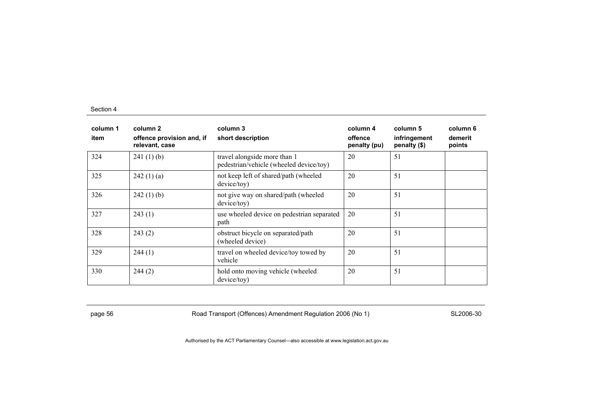| column 1<br>item | column 2<br>offence provision and, if<br>relevant, case | column 3<br>short description                                           | column 4<br>offence<br>penalty (pu) | column 5<br>infringement<br>penalty (\$) | column 6<br>demerit<br>points |
|------------------|---------------------------------------------------------|-------------------------------------------------------------------------|-------------------------------------|------------------------------------------|-------------------------------|
| 324              | 241(1)(b)                                               | travel alongside more than 1<br>pedestrian/vehicle (wheeled device/toy) | 20                                  | 51                                       |                               |
| 325              | 242(1)(a)                                               | not keep left of shared/path (wheeled<br>device/toy)                    | 20                                  | 51                                       |                               |
| 326              | 242(1)(b)                                               | not give way on shared/path (wheeled<br>device/tov)                     | 20                                  | 51                                       |                               |
| 327              | 243(1)                                                  | use wheeled device on pedestrian separated<br>path                      | 20                                  | 51                                       |                               |
| 328              | 243(2)                                                  | obstruct bicycle on separated/path<br>(wheeled device)                  | 20                                  | 51                                       |                               |
| 329              | 244(1)                                                  | travel on wheeled device/toy towed by<br>vehicle                        | 20                                  | 51                                       |                               |
| 330              | 244(2)                                                  | hold onto moving vehicle (wheeled<br>device/toy)                        | 20                                  | 51                                       |                               |

page 56 **Road Transport (Offences) Amendment Regulation 2006 (No 1)** SL2006-30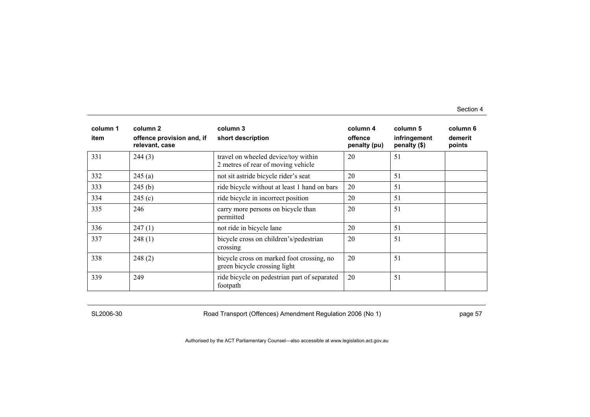| column 1<br>item | column 2<br>offence provision and, if<br>relevant, case | column 3<br>short description                                             | column 4<br>offence<br>penalty (pu) | column 5<br>infringement<br>penalty (\$) | column 6<br>demerit<br>points |
|------------------|---------------------------------------------------------|---------------------------------------------------------------------------|-------------------------------------|------------------------------------------|-------------------------------|
| 331              | 244(3)                                                  | travel on wheeled device/toy within<br>2 metres of rear of moving vehicle | 20                                  | 51                                       |                               |
| 332              | 245(a)                                                  | not sit astride bicycle rider's seat                                      | 20                                  | 51                                       |                               |
| 333              | 245(b)                                                  | ride bicycle without at least 1 hand on bars                              | 20                                  | 51                                       |                               |
| 334              | 245(c)                                                  | ride bicycle in incorrect position                                        | 20                                  | 51                                       |                               |
| 335              | 246                                                     | carry more persons on bicycle than<br>permitted                           | 20                                  | 51                                       |                               |
| 336              | 247(1)                                                  | not ride in bicycle lane                                                  | 20                                  | 51                                       |                               |
| 337              | 248(1)                                                  | bicycle cross on children's/pedestrian<br>crossing                        | 20                                  | 51                                       |                               |
| 338              | 248(2)                                                  | bicycle cross on marked foot crossing, no<br>green bicycle crossing light | 20                                  | 51                                       |                               |
| 339              | 249                                                     | ride bicycle on pedestrian part of separated<br>footpath                  | 20                                  | 51                                       |                               |

SL2006-30 Road Transport (Offences) Amendment Regulation 2006 (No 1) page 57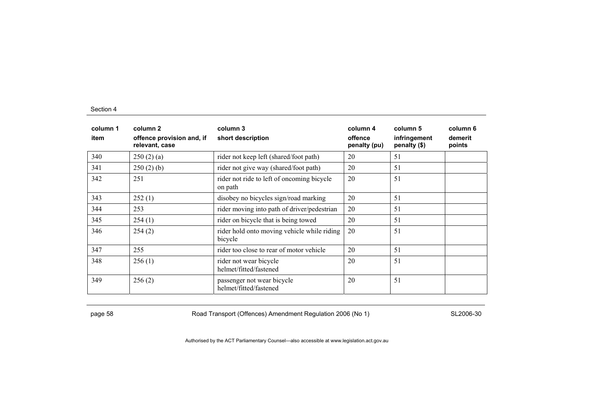| column 1<br>item | column 2<br>offence provision and, if<br>relevant, case | column 3<br>short description                          | column 4<br>offence<br>penalty (pu) | column 5<br>infringement<br>penalty (\$) | column 6<br>demerit<br>points |
|------------------|---------------------------------------------------------|--------------------------------------------------------|-------------------------------------|------------------------------------------|-------------------------------|
| 340              | 250(2)(a)                                               | rider not keep left (shared/foot path)                 | 20                                  | 51                                       |                               |
| 341              | 250(2)(b)                                               | rider not give way (shared/foot path)                  | 20                                  | 51                                       |                               |
| 342              | 251                                                     | rider not ride to left of oncoming bicycle<br>on path  | 20                                  | 51                                       |                               |
| 343              | 252(1)                                                  | disobey no bicycles sign/road marking                  | 20                                  | 51                                       |                               |
| 344              | 253                                                     | rider moving into path of driver/pedestrian            | 20                                  | 51                                       |                               |
| 345              | 254(1)                                                  | rider on bicycle that is being towed                   | 20                                  | 51                                       |                               |
| 346              | 254(2)                                                  | rider hold onto moving vehicle while riding<br>bicycle | 20                                  | 51                                       |                               |
| 347              | 255                                                     | rider too close to rear of motor vehicle               | 20                                  | 51                                       |                               |
| 348              | 256(1)                                                  | rider not wear bicycle<br>helmet/fitted/fastened       | 20                                  | 51                                       |                               |
| 349              | 256(2)                                                  | passenger not wear bicycle<br>helmet/fitted/fastened   | 20                                  | 51                                       |                               |

page 58 SL2006-30 Road Transport (Offences) Amendment Regulation 2006 (No 1)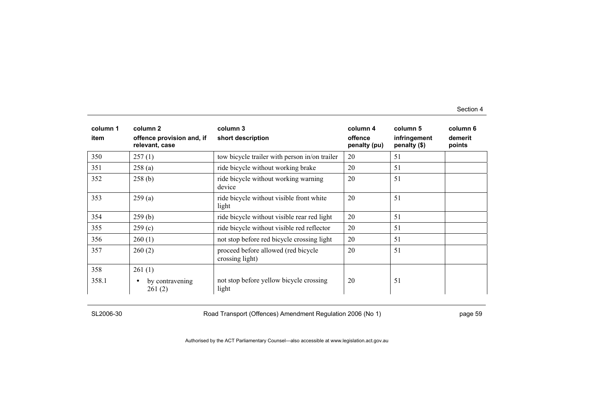| column 1<br>item | column 2<br>offence provision and, if<br>relevant, case | column 3<br>short description                          | column 4<br>offence<br>penalty (pu) | column 5<br>infringement<br>penalty (\$) | column 6<br>demerit<br>points |
|------------------|---------------------------------------------------------|--------------------------------------------------------|-------------------------------------|------------------------------------------|-------------------------------|
| 350              | 257(1)                                                  | tow bicycle trailer with person in/on trailer          | 20                                  | 51                                       |                               |
| 351              | 258(a)                                                  | ride bicycle without working brake                     | 20                                  | 51                                       |                               |
| 352              | 258(b)                                                  | ride bicycle without working warning<br>device         | 20                                  | 51                                       |                               |
| 353              | 259(a)                                                  | ride bicycle without visible front white<br>light      | 20                                  | 51                                       |                               |
| 354              | 259(b)                                                  | ride bicycle without visible rear red light            | 20                                  | 51                                       |                               |
| 355              | 259(c)                                                  | ride bicycle without visible red reflector             | 20                                  | 51                                       |                               |
| 356              | 260(1)                                                  | not stop before red bicycle crossing light             | 20                                  | 51                                       |                               |
| 357              | 260(2)                                                  | proceed before allowed (red bicycle<br>crossing light) | 20                                  | 51                                       |                               |
| 358              | 261(1)                                                  |                                                        |                                     |                                          |                               |
| 358.1            | by contravening<br>$\bullet$<br>261(2)                  | not stop before yellow bicycle crossing<br>light       | 20                                  | 51                                       |                               |

SL2006-30 Road Transport (Offences) Amendment Regulation 2006 (No 1) page 59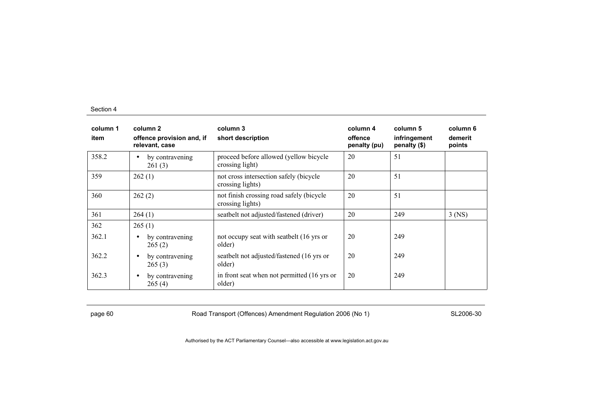| column 1<br>item | column 2<br>offence provision and, if<br>relevant, case | column 3<br>short description                                | column 4<br>offence<br>penalty (pu) | column 5<br>infringement<br>penalty (\$) | column 6<br>demerit<br>points |
|------------------|---------------------------------------------------------|--------------------------------------------------------------|-------------------------------------|------------------------------------------|-------------------------------|
| 358.2            | by contravening<br>$\bullet$<br>261(3)                  | proceed before allowed (yellow bicycle<br>crossing light)    | 20                                  | 51                                       |                               |
| 359              | 262(1)                                                  | not cross intersection safely (bicycle<br>crossing lights)   | 20                                  | 51                                       |                               |
| 360              | 262(2)                                                  | not finish crossing road safely (bicycle<br>crossing lights) | 20                                  | 51                                       |                               |
| 361              | 264(1)                                                  | seatbelt not adjusted/fastened (driver)                      | 20                                  | 249                                      | $3$ (NS)                      |
| 362              | 265(1)                                                  |                                                              |                                     |                                          |                               |
| 362.1            | by contravening<br>$\bullet$<br>265(2)                  | not occupy seat with seatbelt (16 yrs or<br>older)           | 20                                  | 249                                      |                               |
| 362.2            | by contravening<br>$\bullet$<br>265(3)                  | seatbelt not adjusted/fastened (16 yrs or<br>older)          | 20                                  | 249                                      |                               |
| 362.3            | by contravening<br>$\bullet$<br>265(4)                  | in front seat when not permitted (16 yrs or<br>older)        | 20                                  | 249                                      |                               |

page 60 Road Transport (Offences) Amendment Regulation 2006 (No 1) SL2006-30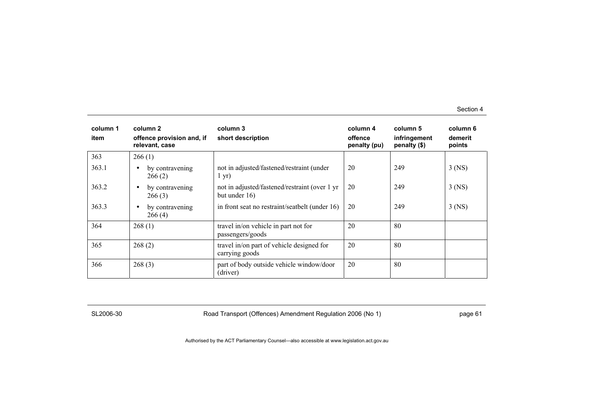| column 1<br>item | column 2<br>offence provision and, if<br>relevant, case | column 3<br>short description                                  | column 4<br>offence<br>penalty (pu) | column 5<br>infringement<br>penalty (\$) | column 6<br>demerit<br>points |
|------------------|---------------------------------------------------------|----------------------------------------------------------------|-------------------------------------|------------------------------------------|-------------------------------|
| 363              | 266(1)                                                  |                                                                |                                     |                                          |                               |
| 363.1            | by contravening<br>$\bullet$<br>266(2)                  | not in adjusted/fastened/restraint (under<br>$1 \text{ yr}$    | 20                                  | 249                                      | $3$ (NS)                      |
| 363.2            | by contravening<br>$\bullet$<br>266(3)                  | not in adjusted/fastened/restraint (over 1 yr<br>but under 16) | 20                                  | 249                                      | $3$ (NS)                      |
| 363.3            | by contravening<br>$\bullet$<br>266(4)                  | in front seat no restraint/seatbelt (under 16)                 | 20                                  | 249                                      | $3$ (NS)                      |
| 364              | 268(1)                                                  | travel in/on vehicle in part not for<br>passengers/goods       | 20                                  | 80                                       |                               |
| 365              | 268(2)                                                  | travel in/on part of vehicle designed for<br>carrying goods    | 20                                  | 80                                       |                               |
| 366              | 268(3)                                                  | part of body outside vehicle window/door<br>(driver)           | 20                                  | 80                                       |                               |

SL2006-30 Road Transport (Offences) Amendment Regulation 2006 (No 1) page 61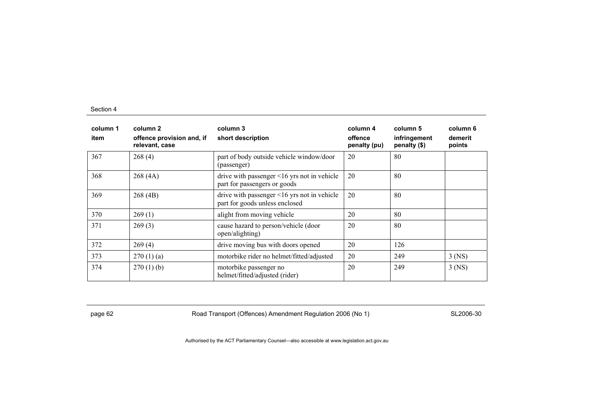| column 1<br>item | column 2<br>offence provision and, if<br>relevant, case | column 3<br>short description                                                       | column 4<br>offence<br>penalty (pu) | column 5<br>infringement<br>penalty (\$) | column 6<br>demerit<br>points |
|------------------|---------------------------------------------------------|-------------------------------------------------------------------------------------|-------------------------------------|------------------------------------------|-------------------------------|
| 367              | 268(4)                                                  | part of body outside vehicle window/door<br>(passenger)                             | 20                                  | 80                                       |                               |
| 368              | 268(4A)                                                 | drive with passenger $\leq 16$ yrs not in vehicle<br>part for passengers or goods   | 20                                  | 80                                       |                               |
| 369              | 268(4B)                                                 | drive with passenger $\leq 16$ yrs not in vehicle<br>part for goods unless enclosed | 20                                  | 80                                       |                               |
| 370              | 269(1)                                                  | alight from moving vehicle                                                          | 20                                  | 80                                       |                               |
| 371              | 269(3)                                                  | cause hazard to person/vehicle (door<br>open/alighting)                             | 20                                  | 80                                       |                               |
| 372              | 269(4)                                                  | drive moving bus with doors opened                                                  | 20                                  | 126                                      |                               |
| 373              | 270(1)(a)                                               | motorbike rider no helmet/fitted/adjusted                                           | 20                                  | 249                                      | $3$ (NS)                      |
| 374              | 270(1)(b)                                               | motorbike passenger no<br>helmet/fitted/adjusted (rider)                            | 20                                  | 249                                      | $3$ (NS)                      |

page 62 **Road Transport (Offences) Amendment Regulation 2006 (No 1)** SL2006-30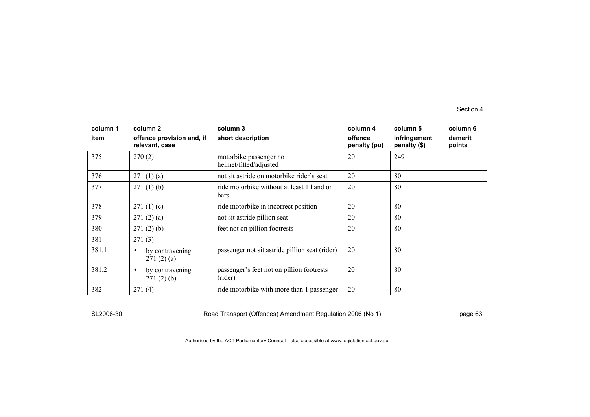| column 1<br>item | column 2<br>offence provision and, if<br>relevant, case | column 3<br>short description                            | column 4<br>offence<br>penalty (pu) | column 5<br>infringement<br>penalty (\$) | column 6<br>demerit<br>points |
|------------------|---------------------------------------------------------|----------------------------------------------------------|-------------------------------------|------------------------------------------|-------------------------------|
| 375              | 270(2)                                                  | motorbike passenger no<br>helmet/fitted/adjusted         | 20                                  | 249                                      |                               |
| 376              | 271(1)(a)                                               | not sit astride on motorbike rider's seat                | 20                                  | 80                                       |                               |
| 377              | 271(1)(b)                                               | ride motorbike without at least 1 hand on<br><b>bars</b> | 20                                  | 80                                       |                               |
| 378              | 271(1)(c)                                               | ride motorbike in incorrect position                     | 20                                  | 80                                       |                               |
| 379              | 271(2)(a)                                               | not sit astride pillion seat                             | 20                                  | 80                                       |                               |
| 380              | 271(2)(b)                                               | feet not on pillion footrests                            | 20                                  | 80                                       |                               |
| 381              | 271(3)                                                  |                                                          |                                     |                                          |                               |
| 381.1            | by contravening<br>$\bullet$<br>271(2)(a)               | passenger not sit astride pillion seat (rider)           | 20                                  | 80                                       |                               |
| 381.2            | by contravening<br>$\bullet$<br>271(2)(b)               | passenger's feet not on pillion footrests<br>(rider)     | 20                                  | 80                                       |                               |
| 382              | 271(4)                                                  | ride motorbike with more than 1 passenger                | 20                                  | 80                                       |                               |

SL2006-30 Road Transport (Offences) Amendment Regulation 2006 (No 1) page 63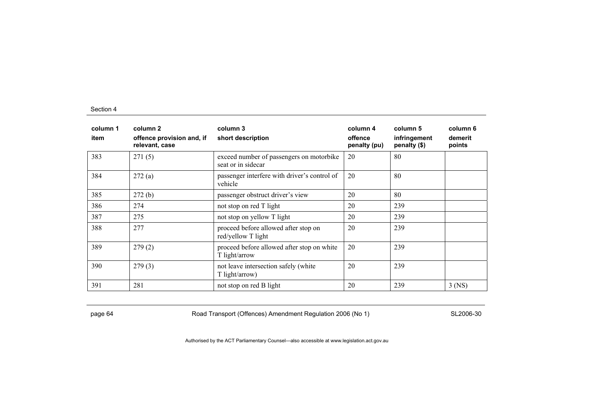| column 1<br>item | column 2<br>offence provision and, if<br>relevant, case | column 3<br>short description                                  | column 4<br>offence<br>penalty (pu) | column 5<br>infringement<br>penalty (\$) | column 6<br>demerit<br>points |
|------------------|---------------------------------------------------------|----------------------------------------------------------------|-------------------------------------|------------------------------------------|-------------------------------|
| 383              | 271(5)                                                  | exceed number of passengers on motorbike<br>seat or in sidecar | 20                                  | 80                                       |                               |
| 384              | 272(a)                                                  | passenger interfere with driver's control of<br>vehicle        | 20                                  | 80                                       |                               |
| 385              | 272(b)                                                  | passenger obstruct driver's view                               | 20                                  | 80                                       |                               |
| 386              | 274                                                     | not stop on red T light                                        | 20                                  | 239                                      |                               |
| 387              | 275                                                     | not stop on yellow T light                                     | 20                                  | 239                                      |                               |
| 388              | 277                                                     | proceed before allowed after stop on<br>red/yellow T light     | 20                                  | 239                                      |                               |
| 389              | 279(2)                                                  | proceed before allowed after stop on white<br>T light/arrow    | 20                                  | 239                                      |                               |
| 390              | 279(3)                                                  | not leave intersection safely (white<br>T light/arrow)         | 20                                  | 239                                      |                               |
| 391              | 281                                                     | not stop on red B light                                        | 20                                  | 239                                      | $3$ (NS)                      |

page 64 Road Transport (Offences) Amendment Regulation 2006 (No 1) SL2006-30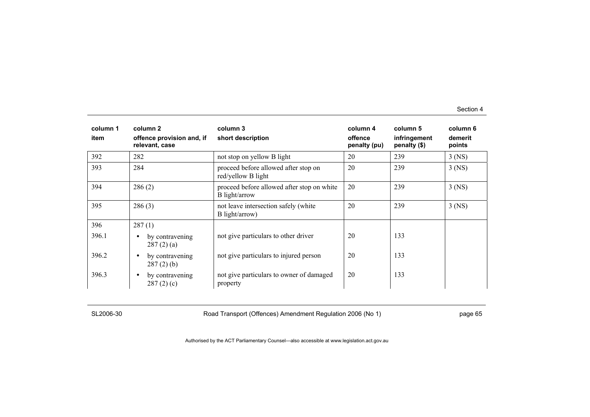| column 1<br>item | column 2<br>offence provision and, if<br>relevant, case | column 3<br>short description                               | column 4<br>offence<br>penalty (pu) | column 5<br>infringement<br>penalty (\$) | column 6<br>demerit<br>points |
|------------------|---------------------------------------------------------|-------------------------------------------------------------|-------------------------------------|------------------------------------------|-------------------------------|
| 392              | 282                                                     | not stop on yellow B light                                  | 20                                  | 239                                      | $3$ (NS)                      |
| 393              | 284                                                     | proceed before allowed after stop on<br>red/yellow B light  | 20                                  | 239                                      | $3$ (NS)                      |
| 394              | 286(2)                                                  | proceed before allowed after stop on white<br>B light/arrow | 20                                  | 239                                      | $3$ (NS)                      |
| 395              | 286(3)                                                  | not leave intersection safely (white<br>B light/arrow)      | 20                                  | 239                                      | $3$ (NS)                      |
| 396              | 287(1)                                                  |                                                             |                                     |                                          |                               |
| 396.1            | by contravening<br>$\bullet$<br>287(2)(a)               | not give particulars to other driver                        | 20                                  | 133                                      |                               |
| 396.2            | by contravening<br>$\bullet$<br>$287(2)$ (b)            | not give particulars to injured person                      | 20                                  | 133                                      |                               |
| 396.3            | by contravening<br>$\bullet$<br>287(2)(c)               | not give particulars to owner of damaged<br>property        | 20                                  | 133                                      |                               |

SL2006-30 Road Transport (Offences) Amendment Regulation 2006 (No 1) page 65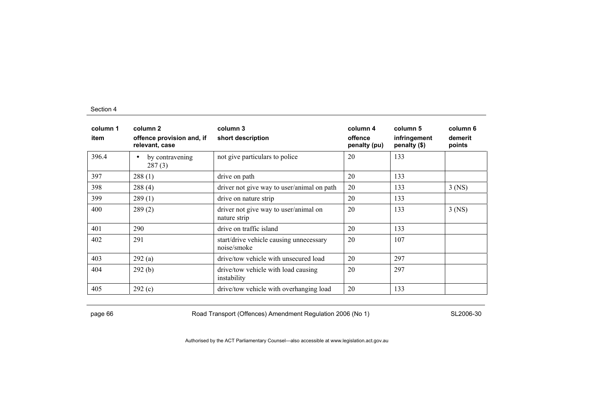| column 1<br>item | column 2<br>offence provision and, if<br>relevant, case | column 3<br>short description                          | column 4<br>offence<br>penalty (pu) | column 5<br>infringement<br>penalty (\$) | column 6<br>demerit<br>points |
|------------------|---------------------------------------------------------|--------------------------------------------------------|-------------------------------------|------------------------------------------|-------------------------------|
| 396.4            | by contravening<br>$\bullet$<br>287(3)                  | not give particulars to police                         | 20                                  | 133                                      |                               |
| 397              | 288(1)                                                  | drive on path                                          | 20                                  | 133                                      |                               |
| 398              | 288(4)                                                  | driver not give way to user/animal on path             | 20                                  | 133                                      | $3$ (NS)                      |
| 399              | 289(1)                                                  | drive on nature strip                                  | 20                                  | 133                                      |                               |
| 400              | 289(2)                                                  | driver not give way to user/animal on<br>nature strip  | 20                                  | 133                                      | $3$ (NS)                      |
| 401              | 290                                                     | drive on traffic island                                | 20                                  | 133                                      |                               |
| 402              | 291                                                     | start/drive vehicle causing unnecessary<br>noise/smoke | 20                                  | 107                                      |                               |
| 403              | 292(a)                                                  | drive/tow vehicle with unsecured load                  | 20                                  | 297                                      |                               |
| 404              | 292(b)                                                  | drive/tow vehicle with load causing<br>instability     | 20                                  | 297                                      |                               |
| 405              | 292(c)                                                  | drive/tow vehicle with overhanging load                | 20                                  | 133                                      |                               |

page 66 **Road Transport (Offences) Amendment Regulation 2006 (No 1)** SL2006-30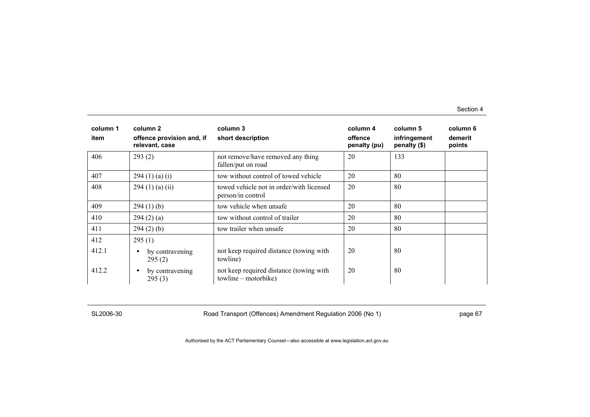| column 1<br>item | column 2<br>offence provision and, if<br>relevant, case | column 3<br>short description                                     | column 4<br>offence<br>penalty (pu) | column 5<br>infringement<br>penalty (\$) | column 6<br>demerit<br>points |
|------------------|---------------------------------------------------------|-------------------------------------------------------------------|-------------------------------------|------------------------------------------|-------------------------------|
| 406              | 293(2)                                                  | not remove/have removed any thing<br>fallen/put on road           | 20                                  | 133                                      |                               |
| 407              | 294(1)(a)(i)                                            | tow without control of towed vehicle                              | 20                                  | 80                                       |                               |
| 408              | 294(1)(a)(ii)                                           | towed vehicle not in order/with licensed<br>person/in control     | 20                                  | 80                                       |                               |
| 409              | 294(1)(b)                                               | tow vehicle when unsafe                                           | 20                                  | 80                                       |                               |
| 410              | 294(2)(a)                                               | tow without control of trailer                                    | 20                                  | 80                                       |                               |
| 411              | 294(2)(b)                                               | tow trailer when unsafe                                           | 20                                  | 80                                       |                               |
| 412              | 295(1)                                                  |                                                                   |                                     |                                          |                               |
| 412.1            | by contravening<br>$\bullet$<br>295(2)                  | not keep required distance (towing with<br>towline)               | 20                                  | 80                                       |                               |
| 412.2            | by contravening<br>$\bullet$<br>295(3)                  | not keep required distance (towing with<br>$towline - motorbike)$ | 20                                  | 80                                       |                               |

SL2006-30 Road Transport (Offences) Amendment Regulation 2006 (No 1) page 67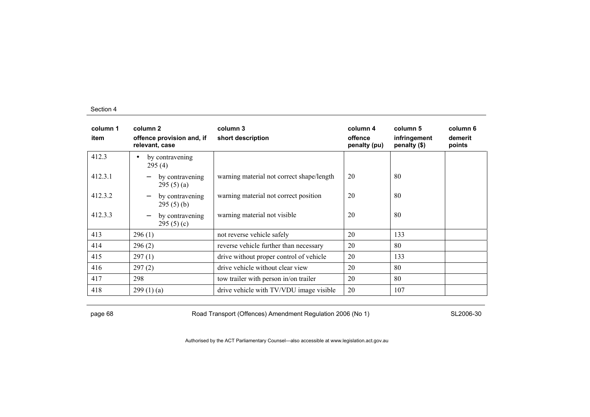| column 1<br>item | column 2<br>offence provision and, if<br>relevant, case     | column 3<br>short description             | column 4<br>offence<br>penalty (pu) | column 5<br>infringement<br>penalty (\$) | column 6<br>demerit<br>points |
|------------------|-------------------------------------------------------------|-------------------------------------------|-------------------------------------|------------------------------------------|-------------------------------|
| 412.3            | by contravening<br>$\bullet$<br>295(4)                      |                                           |                                     |                                          |                               |
| 412.3.1          | by contravening<br>295(5)(a)                                | warning material not correct shape/length | 20                                  | 80                                       |                               |
| 412.3.2          | by contravening<br>295(5)(b)                                | warning material not correct position     | 20                                  | 80                                       |                               |
| 412.3.3          | by contravening<br>$\overline{\phantom{0}}$<br>295 $(5)(c)$ | warning material not visible              | 20                                  | 80                                       |                               |
| 413              | 296(1)                                                      | not reverse vehicle safely                | 20                                  | 133                                      |                               |
| 414              | 296(2)                                                      | reverse vehicle further than necessary    | 20                                  | 80                                       |                               |
| 415              | 297(1)                                                      | drive without proper control of vehicle   | 20                                  | 133                                      |                               |
| 416              | 297(2)                                                      | drive vehicle without clear view          | 20                                  | 80                                       |                               |
| 417              | 298                                                         | tow trailer with person in/on trailer     | 20                                  | 80                                       |                               |
| 418              | 299(1)(a)                                                   | drive vehicle with TV/VDU image visible   | 20                                  | 107                                      |                               |

page 68 **Road Transport (Offences) Amendment Regulation 2006 (No 1)** SL2006-30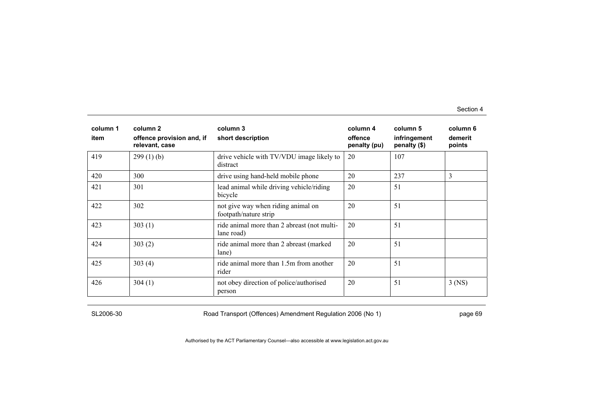| column 1<br>item | column 2<br>offence provision and, if<br>relevant, case | column 3<br>short description                               | column 4<br>offence<br>penalty (pu) | column 5<br>infringement<br>penalty (\$) | column 6<br>demerit<br>points |
|------------------|---------------------------------------------------------|-------------------------------------------------------------|-------------------------------------|------------------------------------------|-------------------------------|
| 419              | 299(1)(b)                                               | drive vehicle with TV/VDU image likely to<br>distract       | 20                                  | 107                                      |                               |
| 420              | 300                                                     | drive using hand-held mobile phone                          | 20                                  | 237                                      | 3                             |
| 421              | 301                                                     | lead animal while driving vehicle/riding<br>bicycle         | 20                                  | 51                                       |                               |
| 422              | 302                                                     | not give way when riding animal on<br>footpath/nature strip | 20                                  | 51                                       |                               |
| 423              | 303(1)                                                  | ride animal more than 2 abreast (not multi-<br>lane road)   | 20                                  | 51                                       |                               |
| 424              | 303(2)                                                  | ride animal more than 2 abreast (marked<br>lane)            | 20                                  | 51                                       |                               |
| 425              | 303(4)                                                  | ride animal more than 1.5m from another<br>rider            | 20                                  | 51                                       |                               |
| 426              | 304(1)                                                  | not obey direction of police/authorised<br>person           | 20                                  | 51                                       | $3$ (NS)                      |

SL2006-30 Road Transport (Offences) Amendment Regulation 2006 (No 1) page 69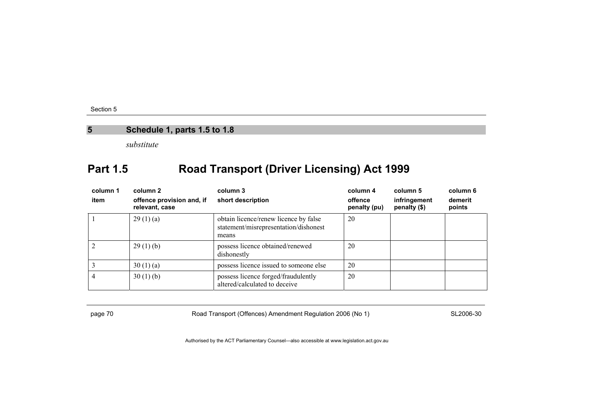### **5 Schedule 1, parts 1.5 to 1.8**

*substitute* 

# **Part 1.5 Road Transport (Driver Licensing) Act 1999**

| column 1<br>item | column <sub>2</sub><br>offence provision and, if<br>relevant, case | column 3<br>short description                                                           | column 4<br>offence<br>penalty (pu) | column 5<br>infringement<br>penalty (\$) | column 6<br>demerit<br>points |
|------------------|--------------------------------------------------------------------|-----------------------------------------------------------------------------------------|-------------------------------------|------------------------------------------|-------------------------------|
|                  | 29(1)(a)                                                           | obtain licence/renew licence by false<br>statement/misrepresentation/dishonest<br>means | 20                                  |                                          |                               |
|                  | 29(1)(b)                                                           | possess licence obtained/renewed<br>dishonestly                                         | 20                                  |                                          |                               |
|                  | 30(1)(a)                                                           | possess licence issued to someone else                                                  | 20                                  |                                          |                               |
|                  | 30(1)(b)                                                           | possess licence forged/fraudulently<br>altered/calculated to deceive                    | 20                                  |                                          |                               |

page 70 Road Transport (Offences) Amendment Regulation 2006 (No 1) SL2006-30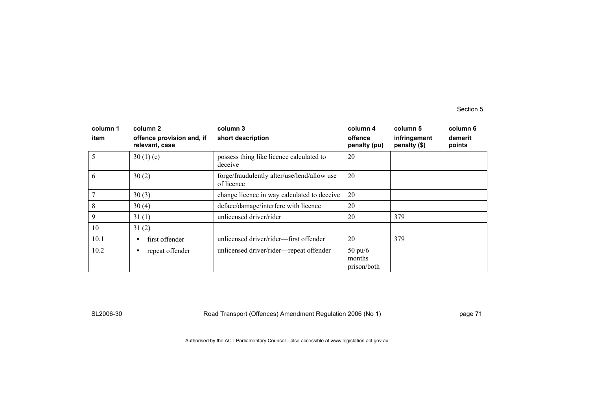| column 1<br>item | column 2<br>offence provision and, if<br>relevant, case | column 3<br>short description                             | column 4<br>offence<br>penalty (pu)        | column 5<br>infringement<br>penalty (\$) | column 6<br>demerit<br>points |
|------------------|---------------------------------------------------------|-----------------------------------------------------------|--------------------------------------------|------------------------------------------|-------------------------------|
| 5                | 30(1)(c)                                                | possess thing like licence calculated to<br>deceive       | 20                                         |                                          |                               |
| 6                | 30(2)                                                   | forge/fraudulently alter/use/lend/allow use<br>of licence | 20                                         |                                          |                               |
|                  | 30(3)                                                   | change licence in way calculated to deceive               | 20                                         |                                          |                               |
| 8                | 30(4)                                                   | deface/damage/interfere with licence                      | 20                                         |                                          |                               |
| 9                | 31(1)                                                   | unlicensed driver/rider                                   | 20                                         | 379                                      |                               |
| 10               | 31(2)                                                   |                                                           |                                            |                                          |                               |
| 10.1             | first offender<br>$\bullet$                             | unlicensed driver/rider—first offender                    | 20                                         | 379                                      |                               |
| 10.2             | repeat offender<br>٠                                    | unlicensed driver/rider-repeat offender                   | $50 \text{ pu}/6$<br>months<br>prison/both |                                          |                               |

SL2006-30 Road Transport (Offences) Amendment Regulation 2006 (No 1) Page 71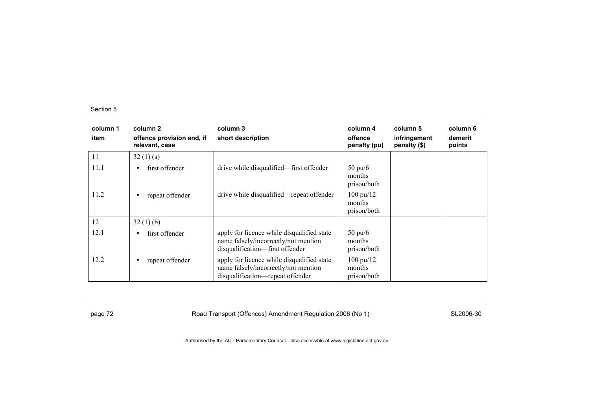| column 1<br>item | column 2<br>offence provision and, if<br>relevant, case | column 3<br>short description                                                                                          | column 4<br>offence<br>penalty (pu)          | column 5<br>infringement<br>penalty (\$) | column 6<br>demerit<br>points |
|------------------|---------------------------------------------------------|------------------------------------------------------------------------------------------------------------------------|----------------------------------------------|------------------------------------------|-------------------------------|
| 11               | 32(1)(a)                                                |                                                                                                                        |                                              |                                          |                               |
| 11.1             | first offender<br>$\bullet$                             | drive while disqualified—first offender                                                                                | $50 \text{ pu/6}$<br>months<br>prison/both   |                                          |                               |
| 11.2             | repeat offender<br>٠                                    | drive while disqualified—repeat offender                                                                               | $100 \text{ pu}/12$<br>months<br>prison/both |                                          |                               |
| 12               | 32(1)(b)                                                |                                                                                                                        |                                              |                                          |                               |
| 12.1             | first offender<br>$\bullet$                             | apply for licence while disqualified state<br>name falsely/incorrectly/not mention<br>disqualification—first offender  | $50 \text{ pu}/6$<br>months<br>prison/both   |                                          |                               |
| 12.2             | repeat offender<br>$\bullet$                            | apply for licence while disqualified state<br>name falsely/incorrectly/not mention<br>disqualification-repeat offender | $100 \text{ pu}/12$<br>months<br>prison/both |                                          |                               |

page 72 **Road Transport (Offences) Amendment Regulation 2006 (No 1)** SL2006-30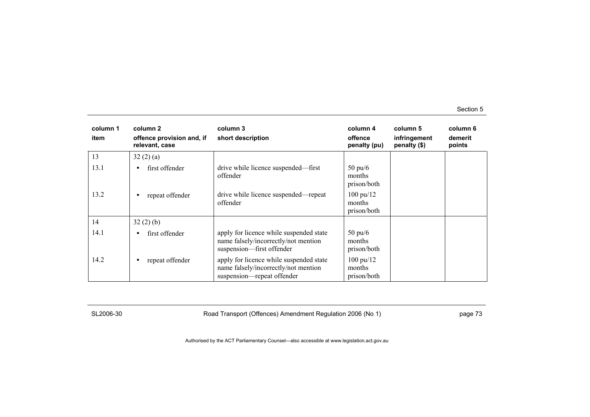| column 1<br>item | column 2<br>offence provision and, if<br>relevant, case | column 3<br>short description                                                                                 | column 4<br>offence<br>penalty (pu)          | column 5<br>infringement<br>penalty (\$) | column 6<br>demerit<br>points |
|------------------|---------------------------------------------------------|---------------------------------------------------------------------------------------------------------------|----------------------------------------------|------------------------------------------|-------------------------------|
| 13               | 32(2)(a)                                                |                                                                                                               |                                              |                                          |                               |
| 13.1             | first offender<br>$\bullet$                             | drive while licence suspended—first<br>offender                                                               | $50 \text{ pu}/6$<br>months<br>prison/both   |                                          |                               |
| 13.2             | repeat offender<br>٠                                    | drive while licence suspended—repeat<br>offender                                                              | $100 \text{ pu}/12$<br>months<br>prison/both |                                          |                               |
| 14               | 32(2)(b)                                                |                                                                                                               |                                              |                                          |                               |
| 14.1             | first offender<br>$\bullet$                             | apply for licence while suspended state<br>name falsely/incorrectly/not mention<br>suspension-first offender  | $50 \text{ pu}/6$<br>months<br>prison/both   |                                          |                               |
| 14.2             | repeat offender<br>$\bullet$                            | apply for licence while suspended state<br>name falsely/incorrectly/not mention<br>suspension—repeat offender | $100 \text{ pu}/12$<br>months<br>prison/both |                                          |                               |

SL2006-30 Road Transport (Offences) Amendment Regulation 2006 (No 1) page 73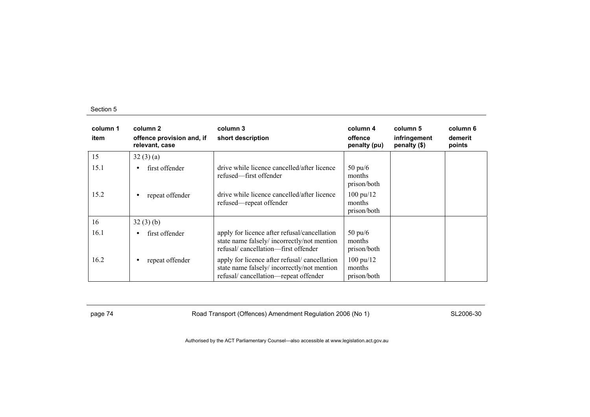| column 1<br>item | column 2<br>offence provision and, if<br>relevant, case | column 3<br>short description                                                                                                      | column 4<br>offence<br>penalty (pu)          | column 5<br>infringement<br>penalty (\$) | column 6<br>demerit<br>points |
|------------------|---------------------------------------------------------|------------------------------------------------------------------------------------------------------------------------------------|----------------------------------------------|------------------------------------------|-------------------------------|
| 15               | 32(3)(a)                                                |                                                                                                                                    |                                              |                                          |                               |
| 15.1             | first offender<br>$\bullet$                             | drive while licence cancelled/after licence<br>refused—first offender                                                              | $50 \text{ pu}/6$<br>months<br>prison/both   |                                          |                               |
| 15.2             | repeat offender<br>٠                                    | drive while licence cancelled/after licence<br>refused—repeat offender                                                             | $100 \text{ pu}/12$<br>months<br>prison/both |                                          |                               |
| 16               | 32(3)(b)                                                |                                                                                                                                    |                                              |                                          |                               |
| 16.1             | first offender<br>٠                                     | apply for licence after refusal/cancellation<br>state name falsely/incorrectly/not mention<br>refusal/cancellation—first offender  | $50 \text{ pu}/6$<br>months<br>prison/both   |                                          |                               |
| 16.2             | repeat offender<br>٠                                    | apply for licence after refusal/cancellation<br>state name falsely/incorrectly/not mention<br>refusal/cancellation-repeat offender | $100 \text{ pu}/12$<br>months<br>prison/both |                                          |                               |

page 74 **Road Transport (Offences) Amendment Regulation 2006 (No 1)** SL2006-30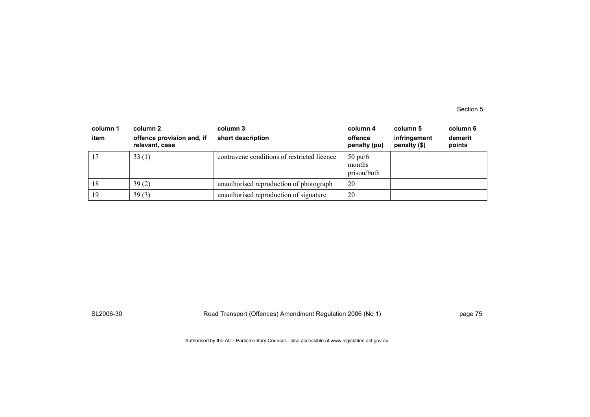| column 1<br>item | column 2<br>offence provision and, if<br>relevant, case | column 3<br>short description               | column 4<br>offence<br>penalty (pu)        | column 5<br>infringement<br>penalty $(\$)$ | column 6<br>demerit<br>points |
|------------------|---------------------------------------------------------|---------------------------------------------|--------------------------------------------|--------------------------------------------|-------------------------------|
| -17              | 33(1)                                                   | contravene conditions of restricted licence | $50 \text{ pu}/6$<br>months<br>prison/both |                                            |                               |
| 18               | 39(2)                                                   | unauthorised reproduction of photograph     | 20                                         |                                            |                               |
| 19               | 39(3)                                                   | unauthorised reproduction of signature      | 20                                         |                                            |                               |

SL2006-30 Road Transport (Offences) Amendment Regulation 2006 (No 1) page 75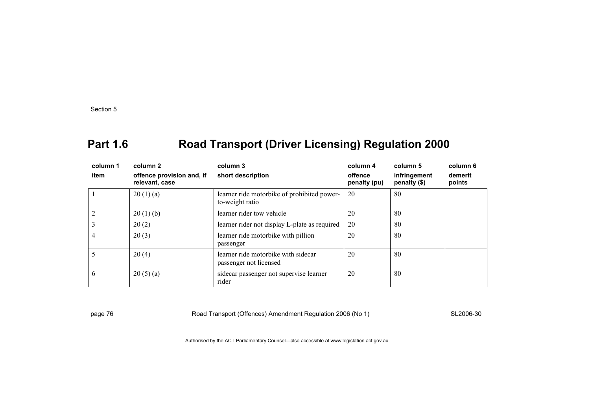# **Part 1.6 Road Transport (Driver Licensing) Regulation 2000**

| column 1<br>item | column 2<br>offence provision and, if<br>relevant, case | column 3<br>short description                                  | column 4<br>offence<br>penalty (pu) | column 5<br>infringement<br>penalty (\$) | column 6<br>demerit<br>points |
|------------------|---------------------------------------------------------|----------------------------------------------------------------|-------------------------------------|------------------------------------------|-------------------------------|
|                  | 20(1)(a)                                                | learner ride motorbike of prohibited power-<br>to-weight ratio | 20                                  | 80                                       |                               |
| $\overline{c}$   | 20(1)(b)                                                | learner rider tow vehicle                                      | 20                                  | 80                                       |                               |
| 3                | 20(2)                                                   | learner rider not display L-plate as required                  | 20                                  | 80                                       |                               |
| 4                | 20(3)                                                   | learner ride motorbike with pillion<br>passenger               | 20                                  | 80                                       |                               |
| 5                | 20(4)                                                   | learner ride motorbike with sidecar<br>passenger not licensed  | 20                                  | 80                                       |                               |
| 6                | 20(5)(a)                                                | sidecar passenger not supervise learner<br>rider               | 20                                  | 80                                       |                               |

page 76 Road Transport (Offences) Amendment Regulation 2006 (No 1) SL2006-30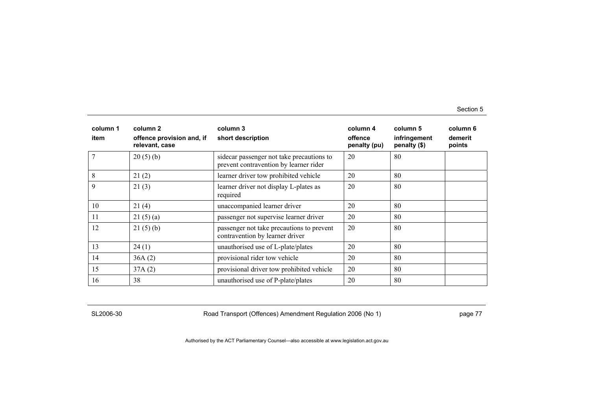| column 1<br>item | column <sub>2</sub><br>offence provision and, if<br>relevant, case | column 3<br>short description                                                        | column 4<br>offence<br>penalty (pu) | column 5<br>infringement<br>penalty (\$) | column 6<br>demerit<br>points |
|------------------|--------------------------------------------------------------------|--------------------------------------------------------------------------------------|-------------------------------------|------------------------------------------|-------------------------------|
|                  | 20(5)(b)                                                           | side car passenger not take precautions to<br>prevent contravention by learner rider | 20                                  | 80                                       |                               |
| 8                | 21(2)                                                              | learner driver tow prohibited vehicle                                                | 20                                  | 80                                       |                               |
| 9                | 21(3)                                                              | learner driver not display L-plates as<br>required                                   | 20                                  | 80                                       |                               |
| 10               | 21(4)                                                              | unaccompanied learner driver                                                         | 20                                  | 80                                       |                               |
| 11               | 21(5)(a)                                                           | passenger not supervise learner driver                                               | 20                                  | 80                                       |                               |
| 12               | 21(5)(b)                                                           | passenger not take precautions to prevent<br>contravention by learner driver         | 20                                  | 80                                       |                               |
| 13               | 24(1)                                                              | unauthorised use of L-plate/plates                                                   | 20                                  | 80                                       |                               |
| 14               | 36A(2)                                                             | provisional rider tow vehicle                                                        | 20                                  | 80                                       |                               |
| 15               | 37A(2)                                                             | provisional driver tow prohibited vehicle                                            | 20                                  | 80                                       |                               |
| 16               | 38                                                                 | unauthorised use of P-plate/plates                                                   | 20                                  | 80                                       |                               |

SL2006-30 Road Transport (Offences) Amendment Regulation 2006 (No 1) page 77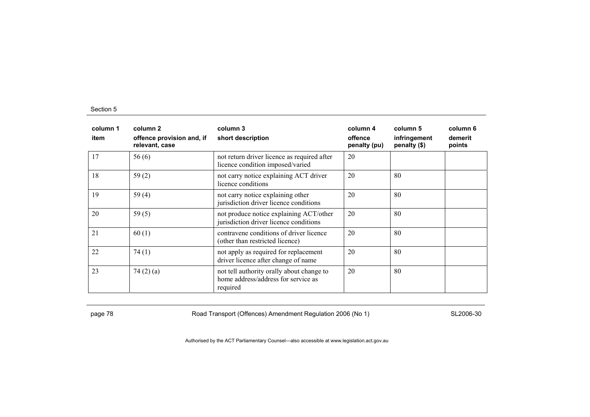| column 1<br>item | column 2<br>offence provision and, if<br>relevant, case | column 3<br>short description                                                                | column 4<br>offence<br>penalty (pu) | column 5<br>infringement<br>penalty (\$) | column 6<br>demerit<br>points |
|------------------|---------------------------------------------------------|----------------------------------------------------------------------------------------------|-------------------------------------|------------------------------------------|-------------------------------|
| 17               | 56(6)                                                   | not return driver licence as required after<br>licence condition imposed/varied              | 20                                  |                                          |                               |
| 18               | 59 $(2)$                                                | not carry notice explaining ACT driver<br>licence conditions                                 | 20                                  | 80                                       |                               |
| 19               | 59 $(4)$                                                | not carry notice explaining other<br>jurisdiction driver licence conditions                  | 20                                  | 80                                       |                               |
| 20               | 59 $(5)$                                                | not produce notice explaining ACT/other<br>jurisdiction driver licence conditions            | 20                                  | 80                                       |                               |
| 21               | 60(1)                                                   | contravene conditions of driver licence<br>(other than restricted licence)                   | 20                                  | 80                                       |                               |
| 22               | 74(1)                                                   | not apply as required for replacement<br>driver licence after change of name                 | 20                                  | 80                                       |                               |
| 23               | 74 $(2)$ $(a)$                                          | not tell authority orally about change to<br>home address/address for service as<br>required | 20                                  | 80                                       |                               |

page 78 **Road Transport (Offences) Amendment Regulation 2006 (No 1)** SL2006-30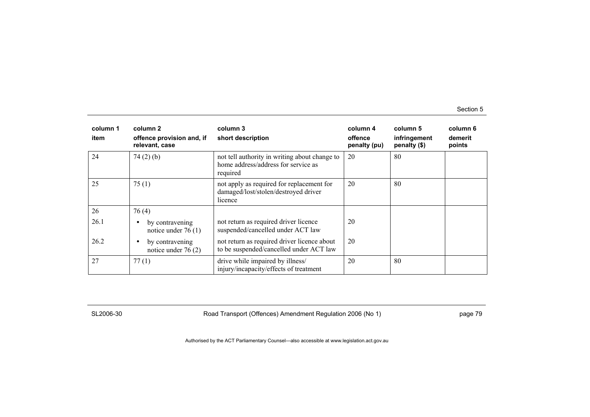| column 1<br>item | column 2<br>offence provision and, if<br>relevant, case | column 3<br>short description                                                                    | column 4<br>offence<br>penalty (pu) | column 5<br>infringement<br>penalty (\$) | column 6<br>demerit<br>points |
|------------------|---------------------------------------------------------|--------------------------------------------------------------------------------------------------|-------------------------------------|------------------------------------------|-------------------------------|
| 24               | 74(2)(b)                                                | not tell authority in writing about change to<br>home address/address for service as<br>required | 20                                  | 80                                       |                               |
| 25               | 75(1)                                                   | not apply as required for replacement for<br>damaged/lost/stolen/destroyed driver<br>licence     | 20                                  | 80                                       |                               |
| 26               | 76(4)                                                   |                                                                                                  |                                     |                                          |                               |
| 26.1             | by contravening<br>$\bullet$<br>notice under $76(1)$    | not return as required driver licence<br>suspended/cancelled under ACT law                       | 20                                  |                                          |                               |
| 26.2             | by contravening<br>$\bullet$<br>notice under $76(2)$    | not return as required driver licence about<br>to be suspended/cancelled under ACT law           | 20                                  |                                          |                               |
| 27               | 77(1)                                                   | drive while impaired by illness/<br>injury/incapacity/effects of treatment                       | 20                                  | 80                                       |                               |

SL2006-30 Road Transport (Offences) Amendment Regulation 2006 (No 1) page 79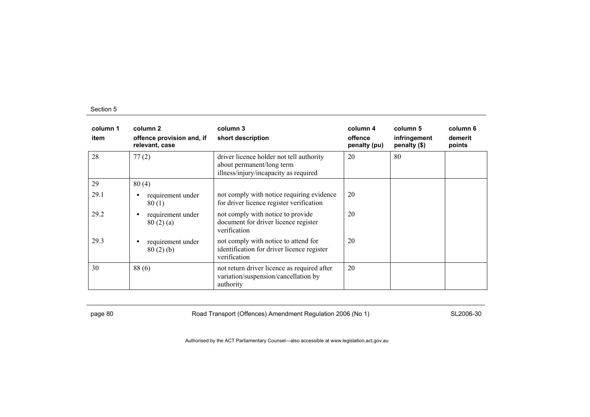| column 1<br>item | column 2<br>offence provision and, if<br>relevant, case | column 3<br>short description                                                                                  | column 4<br>offence<br>penalty (pu) | column 5<br>infringement<br>penalty (\$) | column 6<br>demerit<br>points |
|------------------|---------------------------------------------------------|----------------------------------------------------------------------------------------------------------------|-------------------------------------|------------------------------------------|-------------------------------|
| 28               | 77(2)                                                   | driver licence holder not tell authority<br>about permanent/long term<br>illness/injury/incapacity as required | 20                                  | 80                                       |                               |
| 29               | 80(4)                                                   |                                                                                                                |                                     |                                          |                               |
| 29.1             | requirement under<br>$\bullet$<br>80(1)                 | not comply with notice requiring evidence<br>for driver licence register verification                          | 20                                  |                                          |                               |
| 29.2             | requirement under<br>$\bullet$<br>80(2)(a)              | not comply with notice to provide<br>document for driver licence register<br>verification                      | 20                                  |                                          |                               |
| 29.3             | requirement under<br>$\bullet$<br>80(2)(b)              | not comply with notice to attend for<br>identification for driver licence register<br>verification             | 20                                  |                                          |                               |
| 30               | 88(6)                                                   | not return driver licence as required after<br>variation/suspension/cancellation by<br>authority               | 20                                  |                                          |                               |

page 80 Road Transport (Offences) Amendment Regulation 2006 (No 1) SL2006-30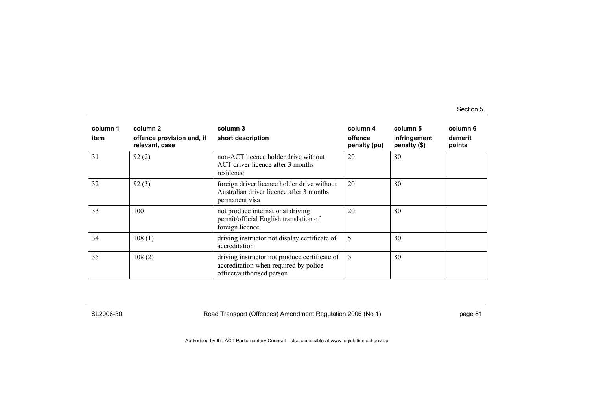| column 1<br>item | column 2<br>offence provision and, if<br>relevant, case | column 3<br>short description                                                                                       | column 4<br>offence<br>penalty (pu) | column 5<br>infringement<br>penalty (\$) | column 6<br>demerit<br>points |
|------------------|---------------------------------------------------------|---------------------------------------------------------------------------------------------------------------------|-------------------------------------|------------------------------------------|-------------------------------|
| 31               | 92(2)                                                   | non-ACT licence holder drive without<br>ACT driver licence after 3 months<br>residence                              | 20                                  | 80                                       |                               |
| 32               | 92(3)                                                   | foreign driver licence holder drive without<br>Australian driver licence after 3 months<br>permanent visa           | 20                                  | 80                                       |                               |
| 33               | 100                                                     | not produce international driving<br>permit/official English translation of<br>foreign licence                      | 20                                  | 80                                       |                               |
| 34               | 108(1)                                                  | driving instructor not display certificate of<br>accreditation                                                      | 5                                   | 80                                       |                               |
| 35               | 108(2)                                                  | driving instructor not produce certificate of<br>accreditation when required by police<br>officer/authorised person | 5                                   | 80                                       |                               |

SL2006-30 Road Transport (Offences) Amendment Regulation 2006 (No 1) page 81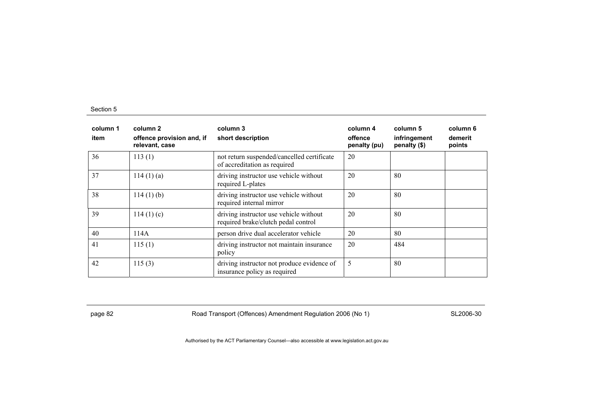| column 1<br>item | column 2<br>offence provision and, if<br>relevant, case | column 3<br>short description                                                 | column 4<br>offence<br>penalty (pu) | column 5<br>infringement<br>penalty (\$) | column 6<br>demerit<br>points |
|------------------|---------------------------------------------------------|-------------------------------------------------------------------------------|-------------------------------------|------------------------------------------|-------------------------------|
| 36               | 113(1)                                                  | not return suspended/cancelled certificate<br>of accreditation as required    | 20                                  |                                          |                               |
| 37               | 114(1)(a)                                               | driving instructor use vehicle without<br>required L-plates                   | 20                                  | 80                                       |                               |
| 38               | $114(1)$ (b)                                            | driving instructor use vehicle without<br>required internal mirror            | 20                                  | 80                                       |                               |
| 39               | 114(1)(c)                                               | driving instructor use vehicle without<br>required brake/clutch pedal control | 20                                  | 80                                       |                               |
| 40               | 114A                                                    | person drive dual accelerator vehicle                                         | 20                                  | 80                                       |                               |
| 41               | 115(1)                                                  | driving instructor not maintain insurance<br>policy                           | 20                                  | 484                                      |                               |
| 42               | 115(3)                                                  | driving instructor not produce evidence of<br>insurance policy as required    | 5                                   | 80                                       |                               |

page 82 Road Transport (Offences) Amendment Regulation 2006 (No 1) SL2006-30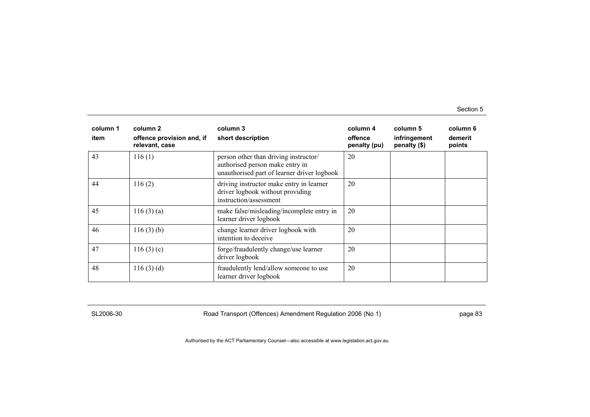| column 1<br>item | column 2<br>offence provision and, if<br>relevant, case | column 3<br>short description                                                                                           | column 4<br>offence<br>penalty (pu) | column 5<br>infringement<br>penalty (\$) | column 6<br>demerit<br>points |
|------------------|---------------------------------------------------------|-------------------------------------------------------------------------------------------------------------------------|-------------------------------------|------------------------------------------|-------------------------------|
| 43               | 116(1)                                                  | person other than driving instructor/<br>authorised person make entry in<br>unauthorised part of learner driver logbook | 20                                  |                                          |                               |
| 44               | 116(2)                                                  | driving instructor make entry in learner<br>driver logbook without providing<br>instruction/assessment                  | 20                                  |                                          |                               |
| 45               | 116(3)(a)                                               | make false/misleading/incomplete entry in<br>learner driver logbook                                                     | 20                                  |                                          |                               |
| 46               | 116(3)(b)                                               | change learner driver logbook with<br>intention to deceive                                                              | 20                                  |                                          |                               |
| 47               | 116(3)(c)                                               | forge/fraudulently change/use learner<br>driver logbook                                                                 | 20                                  |                                          |                               |
| 48               | 116(3)(d)                                               | fraudulently lend/allow someone to use<br>learner driver logbook                                                        | 20                                  |                                          |                               |

SL2006-30 Road Transport (Offences) Amendment Regulation 2006 (No 1) page 83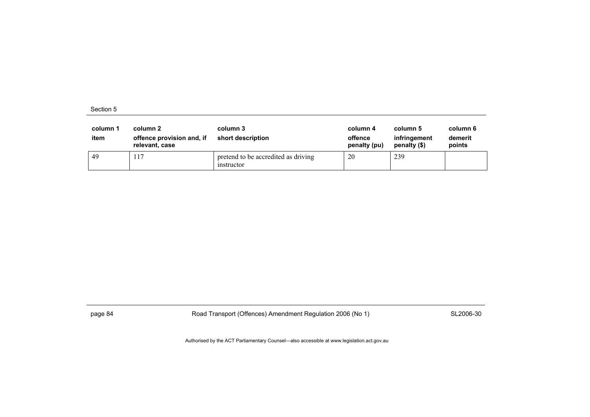| column 1<br>item | column 2<br>offence provision and, if<br>relevant, case | column 3<br>short description                     | column 4<br>offence<br>penalty (pu) | column 5<br>infringement<br>penalty (\$) | column 6<br>demerit<br>points |
|------------------|---------------------------------------------------------|---------------------------------------------------|-------------------------------------|------------------------------------------|-------------------------------|
| -49              | 117                                                     | pretend to be accredited as driving<br>instructor | 20                                  | 239                                      |                               |

page 84 Road Transport (Offences) Amendment Regulation 2006 (No 1) SL2006-30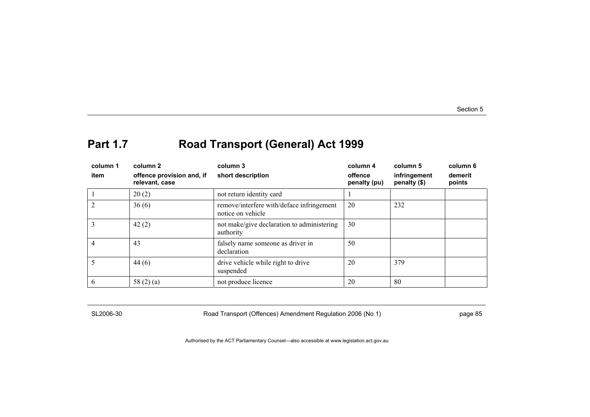# **Part 1.7 Road Transport (General) Act 1999**

| column 1<br>item | column 2<br>offence provision and, if<br>relevant, case | column 3<br>short description                                  | column 4<br>offence<br>penalty (pu) | column 5<br>infringement<br>penalty (\$) | column 6<br>demerit<br>points |
|------------------|---------------------------------------------------------|----------------------------------------------------------------|-------------------------------------|------------------------------------------|-------------------------------|
|                  | 20(2)                                                   | not return identity card                                       |                                     |                                          |                               |
|                  | 36(6)                                                   | remove/interfere with/deface infringement<br>notice on vehicle | 20                                  | 232                                      |                               |
|                  | 42(2)                                                   | not make/give declaration to administering<br>authority        | 30                                  |                                          |                               |
|                  | 43                                                      | falsely name someone as driver in<br>declaration               | 50                                  |                                          |                               |
|                  | 44(6)                                                   | drive vehicle while right to drive<br>suspended                | 20                                  | 379                                      |                               |
| 6                | 58 $(2)$ $(a)$                                          | not produce licence                                            | 20                                  | -80                                      |                               |

SL2006-30 Road Transport (Offences) Amendment Regulation 2006 (No 1) page 85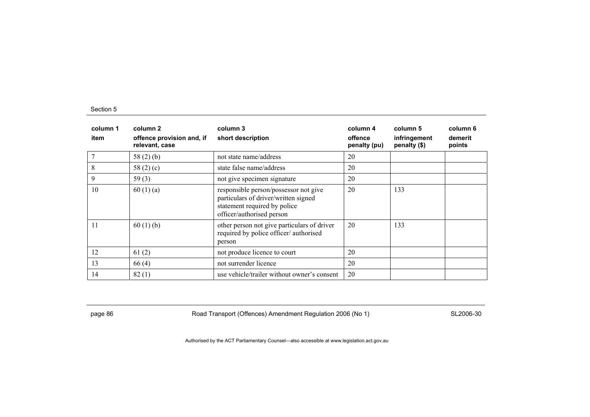| column 1<br>item | column 2<br>offence provision and, if<br>relevant, case | column 3<br>short description                                                                                                              | column 4<br>offence<br>penalty (pu) | column 5<br>infringement<br>penalty (\$) | column 6<br>demerit<br>points |
|------------------|---------------------------------------------------------|--------------------------------------------------------------------------------------------------------------------------------------------|-------------------------------------|------------------------------------------|-------------------------------|
|                  | 58 $(2)$ $(b)$                                          | not state name/address                                                                                                                     | 20                                  |                                          |                               |
| 8                | 58 $(2)(c)$                                             | state false name/address                                                                                                                   | 20                                  |                                          |                               |
| 9                | 59 $(3)$                                                | not give specimen signature                                                                                                                | 20                                  |                                          |                               |
| 10               | 60(1)(a)                                                | responsible person/possessor not give<br>particulars of driver/written signed<br>statement required by police<br>officer/authorised person | 20                                  | 133                                      |                               |
| 11               | 60(1)(b)                                                | other person not give particulars of driver<br>required by police officer/authorised<br>person                                             | 20                                  | 133                                      |                               |
| 12               | 61(2)                                                   | not produce licence to court                                                                                                               | 20                                  |                                          |                               |
| 13               | 66(4)                                                   | not surrender licence                                                                                                                      | 20                                  |                                          |                               |
| 14               | 82(1)                                                   | use vehicle/trailer without owner's consent                                                                                                | 20                                  |                                          |                               |

page 86 **Road Transport (Offences) Amendment Regulation 2006 (No 1)** SL2006-30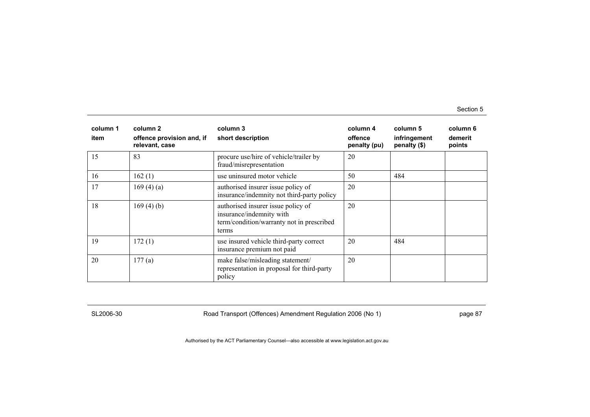| column 1<br>item | column 2<br>offence provision and, if<br>relevant, case | column 3<br>short description                                                                                        | column 4<br>offence<br>penalty (pu) | column 5<br>infringement<br>penalty (\$) | column 6<br>demerit<br>points |
|------------------|---------------------------------------------------------|----------------------------------------------------------------------------------------------------------------------|-------------------------------------|------------------------------------------|-------------------------------|
| 15               | 83                                                      | procure use/hire of vehicle/trailer by<br>fraud/misrepresentation                                                    | 20                                  |                                          |                               |
| 16               | 162(1)                                                  | use uninsured motor vehicle                                                                                          | 50                                  | 484                                      |                               |
| 17               | 169(4)(a)                                               | authorised insurer issue policy of<br>insurance/indemnity not third-party policy                                     | 20                                  |                                          |                               |
| 18               | 169(4)(b)                                               | authorised insurer issue policy of<br>insurance/indemnity with<br>term/condition/warranty not in prescribed<br>terms | 20                                  |                                          |                               |
| 19               | 172(1)                                                  | use insured vehicle third-party correct<br>insurance premium not paid                                                | 20                                  | 484                                      |                               |
| 20               | 177(a)                                                  | make false/misleading statement/<br>representation in proposal for third-party<br>policy                             | 20                                  |                                          |                               |

SL2006-30 Road Transport (Offences) Amendment Regulation 2006 (No 1) page 87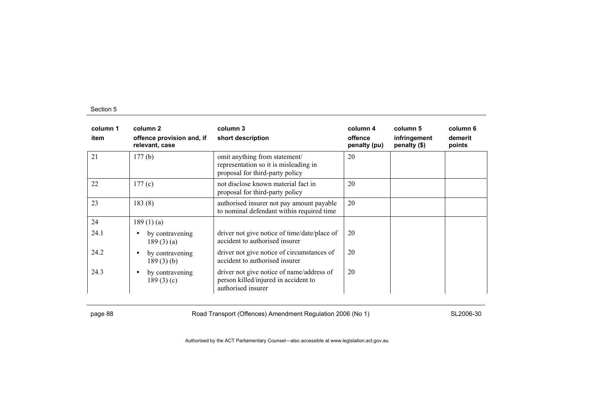| column 1<br>item | column 2<br>offence provision and, if<br>relevant, case | column 3<br>short description                                                                             | column 4<br>offence<br>penalty (pu) | column 5<br>infringement<br>penalty (\$) | column 6<br>demerit<br>points |
|------------------|---------------------------------------------------------|-----------------------------------------------------------------------------------------------------------|-------------------------------------|------------------------------------------|-------------------------------|
| 21               | 177(b)                                                  | omit anything from statement/<br>representation so it is misleading in<br>proposal for third-party policy | 20                                  |                                          |                               |
| 22               | 177(c)                                                  | not disclose known material fact in<br>proposal for third-party policy                                    | 20                                  |                                          |                               |
| 23               | 183(8)                                                  | authorised insurer not pay amount payable<br>to nominal defendant within required time                    | 20                                  |                                          |                               |
| 24               | 189(1)(a)                                               |                                                                                                           |                                     |                                          |                               |
| 24.1             | by contravening<br>$\bullet$<br>189(3)(a)               | driver not give notice of time/date/place of<br>accident to authorised insurer                            | 20                                  |                                          |                               |
| 24.2             | by contravening<br>$\bullet$<br>189(3)(b)               | driver not give notice of circumstances of<br>accident to authorised insurer                              | 20                                  |                                          |                               |
| 24.3             | by contravening<br>$\bullet$<br>189(3)(c)               | driver not give notice of name/address of<br>person killed/injured in accident to<br>authorised insurer   | 20                                  |                                          |                               |

page 88 **Road Transport (Offences) Amendment Regulation 2006 (No 1)** SL2006-30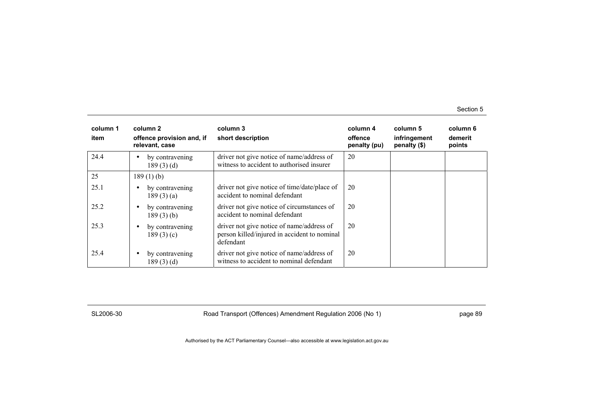| column 1<br>item | column 2<br>offence provision and, if<br>relevant, case | column 3<br>short description                                                                          | column 4<br>offence<br>penalty (pu) | column 5<br>infringement<br>penalty (\$) | column 6<br>demerit<br>points |
|------------------|---------------------------------------------------------|--------------------------------------------------------------------------------------------------------|-------------------------------------|------------------------------------------|-------------------------------|
| 24.4             | by contravening<br>$\bullet$<br>189(3)(d)               | driver not give notice of name/address of<br>witness to accident to authorised insurer                 | 20                                  |                                          |                               |
| 25               | 189(1)(b)                                               |                                                                                                        |                                     |                                          |                               |
| 25.1             | by contravening<br>$\bullet$<br>189(3)(a)               | driver not give notice of time/date/place of<br>accident to nominal defendant                          | 20                                  |                                          |                               |
| 25.2             | by contravening<br>$\bullet$<br>189(3)(b)               | driver not give notice of circumstances of<br>accident to nominal defendant                            | 20                                  |                                          |                               |
| 25.3             | by contravening<br>$\bullet$<br>189(3)(c)               | driver not give notice of name/address of<br>person killed/injured in accident to nominal<br>defendant | 20                                  |                                          |                               |
| 25.4             | by contravening<br>$\bullet$<br>189(3)(d)               | driver not give notice of name/address of<br>witness to accident to nominal defendant                  | 20                                  |                                          |                               |

SL2006-30 Road Transport (Offences) Amendment Regulation 2006 (No 1) page 89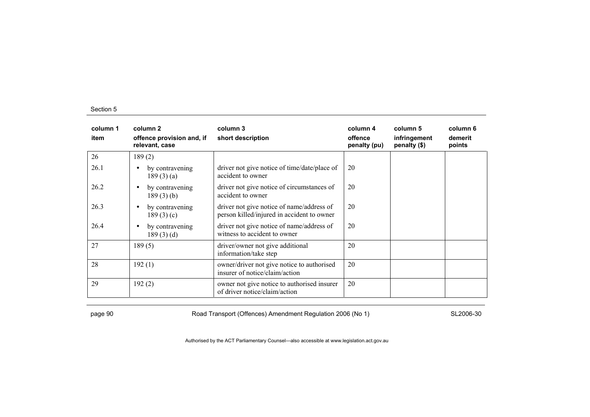| column 1<br>item | column 2<br>offence provision and, if<br>relevant, case | column 3<br>short description                                                           | column 4<br>offence<br>penalty (pu) | column 5<br>infringement<br>penalty (\$) | column 6<br>demerit<br>points |
|------------------|---------------------------------------------------------|-----------------------------------------------------------------------------------------|-------------------------------------|------------------------------------------|-------------------------------|
| 26               | 189(2)                                                  |                                                                                         |                                     |                                          |                               |
| 26.1             | by contravening<br>$\bullet$<br>189(3)(a)               | driver not give notice of time/date/place of<br>accident to owner                       | 20                                  |                                          |                               |
| 26.2             | by contravening<br>$\bullet$<br>189(3)(b)               | driver not give notice of circumstances of<br>accident to owner                         | 20                                  |                                          |                               |
| 26.3             | by contravening<br>$\bullet$<br>189(3)(c)               | driver not give notice of name/address of<br>person killed/injured in accident to owner | 20                                  |                                          |                               |
| 26.4             | by contravening<br>$\bullet$<br>189(3)(d)               | driver not give notice of name/address of<br>witness to accident to owner               | 20                                  |                                          |                               |
| 27               | 189(5)                                                  | driver/owner not give additional<br>information/take step                               | 20                                  |                                          |                               |
| 28               | 192(1)                                                  | owner/driver not give notice to authorised<br>insurer of notice/claim/action            | 20                                  |                                          |                               |
| 29               | 192(2)                                                  | owner not give notice to authorised insurer<br>of driver notice/claim/action            | 20                                  |                                          |                               |

page 90 **Road Transport (Offences) Amendment Regulation 2006 (No 1)** SL2006-30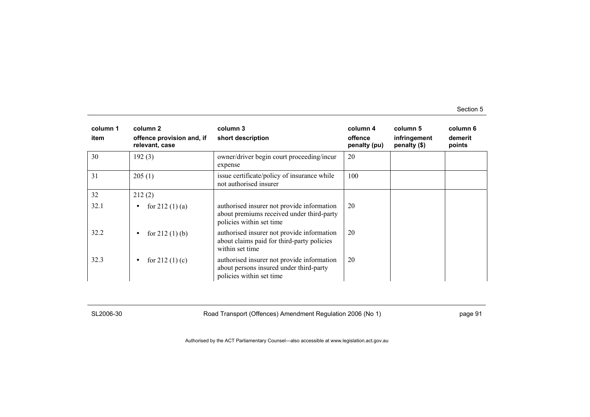| column 1<br>item | column 2<br>offence provision and, if<br>relevant, case | column 3<br>short description                                                                                       | column 4<br>offence<br>penalty (pu) | column 5<br>infringement<br>penalty (\$) | column 6<br>demerit<br>points |
|------------------|---------------------------------------------------------|---------------------------------------------------------------------------------------------------------------------|-------------------------------------|------------------------------------------|-------------------------------|
| 30               | 192(3)                                                  | owner/driver begin court proceeding/incur<br>expense                                                                | 20                                  |                                          |                               |
| 31               | 205(1)                                                  | issue certificate/policy of insurance while<br>not authorised insurer                                               | 100                                 |                                          |                               |
| 32               | 212(2)                                                  |                                                                                                                     |                                     |                                          |                               |
| 32.1             | for $212(1)(a)$<br>$\bullet$                            | authorised insurer not provide information<br>about premiums received under third-party<br>policies within set time | 20                                  |                                          |                               |
| 32.2             | for $212(1)$ (b)<br>$\bullet$                           | authorised insurer not provide information<br>about claims paid for third-party policies<br>within set time         | 20                                  |                                          |                               |
| 32.3             | for $212(1)(c)$<br>$\bullet$                            | authorised insurer not provide information<br>about persons insured under third-party<br>policies within set time   | 20                                  |                                          |                               |

SL2006-30 Road Transport (Offences) Amendment Regulation 2006 (No 1) page 91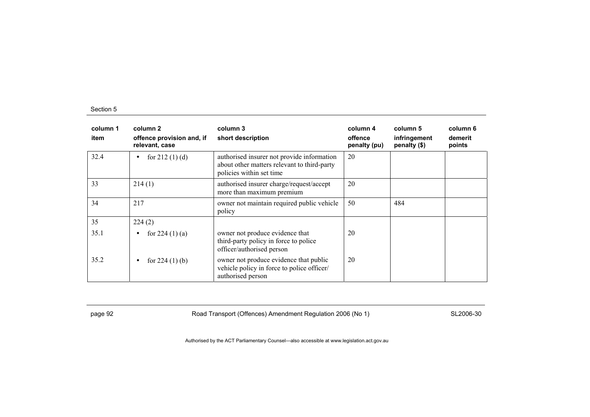| column 1<br>item | column 2<br>offence provision and, if<br>relevant, case | column 3<br>short description                                                                                         | column 4<br>offence<br>penalty (pu) | column 5<br>infringement<br>penalty (\$) | column 6<br>demerit<br>points |
|------------------|---------------------------------------------------------|-----------------------------------------------------------------------------------------------------------------------|-------------------------------------|------------------------------------------|-------------------------------|
| 32.4             | for $212(1)$ (d)<br>$\bullet$                           | authorised insurer not provide information<br>about other matters relevant to third-party<br>policies within set time | 20                                  |                                          |                               |
| 33               | 214(1)                                                  | authorised insurer charge/request/accept<br>more than maximum premium                                                 | 20                                  |                                          |                               |
| 34               | 217                                                     | owner not maintain required public vehicle<br>policy                                                                  | 50                                  | 484                                      |                               |
| 35               | 224(2)                                                  |                                                                                                                       |                                     |                                          |                               |
| 35.1             | for $224(1)(a)$<br>$\bullet$                            | owner not produce evidence that<br>third-party policy in force to police<br>officer/authorised person                 | 20                                  |                                          |                               |
| 35.2             | for $224(1)$ (b)<br>$\bullet$                           | owner not produce evidence that public<br>vehicle policy in force to police officer/<br>authorised person             | 20                                  |                                          |                               |

page 92 **Road Transport (Offences) Amendment Regulation 2006 (No 1)** SL2006-30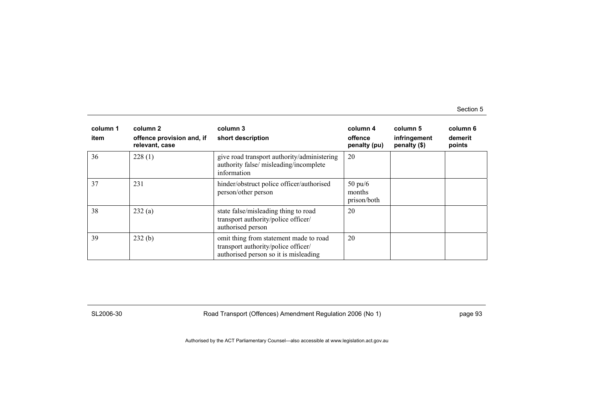| column 1<br>item | column 2<br>offence provision and, if<br>relevant, case | column 3<br>short description                                                                                          | column 4<br>offence<br>penalty (pu)        | column 5<br>infringement<br>penalty (\$) | column 6<br>demerit<br>points |
|------------------|---------------------------------------------------------|------------------------------------------------------------------------------------------------------------------------|--------------------------------------------|------------------------------------------|-------------------------------|
| 36               | 228(1)                                                  | give road transport authority/administering<br>authority false/ misleading/incomplete<br>information                   | 20                                         |                                          |                               |
| 37               | 231                                                     | hinder/obstruct police officer/authorised<br>person/other person                                                       | $50 \text{ pu}/6$<br>months<br>prison/both |                                          |                               |
| 38               | 232(a)                                                  | state false/misleading thing to road<br>transport authority/police officer/<br>authorised person                       | 20                                         |                                          |                               |
| 39               | 232(b)                                                  | omit thing from statement made to road<br>transport authority/police officer/<br>authorised person so it is misleading | 20                                         |                                          |                               |

SL2006-30 Road Transport (Offences) Amendment Regulation 2006 (No 1) page 93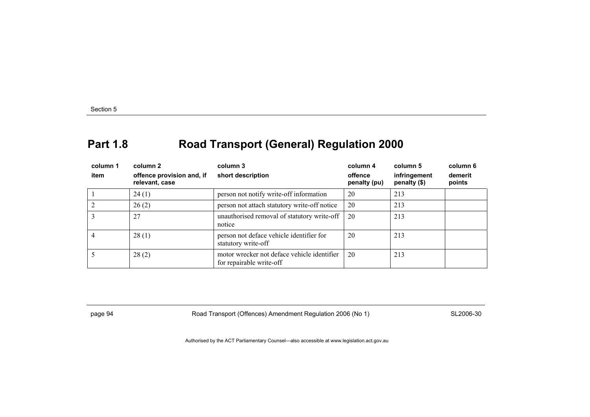# **Part 1.8 Road Transport (General) Regulation 2000**

| column 1       | column 2                                    | column 3                                                                | column 4                | column 5                     | column 6          |
|----------------|---------------------------------------------|-------------------------------------------------------------------------|-------------------------|------------------------------|-------------------|
| item           | offence provision and, if<br>relevant, case | short description                                                       | offence<br>penalty (pu) | infringement<br>penalty (\$) | demerit<br>points |
|                | 24(1)                                       | person not notify write-off information                                 | 20                      | 213                          |                   |
| $\overline{2}$ | 26(2)                                       | person not attach statutory write-off notice                            | 20                      | 213                          |                   |
| 3              | 27                                          | unauthorised removal of statutory write-off<br>notice                   | 20                      | 213                          |                   |
| 4              | 28(1)                                       | person not deface vehicle identifier for<br>statutory write-off         | 20                      | 213                          |                   |
|                | 28(2)                                       | motor wrecker not deface vehicle identifier<br>for repairable write-off | 20                      | 213                          |                   |

page 94 Road Transport (Offences) Amendment Regulation 2006 (No 1) SL2006-30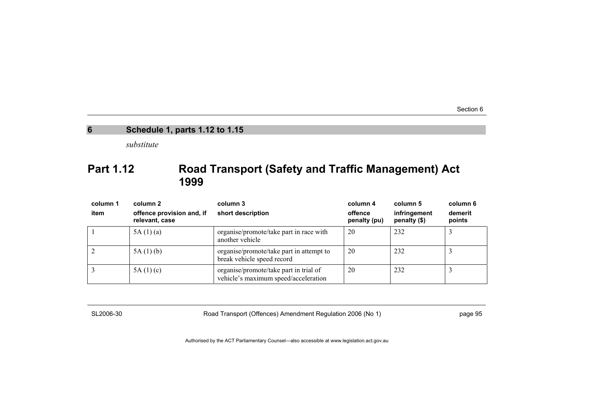### **6 Schedule 1, parts 1.12 to 1.15**

*substitute* 

### **Part 1.12 Road Transport (Safety and Traffic Management) Act 1999**

| column 1<br>item | column 2<br>offence provision and, if<br>relevant, case | column 3<br>short description                                                  | column 4<br>offence<br>penalty (pu) | column 5<br>infringement<br>penalty (\$) | column 6<br>demerit<br>points |
|------------------|---------------------------------------------------------|--------------------------------------------------------------------------------|-------------------------------------|------------------------------------------|-------------------------------|
|                  | 5A(1)(a)                                                | organise/promote/take part in race with<br>another vehicle                     | 20                                  | 232                                      |                               |
|                  | 5A(1)(b)                                                | organise/promote/take part in attempt to<br>break vehicle speed record         | 20                                  | 232                                      |                               |
|                  | 5A(1)(c)                                                | organise/promote/take part in trial of<br>vehicle's maximum speed/acceleration | 20                                  | 232                                      |                               |

SL2006-30 Road Transport (Offences) Amendment Regulation 2006 (No 1) page 95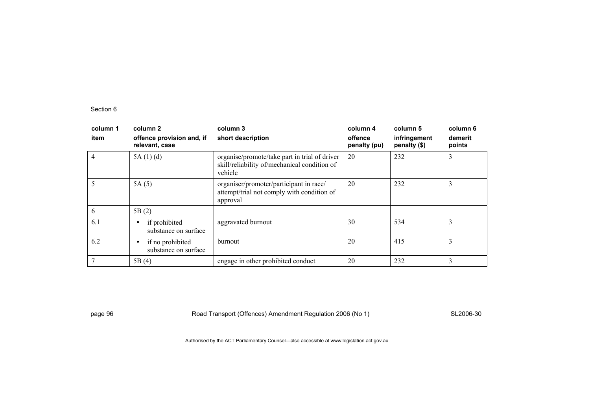| column 1<br>item | column 2<br>offence provision and, if<br>relevant, case | column 3<br>short description                                                                            | column 4<br>offence<br>penalty (pu) | column 5<br>infringement<br>penalty (\$) | column 6<br>demerit<br>points |
|------------------|---------------------------------------------------------|----------------------------------------------------------------------------------------------------------|-------------------------------------|------------------------------------------|-------------------------------|
| 4                | 5A(1)(d)                                                | organise/promote/take part in trial of driver<br>skill/reliability of/mechanical condition of<br>vehicle | 20                                  | 232                                      | 3                             |
| 5                | 5A(5)                                                   | organiser/promoter/participant in race/<br>attempt/trial not comply with condition of<br>approval        | 20                                  | 232                                      | 3                             |
| 6                | 5B(2)                                                   |                                                                                                          |                                     |                                          |                               |
| 6.1              | if prohibited<br>٠<br>substance on surface              | aggravated burnout                                                                                       | 30                                  | 534                                      | 3                             |
| 6.2              | if no prohibited<br>٠<br>substance on surface           | burnout                                                                                                  | 20                                  | 415                                      | 3                             |
|                  | 5B(4)                                                   | engage in other prohibited conduct                                                                       | 20                                  | 232                                      | 3                             |

page 96 **Road Transport (Offences) Amendment Regulation 2006 (No 1)** SL2006-30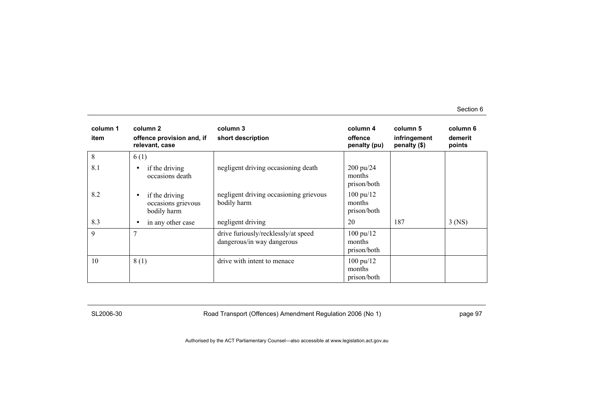| column 1<br>item | column 2<br>offence provision and, if<br>relevant, case          | column 3<br>short description                                     | column 4<br>offence<br>penalty (pu)          | column 5<br>infringement<br>penalty (\$) | column 6<br>demerit<br>points |
|------------------|------------------------------------------------------------------|-------------------------------------------------------------------|----------------------------------------------|------------------------------------------|-------------------------------|
| 8                | 6(1)                                                             |                                                                   |                                              |                                          |                               |
| 8.1              | if the driving<br>$\bullet$<br>occasions death                   | negligent driving occasioning death                               | 200 pu/24<br>months<br>prison/both           |                                          |                               |
| 8.2              | if the driving<br>$\bullet$<br>occasions grievous<br>bodily harm | negligent driving occasioning grievous<br>bodily harm             | $100 \text{ pu}/12$<br>months<br>prison/both |                                          |                               |
| 8.3              | in any other case<br>٠                                           | negligent driving                                                 | 20                                           | 187                                      | $3$ (NS)                      |
| 9                | $\overline{7}$                                                   | drive furiously/recklessly/at speed<br>dangerous/in way dangerous | $100 \text{ pu}/12$<br>months<br>prison/both |                                          |                               |
| 10               | 8(1)                                                             | drive with intent to menace                                       | $100 \text{ pu}/12$<br>months<br>prison/both |                                          |                               |

SL2006-30 Road Transport (Offences) Amendment Regulation 2006 (No 1) page 97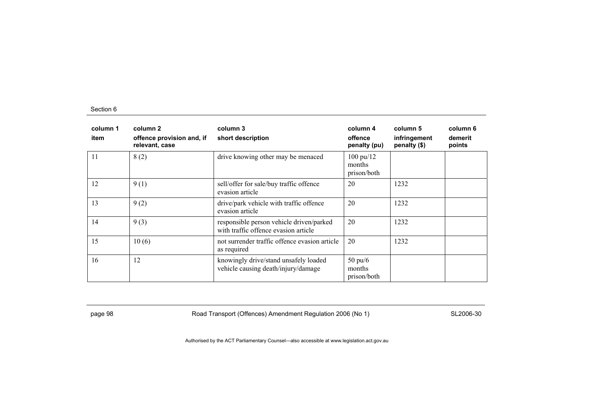| column 1<br>item | column 2<br>offence provision and, if<br>relevant, case | column 3<br>short description                                                    | column 4<br>offence<br>penalty (pu)          | column 5<br>infringement<br>penalty (\$) | column 6<br>demerit<br>points |
|------------------|---------------------------------------------------------|----------------------------------------------------------------------------------|----------------------------------------------|------------------------------------------|-------------------------------|
| 11               | 8(2)                                                    | drive knowing other may be menaced                                               | $100 \text{ pu}/12$<br>months<br>prison/both |                                          |                               |
| 12               | 9(1)                                                    | sell/offer for sale/buy traffic offence<br>evasion article                       | 20                                           | 1232                                     |                               |
| 13               | 9(2)                                                    | drive/park vehicle with traffic offence<br>evasion article                       | 20                                           | 1232                                     |                               |
| 14               | 9(3)                                                    | responsible person vehicle driven/parked<br>with traffic offence evasion article | 20                                           | 1232                                     |                               |
| 15               | 10(6)                                                   | not surrender traffic offence evasion article<br>as required                     | 20                                           | 1232                                     |                               |
| 16               | 12                                                      | knowingly drive/stand unsafely loaded<br>vehicle causing death/injury/damage     | $50 \text{ pu/6}$<br>months<br>prison/both   |                                          |                               |

page 98 **Road Transport (Offences) Amendment Regulation 2006 (No 1)** SL2006-30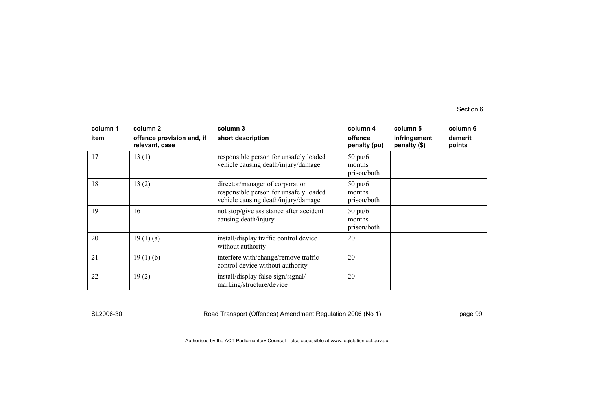| column 1<br>item | column 2<br>offence provision and, if<br>relevant, case | column 3<br>short description                                                                                    | column 4<br>offence<br>penalty (pu)        | column 5<br>infringement<br>penalty (\$) | column 6<br>demerit<br>points |
|------------------|---------------------------------------------------------|------------------------------------------------------------------------------------------------------------------|--------------------------------------------|------------------------------------------|-------------------------------|
| 17               | 13(1)                                                   | responsible person for unsafely loaded<br>vehicle causing death/injury/damage                                    | $50 \text{ pu}/6$<br>months<br>prison/both |                                          |                               |
| 18               | 13(2)                                                   | director/manager of corporation<br>responsible person for unsafely loaded<br>vehicle causing death/injury/damage | $50 \text{ pu/}6$<br>months<br>prison/both |                                          |                               |
| 19               | 16                                                      | not stop/give assistance after accident<br>causing death/injury                                                  | $50 \text{ pu/6}$<br>months<br>prison/both |                                          |                               |
| 20               | 19(1)(a)                                                | install/display traffic control device<br>without authority                                                      | 20                                         |                                          |                               |
| 21               | 19(1)(b)                                                | interfere with/change/remove traffic<br>control device without authority                                         | 20                                         |                                          |                               |
| 22               | 19(2)                                                   | install/display false sign/signal/<br>marking/structure/device                                                   | 20                                         |                                          |                               |

SL2006-30 Road Transport (Offences) Amendment Regulation 2006 (No 1) page 99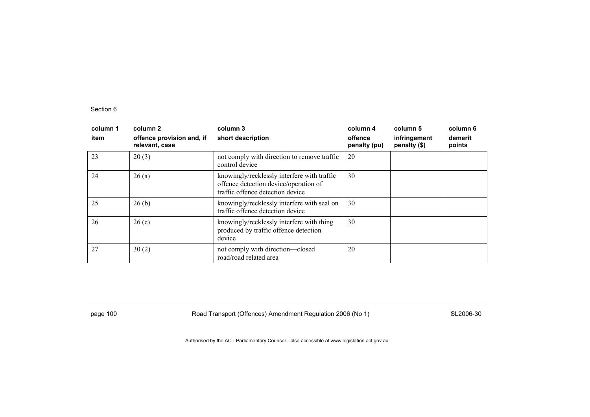| column 1<br>item | column 2<br>offence provision and, if<br>relevant, case | column 3<br>short description                                                                                            | column 4<br>offence<br>penalty (pu) | column 5<br>infringement<br>penalty (\$) | column 6<br>demerit<br>points |
|------------------|---------------------------------------------------------|--------------------------------------------------------------------------------------------------------------------------|-------------------------------------|------------------------------------------|-------------------------------|
| 23               | 20(3)                                                   | not comply with direction to remove traffic<br>control device                                                            | 20                                  |                                          |                               |
| 24               | 26(a)                                                   | knowingly/recklessly interfere with traffic<br>offence detection device/operation of<br>traffic offence detection device | 30                                  |                                          |                               |
| 25               | 26(b)                                                   | knowingly/recklessly interfere with seal on<br>traffic offence detection device                                          | 30                                  |                                          |                               |
| 26               | 26(c)                                                   | knowingly/recklessly interfere with thing<br>produced by traffic offence detection<br>device                             | 30                                  |                                          |                               |
| 27               | 30(2)                                                   | not comply with direction-closed<br>road/road related area                                                               | 20                                  |                                          |                               |

page 100 **Road Transport (Offences) Amendment Regulation 2006 (No 1)** SL2006-30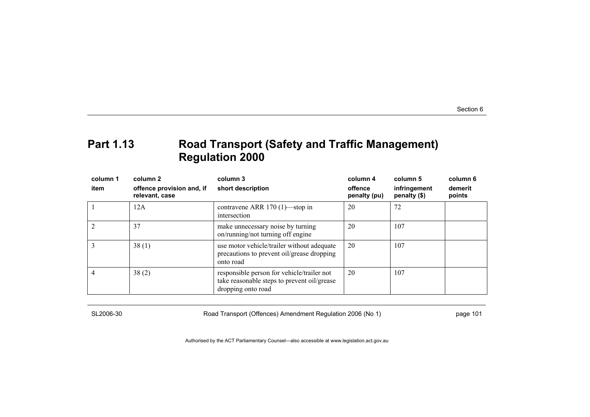### **Part 1.13 Road Transport (Safety and Traffic Management) Regulation 2000**

| column 1<br>item | column 2<br>offence provision and, if<br>relevant, case | column 3<br>short description                                                                                   | column 4<br>offence<br>penalty (pu) | column 5<br>infringement<br>penalty (\$) | column 6<br>demerit<br>points |
|------------------|---------------------------------------------------------|-----------------------------------------------------------------------------------------------------------------|-------------------------------------|------------------------------------------|-------------------------------|
|                  | 12A                                                     | contravene ARR 170 (1)—stop in<br>intersection                                                                  | 20                                  | 72                                       |                               |
|                  | 37                                                      | make unnecessary noise by turning<br>on/running/not turning off engine                                          | 20                                  | 107                                      |                               |
|                  | 38(1)                                                   | use motor vehicle/trailer without adequate<br>precautions to prevent oil/grease dropping<br>onto road           | 20                                  | 107                                      |                               |
|                  | 38(2)                                                   | responsible person for vehicle/trailer not<br>take reasonable steps to prevent oil/grease<br>dropping onto road | 20                                  | 107                                      |                               |

SL2006-30 Road Transport (Offences) Amendment Regulation 2006 (No 1) page 101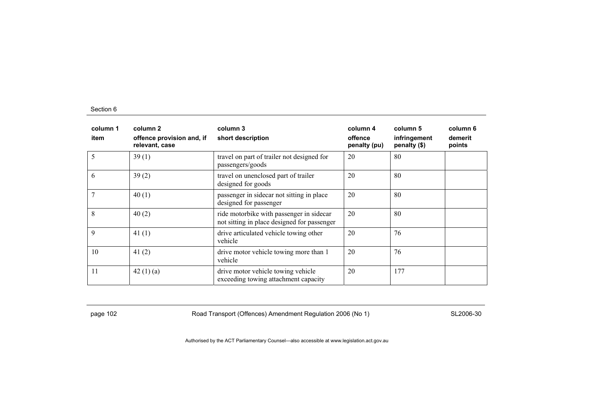| column 1<br>item | column 2<br>offence provision and, if<br>relevant, case | column 3<br>short description                                                           | column 4<br>offence<br>penalty (pu) | column 5<br>infringement<br>penalty (\$) | column 6<br>demerit<br>points |
|------------------|---------------------------------------------------------|-----------------------------------------------------------------------------------------|-------------------------------------|------------------------------------------|-------------------------------|
|                  | 39(1)                                                   | travel on part of trailer not designed for<br>passengers/goods                          | 20                                  | 80                                       |                               |
| 6                | 39(2)                                                   | travel on unenclosed part of trailer<br>designed for goods                              | 20                                  | 80                                       |                               |
|                  | 40(1)                                                   | passenger in sidecar not sitting in place<br>designed for passenger                     | 20                                  | 80                                       |                               |
| 8                | 40(2)                                                   | ride motorbike with passenger in sidecar<br>not sitting in place designed for passenger | 20                                  | 80                                       |                               |
| 9                | 41 $(1)$                                                | drive articulated vehicle towing other<br>vehicle                                       | 20                                  | 76                                       |                               |
| 10               | 41(2)                                                   | drive motor vehicle towing more than 1<br>vehicle                                       | 20                                  | 76                                       |                               |
| 11               | 42(1)(a)                                                | drive motor vehicle towing vehicle<br>exceeding towing attachment capacity              | 20                                  | 177                                      |                               |

page 102 **Road Transport (Offences) Amendment Regulation 2006 (No 1)** SL2006-30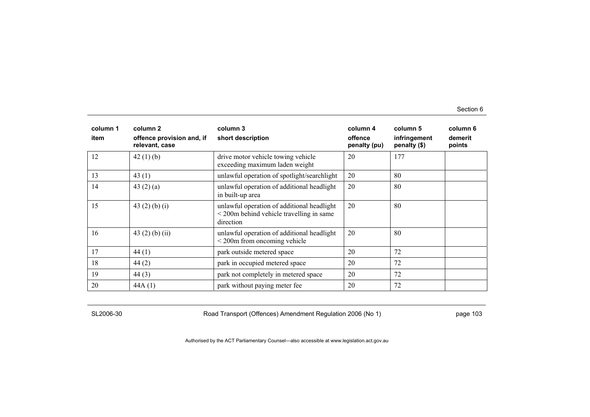| column 1<br>item | column <sub>2</sub><br>offence provision and, if<br>relevant, case | column 3<br>short description                                                                            | column 4<br>offence<br>penalty (pu) | column 5<br>infringement<br>penalty (\$) | column 6<br>demerit<br>points |
|------------------|--------------------------------------------------------------------|----------------------------------------------------------------------------------------------------------|-------------------------------------|------------------------------------------|-------------------------------|
| 12               | 42(1)(b)                                                           | drive motor vehicle towing vehicle<br>exceeding maximum laden weight                                     | 20                                  | 177                                      |                               |
| 13               | 43 $(1)$                                                           | unlawful operation of spotlight/searchlight                                                              | 20                                  | 80                                       |                               |
| 14               | 43 $(2)$ $(a)$                                                     | unlawful operation of additional headlight<br>in built-up area                                           | 20                                  | 80                                       |                               |
| 15               | 43 $(2)$ $(b)$ $(i)$                                               | unlawful operation of additional headlight<br>$<$ 200 $m$ behind vehicle travelling in same<br>direction | 20                                  | 80                                       |                               |
| 16               | 43 $(2)$ $(b)$ $(ii)$                                              | unlawful operation of additional headlight<br>$\leq$ 200 $\text{m}$ from oncoming vehicle                | 20                                  | 80                                       |                               |
| 17               | 44(1)                                                              | park outside metered space                                                                               | 20                                  | 72                                       |                               |
| 18               | 44(2)                                                              | park in occupied metered space                                                                           | 20                                  | 72                                       |                               |
| 19               | 44(3)                                                              | park not completely in metered space                                                                     | 20                                  | 72                                       |                               |
| 20               | 44A(1)                                                             | park without paying meter fee                                                                            | 20                                  | 72                                       |                               |

SL2006-30 Road Transport (Offences) Amendment Regulation 2006 (No 1) page 103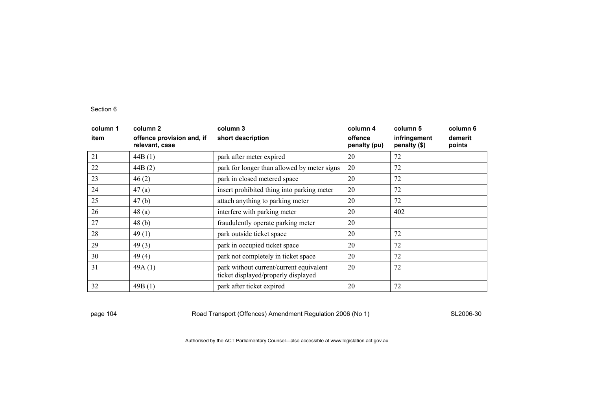| column 1<br>item | column 2<br>offence provision and, if<br>relevant, case | column 3<br>short description                                                  | column 4<br>offence<br>penalty (pu) | column 5<br>infringement<br>penalty (\$) | column 6<br>demerit<br>points |
|------------------|---------------------------------------------------------|--------------------------------------------------------------------------------|-------------------------------------|------------------------------------------|-------------------------------|
| 21               | 44B(1)                                                  | park after meter expired                                                       | 20                                  | 72                                       |                               |
| 22               | 44B(2)                                                  | park for longer than allowed by meter signs                                    | 20                                  | 72                                       |                               |
| 23               | 46(2)                                                   | park in closed metered space                                                   | 20                                  | 72                                       |                               |
| 24               | 47(a)                                                   | insert prohibited thing into parking meter                                     | 20                                  | 72                                       |                               |
| 25               | 47(b)                                                   | attach anything to parking meter                                               | 20                                  | 72                                       |                               |
| 26               | 48(a)                                                   | interfere with parking meter                                                   | 20                                  | 402                                      |                               |
| 27               | 48(b)                                                   | fraudulently operate parking meter                                             | 20                                  |                                          |                               |
| 28               | 49(1)                                                   | park outside ticket space                                                      | 20                                  | 72                                       |                               |
| 29               | 49(3)                                                   | park in occupied ticket space                                                  | 20                                  | 72                                       |                               |
| 30               | 49(4)                                                   | park not completely in ticket space                                            | 20                                  | 72                                       |                               |
| 31               | 49A(1)                                                  | park without current/current equivalent<br>ticket displayed/properly displayed | 20                                  | 72                                       |                               |
| 32               | 49B(1)                                                  | park after ticket expired                                                      | 20                                  | 72                                       |                               |

page 104 **Road Transport (Offences) Amendment Regulation 2006 (No 1)** SL2006-30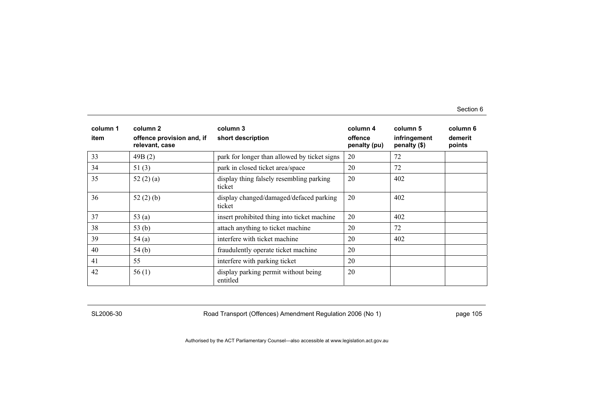| column 1<br>item | column 2<br>offence provision and, if<br>relevant, case | column 3<br>short description                      | column 4<br>offence<br>penalty (pu) | column 5<br>infringement<br>penalty (\$) | column 6<br>demerit<br>points |
|------------------|---------------------------------------------------------|----------------------------------------------------|-------------------------------------|------------------------------------------|-------------------------------|
| 33               | 49B(2)                                                  | park for longer than allowed by ticket signs       | 20                                  | 72                                       |                               |
| 34               | 51(3)                                                   | park in closed ticket area/space                   | 20                                  | 72                                       |                               |
| 35               | 52 $(2)$ $(a)$                                          | display thing falsely resembling parking<br>ticket | 20                                  | 402                                      |                               |
| 36               | 52 $(2)$ $(b)$                                          | display changed/damaged/defaced parking<br>ticket  | 20                                  | 402                                      |                               |
| 37               | 53(a)                                                   | insert prohibited thing into ticket machine        | 20                                  | 402                                      |                               |
| 38               | 53(b)                                                   | attach anything to ticket machine                  | 20                                  | 72                                       |                               |
| 39               | 54(a)                                                   | interfere with ticket machine                      | 20                                  | 402                                      |                               |
| 40               | 54(b)                                                   | fraudulently operate ticket machine                | 20                                  |                                          |                               |
| 41               | 55                                                      | interfere with parking ticket                      | 20                                  |                                          |                               |
| 42               | 56(1)                                                   | display parking permit without being<br>entitled   | 20                                  |                                          |                               |

SL2006-30 Road Transport (Offences) Amendment Regulation 2006 (No 1) page 105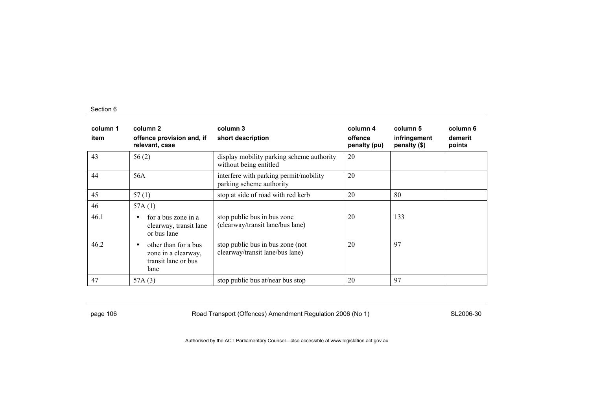| column 1<br>item   | column 2<br>offence provision and, if<br>relevant, case                                                                                                                           | column 3<br>short description                                                                                                          | column 4<br>offence<br>penalty (pu) | column 5<br>infringement<br>penalty (\$) | column 6<br>demerit<br>points |
|--------------------|-----------------------------------------------------------------------------------------------------------------------------------------------------------------------------------|----------------------------------------------------------------------------------------------------------------------------------------|-------------------------------------|------------------------------------------|-------------------------------|
| 43                 | 56(2)                                                                                                                                                                             | display mobility parking scheme authority<br>without being entitled                                                                    | 20                                  |                                          |                               |
| 44                 | 56A                                                                                                                                                                               | interfere with parking permit/mobility<br>parking scheme authority                                                                     | 20                                  |                                          |                               |
| 45                 | 57(1)                                                                                                                                                                             | stop at side of road with red kerb                                                                                                     | 20                                  | 80                                       |                               |
| 46<br>46.1<br>46.2 | 57A $(1)$<br>for a bus zone in a<br>$\bullet$<br>clearway, transit lane<br>or bus lane<br>other than for a bus<br>$\bullet$<br>zone in a clearway,<br>transit lane or bus<br>lane | stop public bus in bus zone<br>(clearway/transit lane/bus lane)<br>stop public bus in bus zone (not<br>clearway/transit lane/bus lane) | 20<br>20                            | 133<br>97                                |                               |
| 47                 | 57A (3)                                                                                                                                                                           | stop public bus at/near bus stop                                                                                                       | 20                                  | 97                                       |                               |

page 106 **Road Transport (Offences) Amendment Regulation 2006 (No 1)** SL2006-30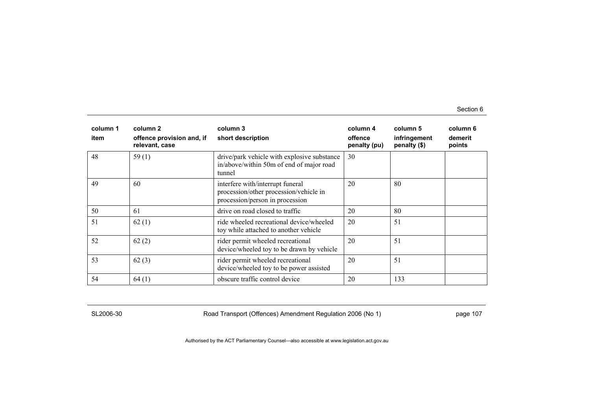| column 1<br>item | column 2<br>offence provision and, if<br>relevant, case | column 3<br>short description                                                                                 | column 4<br>offence<br>penalty (pu) | column 5<br>infringement<br>penalty (\$) | column 6<br>demerit<br>points |
|------------------|---------------------------------------------------------|---------------------------------------------------------------------------------------------------------------|-------------------------------------|------------------------------------------|-------------------------------|
| 48               | 59 $(1)$                                                | drive/park vehicle with explosive substance<br>in/above/within 50m of end of major road<br>tunnel             | 30                                  |                                          |                               |
| 49               | 60                                                      | interfere with/interrupt funeral<br>procession/other procession/vehicle in<br>procession/person in procession | 20                                  | 80                                       |                               |
| 50               | -61                                                     | drive on road closed to traffic                                                                               | 20                                  | 80                                       |                               |
| 51               | 62(1)                                                   | ride wheeled recreational device/wheeled<br>toy while attached to another vehicle                             | 20                                  | 51                                       |                               |
| 52               | 62(2)                                                   | rider permit wheeled recreational<br>device/wheeled toy to be drawn by vehicle                                | 20                                  | 51                                       |                               |
| 53               | 62(3)                                                   | rider permit wheeled recreational<br>device/wheeled toy to be power assisted                                  | 20                                  | 51                                       |                               |
| 54               | 64(1)                                                   | obscure traffic control device                                                                                | 20                                  | 133                                      |                               |

SL2006-30 Road Transport (Offences) Amendment Regulation 2006 (No 1) page 107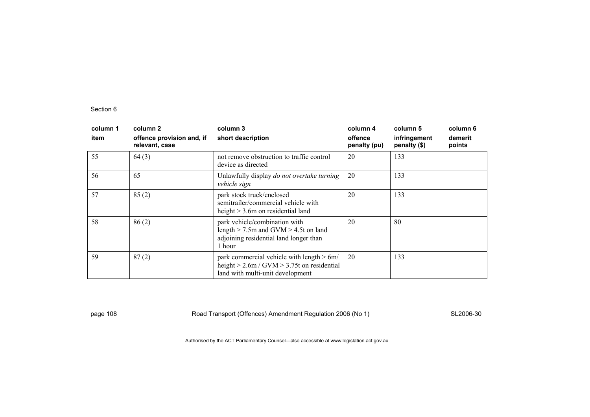| column 1<br>item | column 2<br>offence provision and, if<br>relevant, case | column 3<br>short description                                                                                                       | column 4<br>offence<br>penalty (pu) | column 5<br>infringement<br>penalty (\$) | column 6<br>demerit<br>points |
|------------------|---------------------------------------------------------|-------------------------------------------------------------------------------------------------------------------------------------|-------------------------------------|------------------------------------------|-------------------------------|
| 55               | 64(3)                                                   | not remove obstruction to traffic control<br>device as directed                                                                     | 20                                  | 133                                      |                               |
| 56               | 65                                                      | Unlawfully display do not overtake turning<br>vehicle sign                                                                          | 20                                  | 133                                      |                               |
| 57               | 85(2)                                                   | park stock truck/enclosed<br>semitrailer/commercial vehicle with<br>height $> 3.6$ m on residential land                            | 20                                  | 133                                      |                               |
| 58               | 86(2)                                                   | park vehicle/combination with<br>length $>$ 7.5m and GVM $>$ 4.5t on land<br>adjoining residential land longer than<br>1 hour       | 20                                  | 80                                       |                               |
| 59               | 87(2)                                                   | park commercial vehicle with length $> 6m/$<br>height $> 2.6$ m / GVM $> 3.75$ t on residential<br>land with multi-unit development | 20                                  | 133                                      |                               |

page 108 **Road Transport (Offences) Amendment Regulation 2006 (No 1)** SL2006-30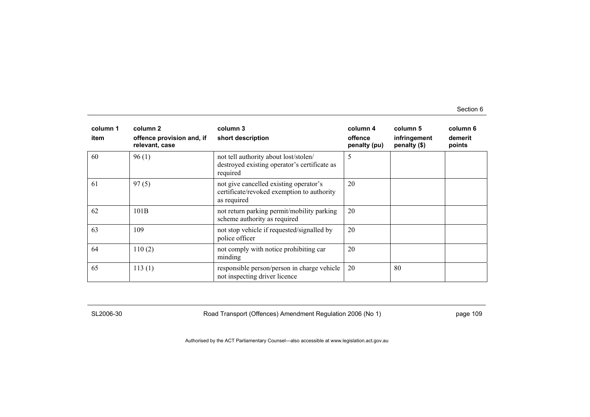| column 1<br>item | column 2<br>offence provision and, if<br>relevant, case | column 3<br>short description                                                                       | column 4<br>offence<br>penalty (pu) | column 5<br>infringement<br>penalty (\$) | column 6<br>demerit<br>points |
|------------------|---------------------------------------------------------|-----------------------------------------------------------------------------------------------------|-------------------------------------|------------------------------------------|-------------------------------|
| 60               | 96(1)                                                   | not tell authority about lost/stolen/<br>destroyed existing operator's certificate as<br>required   | 5                                   |                                          |                               |
| 61               | 97(5)                                                   | not give cancelled existing operator's<br>certificate/revoked exemption to authority<br>as required | 20                                  |                                          |                               |
| 62               | 101B                                                    | not return parking permit/mobility parking<br>scheme authority as required                          | 20                                  |                                          |                               |
| 63               | 109                                                     | not stop vehicle if requested/signalled by<br>police officer                                        | 20                                  |                                          |                               |
| 64               | 110(2)                                                  | not comply with notice prohibiting car<br>minding                                                   | 20                                  |                                          |                               |
| 65               | 113(1)                                                  | responsible person/person in charge vehicle<br>not inspecting driver licence                        | 20                                  | 80                                       |                               |

SL2006-30 Road Transport (Offences) Amendment Regulation 2006 (No 1) page 109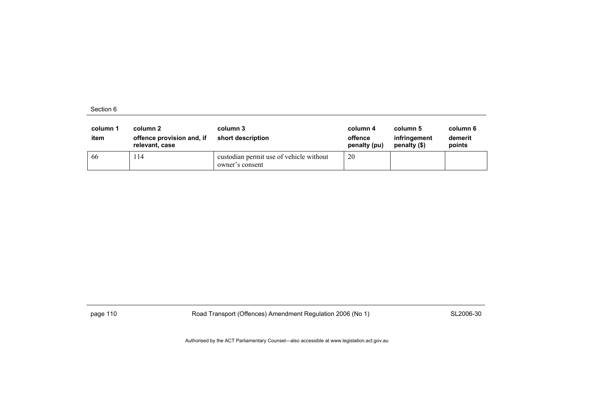| column 1<br>item | column 2<br>offence provision and, if<br>relevant, case | column 3<br>short description                              | column 4<br>offence<br>penalty (pu) | column 5<br>infringement<br>penalty (\$) | column 6<br>demerit<br>points |
|------------------|---------------------------------------------------------|------------------------------------------------------------|-------------------------------------|------------------------------------------|-------------------------------|
| -66              | 14                                                      | custodian permit use of vehicle without<br>owner's consent | 20                                  |                                          |                               |

page 110 SL2006-30 Road Transport (Offences) Amendment Regulation 2006 (No 1)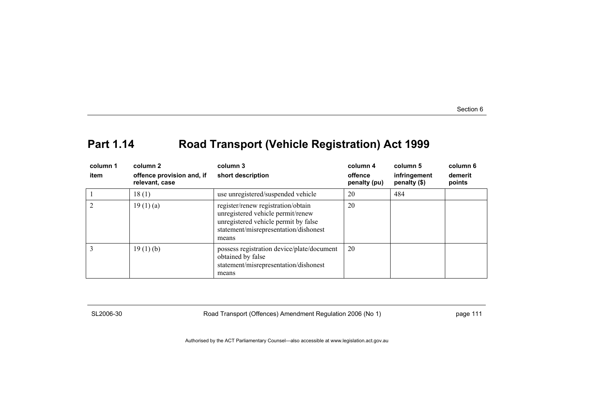# **Part 1.14 Road Transport (Vehicle Registration) Act 1999**

| column 1<br>item | column 2<br>offence provision and, if<br>relevant, case | column 3<br>short description                                                                                                                                     | column 4<br>offence<br>penalty (pu) | column 5<br>infringement<br>penalty (\$) | column 6<br>demerit<br>points |
|------------------|---------------------------------------------------------|-------------------------------------------------------------------------------------------------------------------------------------------------------------------|-------------------------------------|------------------------------------------|-------------------------------|
|                  | 18(1)                                                   | use unregistered/suspended vehicle                                                                                                                                | 20                                  | 484                                      |                               |
|                  | 19(1)(a)                                                | register/renew registration/obtain<br>unregistered vehicle permit/renew<br>unregistered vehicle permit by false<br>statement/misrepresentation/dishonest<br>means | 20                                  |                                          |                               |
|                  | 19(1)(b)                                                | possess registration device/plate/document<br>obtained by false<br>statement/misrepresentation/dishonest<br>means                                                 | 20                                  |                                          |                               |

SL2006-30 Road Transport (Offences) Amendment Regulation 2006 (No 1) page 111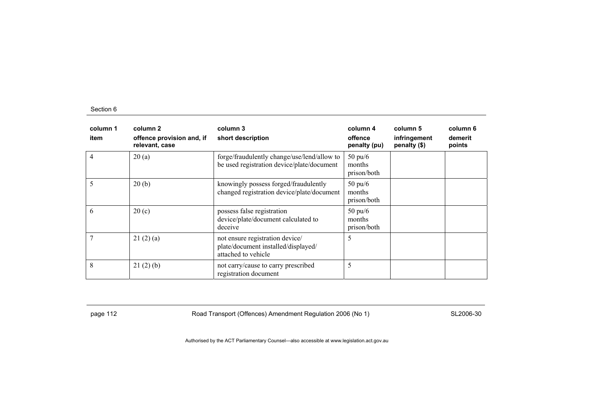| column 1<br>item | column 2<br>offence provision and, if<br>relevant, case | column 3<br>short description                                                                 | column 4<br>offence<br>penalty (pu)        | column 5<br>infringement<br>penalty (\$) | column 6<br>demerit<br>points |
|------------------|---------------------------------------------------------|-----------------------------------------------------------------------------------------------|--------------------------------------------|------------------------------------------|-------------------------------|
| $\overline{4}$   | 20(a)                                                   | forge/fraudulently change/use/lend/allow to<br>be used registration device/plate/document     | $50 \text{ pu}/6$<br>months<br>prison/both |                                          |                               |
| 5                | 20(b)                                                   | knowingly possess forged/fraudulently<br>changed registration device/plate/document           | $50 \text{ pu}/6$<br>months<br>prison/both |                                          |                               |
| 6                | 20(c)                                                   | possess false registration<br>device/plate/document calculated to<br>deceive                  | $50 \text{ pu}/6$<br>months<br>prison/both |                                          |                               |
|                  | 21(2)(a)                                                | not ensure registration device/<br>plate/document installed/displayed/<br>attached to vehicle | 5                                          |                                          |                               |
| 8                | 21(2)(b)                                                | not carry/cause to carry prescribed<br>registration document                                  | 5                                          |                                          |                               |

page 112 **Road Transport (Offences) Amendment Regulation 2006 (No 1)** SL2006-30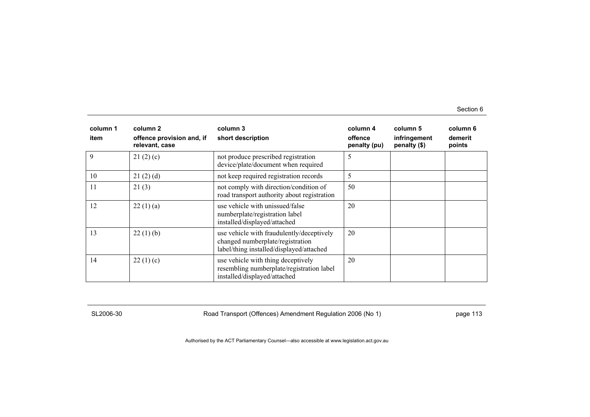| column 1<br>item | column 2<br>offence provision and, if<br>relevant, case | column 3<br>short description                                                                                             | column 4<br>offence<br>penalty (pu) | column 5<br>infringement<br>penalty (\$) | column 6<br>demerit<br>points |
|------------------|---------------------------------------------------------|---------------------------------------------------------------------------------------------------------------------------|-------------------------------------|------------------------------------------|-------------------------------|
| 9                | 21(2)(c)                                                | not produce prescribed registration<br>device/plate/document when required                                                | 5                                   |                                          |                               |
| 10               | 21(2)(d)                                                | not keep required registration records                                                                                    | 5                                   |                                          |                               |
| 11               | 21(3)                                                   | not comply with direction/condition of<br>road transport authority about registration                                     | 50                                  |                                          |                               |
| 12               | 22(1)(a)                                                | use vehicle with unissued/false<br>numberplate/registration label<br>installed/displayed/attached                         | 20                                  |                                          |                               |
| 13               | 22(1)(b)                                                | use vehicle with fraudulently/deceptively<br>changed numberplate/registration<br>label/thing installed/displayed/attached | 20                                  |                                          |                               |
| 14               | 22(1)(c)                                                | use vehicle with thing deceptively<br>resembling numberplate/registration label<br>installed/displayed/attached           | 20                                  |                                          |                               |

SL2006-30 Road Transport (Offences) Amendment Regulation 2006 (No 1) page 113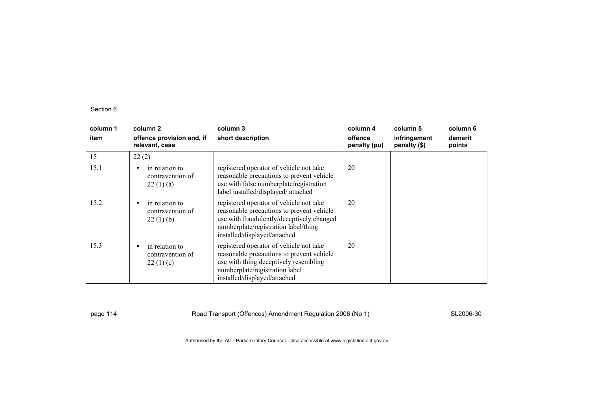| column 1<br>item | column 2<br>offence provision and, if<br>relevant, case | column 3<br>short description                                                                                                                                                                             | column 4<br>offence<br>penalty (pu) | column 5<br>infringement<br>penalty (\$) | column 6<br>demerit<br>points |
|------------------|---------------------------------------------------------|-----------------------------------------------------------------------------------------------------------------------------------------------------------------------------------------------------------|-------------------------------------|------------------------------------------|-------------------------------|
| 15               | 22(2)                                                   |                                                                                                                                                                                                           |                                     |                                          |                               |
| 15.1             | in relation to<br>contravention of<br>22(1)(a)          | registered operator of vehicle not take<br>reasonable precautions to prevent vehicle<br>use with false numberplate/registration<br>label installed/displayed/ attached                                    | 20                                  |                                          |                               |
| 15.2             | in relation to<br>contravention of<br>22(1)(b)          | registered operator of vehicle not take<br>reasonable precautions to prevent vehicle<br>use with fraudulently/deceptively changed<br>numberplate/registration label/thing<br>installed/displayed/attached | 20                                  |                                          |                               |
| 15.3             | in relation to<br>contravention of<br>22(1)(c)          | registered operator of vehicle not take<br>reasonable precautions to prevent vehicle<br>use with thing deceptively resembling<br>numberplate/registration label<br>installed/displayed/attached           | 20                                  |                                          |                               |

page 114 **Road Transport (Offences) Amendment Regulation 2006 (No 1)** SL2006-30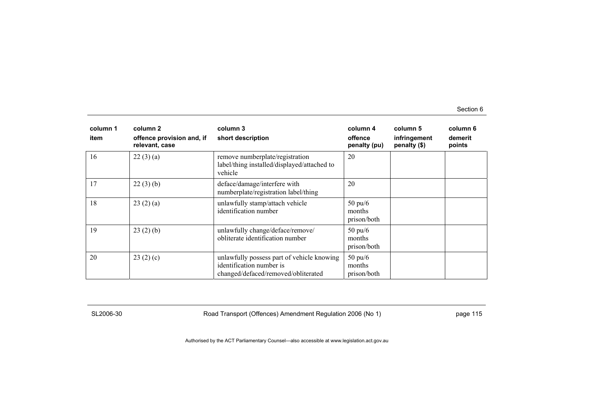| column 1<br>item | column 2<br>offence provision and, if<br>relevant, case | column 3<br>short description                                                                                 | column 4<br>offence<br>penalty (pu)        | column 5<br>infringement<br>penalty (\$) | column 6<br>demerit<br>points |
|------------------|---------------------------------------------------------|---------------------------------------------------------------------------------------------------------------|--------------------------------------------|------------------------------------------|-------------------------------|
| 16               | 22(3)(a)                                                | remove numberplate/registration<br>label/thing installed/displayed/attached to<br>vehicle                     | 20                                         |                                          |                               |
| 17               | 22(3)(b)                                                | deface/damage/interfere with<br>numberplate/registration label/thing                                          | 20                                         |                                          |                               |
| 18               | 23(2)(a)                                                | unlawfully stamp/attach vehicle<br>identification number                                                      | $50 \text{ pu/}6$<br>months<br>prison/both |                                          |                               |
| 19               | 23(2)(b)                                                | unlawfully change/deface/remove/<br>obliterate identification number                                          | $50 \text{ pu/6}$<br>months<br>prison/both |                                          |                               |
| 20               | 23(2)(c)                                                | unlawfully possess part of vehicle knowing<br>identification number is<br>changed/defaced/removed/obliterated | $50 \text{ pu/}6$<br>months<br>prison/both |                                          |                               |

SL2006-30 Road Transport (Offences) Amendment Regulation 2006 (No 1) page 115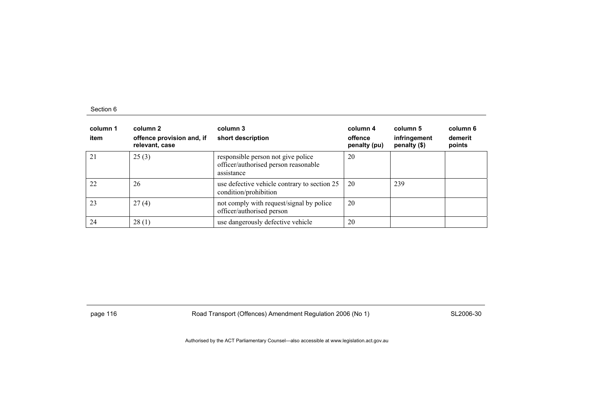| column 1<br>item | column 2<br>offence provision and, if<br>relevant, case | column 3<br>short description                                                            | column 4<br>offence<br>penalty (pu) | column 5<br>infringement<br>penalty (\$) | column 6<br>demerit<br>points |
|------------------|---------------------------------------------------------|------------------------------------------------------------------------------------------|-------------------------------------|------------------------------------------|-------------------------------|
| 21               | 25(3)                                                   | responsible person not give police<br>officer/authorised person reasonable<br>assistance | 20                                  |                                          |                               |
| 22               | 26                                                      | use defective vehicle contrary to section 25<br>condition/prohibition                    | 20                                  | 239                                      |                               |
| 23               | 27(4)                                                   | not comply with request/signal by police<br>officer/authorised person                    | 20                                  |                                          |                               |
| 24               | 28(1)                                                   | use dangerously defective vehicle                                                        | 20                                  |                                          |                               |

page 116 **Road Transport (Offences) Amendment Regulation 2006 (No 1)** SL2006-30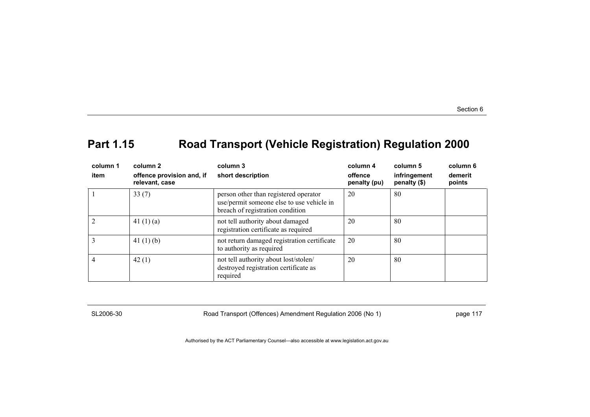# **Part 1.15 Road Transport (Vehicle Registration) Regulation 2000**

| column 1<br>item | column 2<br>offence provision and, if<br>relevant, case | column 3<br>short description                                                                                          | column 4<br>offence<br>penalty (pu) | column 5<br>infringement<br>penalty (\$) | column 6<br>demerit<br>points |
|------------------|---------------------------------------------------------|------------------------------------------------------------------------------------------------------------------------|-------------------------------------|------------------------------------------|-------------------------------|
|                  | 33(7)                                                   | person other than registered operator<br>use/permit someone else to use vehicle in<br>breach of registration condition | 20                                  | 80                                       |                               |
|                  | 41 $(1)(a)$                                             | not tell authority about damaged<br>registration certificate as required                                               | 20                                  | 80                                       |                               |
| 3                | 41 $(1)$ $(b)$                                          | not return damaged registration certificate<br>to authority as required                                                | 20                                  | 80                                       |                               |
| 4                | 42(1)                                                   | not tell authority about lost/stolen/<br>destroyed registration certificate as<br>required                             | 20                                  | -80                                      |                               |

SL2006-30 Road Transport (Offences) Amendment Regulation 2006 (No 1) page 117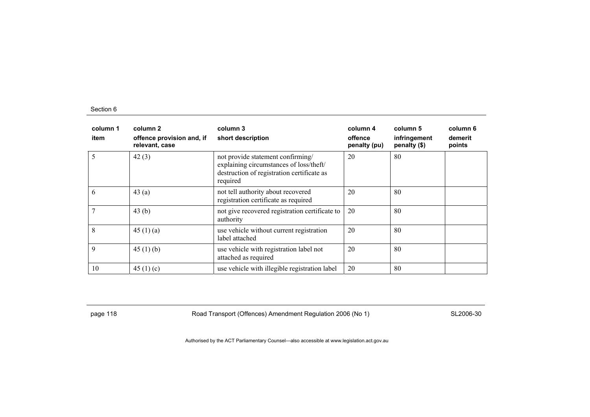| column 1<br>item | column 2<br>offence provision and, if<br>relevant, case | column 3<br>short description                                                                                                          | column 4<br>offence<br>penalty (pu) | column 5<br>infringement<br>penalty (\$) | column 6<br>demerit<br>points |
|------------------|---------------------------------------------------------|----------------------------------------------------------------------------------------------------------------------------------------|-------------------------------------|------------------------------------------|-------------------------------|
| 5                | 42(3)                                                   | not provide statement confirming/<br>explaining circumstances of loss/theft/<br>destruction of registration certificate as<br>required | 20                                  | 80                                       |                               |
| 6                | 43(a)                                                   | not tell authority about recovered<br>registration certificate as required                                                             | 20                                  | 80                                       |                               |
| 7                | 43(b)                                                   | not give recovered registration certificate to<br>authority                                                                            | 20                                  | 80                                       |                               |
| 8                | 45(1)(a)                                                | use vehicle without current registration<br>label attached                                                                             | 20                                  | 80                                       |                               |
| 9                | 45 $(1)$ $(b)$                                          | use vehicle with registration label not<br>attached as required                                                                        | 20                                  | 80                                       |                               |
| 10               | 45 $(1)(c)$                                             | use vehicle with illegible registration label                                                                                          | 20                                  | 80                                       |                               |

page 118 **Road Transport (Offences) Amendment Regulation 2006 (No 1)** SL2006-30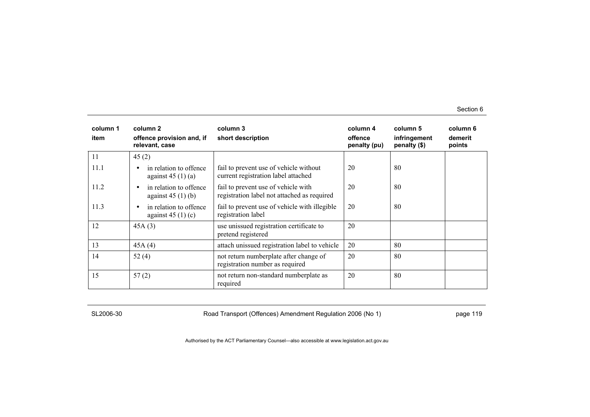| column 1<br>item | column 2<br>offence provision and, if<br>relevant, case   | column 3<br>short description                                                      | column 4<br>offence<br>penalty (pu) | column 5<br>infringement<br>penalty (\$) | column 6<br>demerit<br>points |
|------------------|-----------------------------------------------------------|------------------------------------------------------------------------------------|-------------------------------------|------------------------------------------|-------------------------------|
| 11               | 45(2)                                                     |                                                                                    |                                     |                                          |                               |
| 11.1             | in relation to offence<br>$\bullet$<br>against $45(1)(a)$ | fail to prevent use of vehicle without<br>current registration label attached      | 20                                  | 80                                       |                               |
| 11.2             | in relation to offence<br>$\bullet$<br>against $45(1)(b)$ | fail to prevent use of vehicle with<br>registration label not attached as required | 20                                  | 80                                       |                               |
| 11.3             | in relation to offence<br>٠<br>against $45(1)(c)$         | fail to prevent use of vehicle with illegible<br>registration label                | 20                                  | 80                                       |                               |
| 12               | 45A(3)                                                    | use unissued registration certificate to<br>pretend registered                     | 20                                  |                                          |                               |
| 13               | 45A(4)                                                    | attach unissued registration label to vehicle                                      | 20                                  | 80                                       |                               |
| 14               | 52 $(4)$                                                  | not return numberplate after change of<br>registration number as required          | 20                                  | 80                                       |                               |
| 15               | 57(2)                                                     | not return non-standard numberplate as<br>required                                 | 20                                  | 80                                       |                               |

SL2006-30 Road Transport (Offences) Amendment Regulation 2006 (No 1) page 119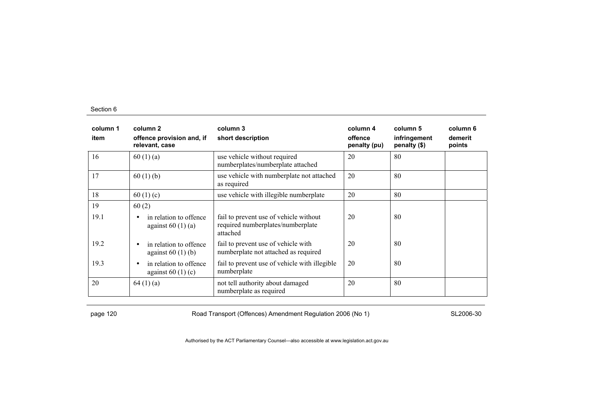| column 1<br>item | column 2<br>offence provision and, if<br>relevant, case   | column 3<br>short description                                                           | column 4<br>offence<br>penalty (pu) | column 5<br>infringement<br>penalty (\$) | column 6<br>demerit<br>points |
|------------------|-----------------------------------------------------------|-----------------------------------------------------------------------------------------|-------------------------------------|------------------------------------------|-------------------------------|
| 16               | 60(1)(a)                                                  | use vehicle without required<br>numberplates/numberplate attached                       | 20                                  | 80                                       |                               |
| 17               | 60(1)(b)                                                  | use vehicle with numberplate not attached<br>as required                                | 20                                  | 80                                       |                               |
| 18               | 60 $(1)(c)$                                               | use vehicle with illegible numberplate                                                  | 20                                  | 80                                       |                               |
| 19               | 60(2)                                                     |                                                                                         |                                     |                                          |                               |
| 19.1             | in relation to offence<br>$\bullet$<br>against $60(1)(a)$ | fail to prevent use of vehicle without<br>required numberplates/numberplate<br>attached | 20                                  | 80                                       |                               |
| 19.2             | in relation to offence<br>$\bullet$<br>against $60(1)(b)$ | fail to prevent use of vehicle with<br>numberplate not attached as required             | 20                                  | 80                                       |                               |
| 19.3             | in relation to offence<br>$\bullet$<br>against $60(1)(c)$ | fail to prevent use of vehicle with illegible<br>numberplate                            | 20                                  | 80                                       |                               |
| 20               | 64(1)(a)                                                  | not tell authority about damaged<br>numberplate as required                             | 20                                  | 80                                       |                               |

page 120 **Road Transport (Offences) Amendment Regulation 2006 (No 1)** SL2006-30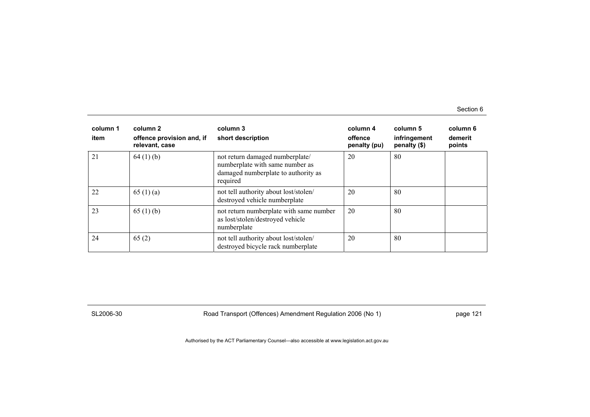| column 1<br>item | column 2<br>offence provision and, if<br>relevant, case | column 3<br>short description                                                                                         | column 4<br>offence<br>penalty (pu) | column 5<br>infringement<br>penalty (\$) | column 6<br>demerit<br>points |
|------------------|---------------------------------------------------------|-----------------------------------------------------------------------------------------------------------------------|-------------------------------------|------------------------------------------|-------------------------------|
| 21               | 64(1)(b)                                                | not return damaged numberplate/<br>numberplate with same number as<br>damaged numberplate to authority as<br>required | 20                                  | 80                                       |                               |
| 22               | 65 $(1)(a)$                                             | not tell authority about lost/stolen/<br>destroyed vehicle numberplate                                                | 20                                  | 80                                       |                               |
| 23               | 65(1)(b)                                                | not return numberplate with same number<br>as lost/stolen/destroyed vehicle<br>numberplate                            | 20                                  | 80                                       |                               |
| 24               | 65(2)                                                   | not tell authority about lost/stolen/<br>destroyed bicycle rack numberplate                                           | 20                                  | 80                                       |                               |

SL2006-30 Road Transport (Offences) Amendment Regulation 2006 (No 1) page 121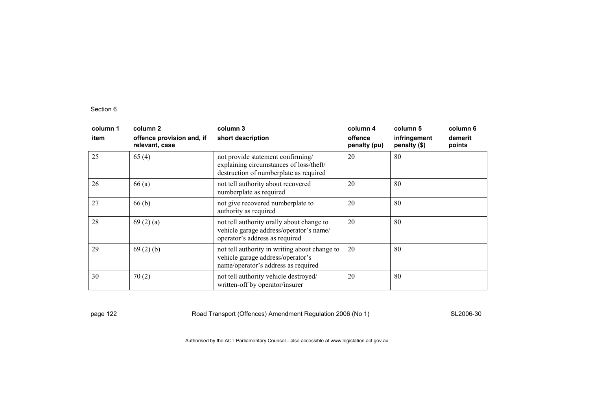| column 1<br>item | column 2<br>offence provision and, if<br>relevant, case | column 3<br>short description                                                                                             | column 4<br>offence<br>penalty (pu) | column 5<br>infringement<br>penalty (\$) | column 6<br>demerit<br>points |
|------------------|---------------------------------------------------------|---------------------------------------------------------------------------------------------------------------------------|-------------------------------------|------------------------------------------|-------------------------------|
| 25               | 65(4)                                                   | not provide statement confirming/<br>explaining circumstances of loss/theft/<br>destruction of numberplate as required    | 20                                  | 80                                       |                               |
| 26               | 66(a)                                                   | not tell authority about recovered<br>numberplate as required                                                             | 20                                  | 80                                       |                               |
| 27               | 66(b)                                                   | not give recovered numberplate to<br>authority as required                                                                | 20                                  | 80                                       |                               |
| 28               | 69(2)(a)                                                | not tell authority orally about change to<br>vehicle garage address/operator's name/<br>operator's address as required    | 20                                  | 80                                       |                               |
| 29               | 69(2)(b)                                                | not tell authority in writing about change to<br>vehicle garage address/operator's<br>name/operator's address as required | 20                                  | 80                                       |                               |
| 30               | 70(2)                                                   | not tell authority vehicle destroyed/<br>written-off by operator/insurer                                                  | 20                                  | 80                                       |                               |

page 122 **Road Transport (Offences) Amendment Regulation 2006 (No 1)** SL2006-30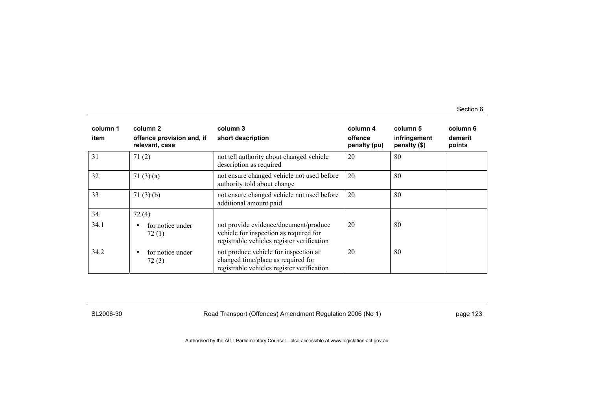| column 1<br>item | column 2<br>offence provision and, if<br>relevant, case | column 3<br>short description                                                                                                 | column 4<br>offence<br>penalty (pu) | column 5<br>infringement<br>penalty (\$) | column 6<br>demerit<br>points |
|------------------|---------------------------------------------------------|-------------------------------------------------------------------------------------------------------------------------------|-------------------------------------|------------------------------------------|-------------------------------|
| 31               | 71(2)                                                   | not tell authority about changed vehicle<br>description as required                                                           | 20                                  | 80                                       |                               |
| 32               | 71(3)(a)                                                | not ensure changed vehicle not used before<br>authority told about change                                                     | 20                                  | 80                                       |                               |
| 33               | 71(3)(b)                                                | not ensure changed vehicle not used before<br>additional amount paid                                                          | 20                                  | 80                                       |                               |
| 34               | 72(4)                                                   |                                                                                                                               |                                     |                                          |                               |
| 34.1             | for notice under<br>72(1)                               | not provide evidence/document/produce<br>vehicle for inspection as required for<br>registrable vehicles register verification | 20                                  | 80                                       |                               |
| 34.2             | for notice under<br>$\bullet$<br>72(3)                  | not produce vehicle for inspection at<br>changed time/place as required for<br>registrable vehicles register verification     | 20                                  | 80                                       |                               |

SL2006-30 Road Transport (Offences) Amendment Regulation 2006 (No 1) page 123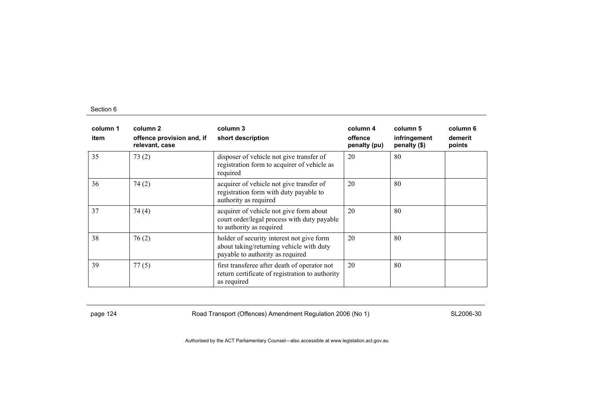| column 1<br>item | column 2<br>offence provision and, if<br>relevant, case | column 3<br>short description                                                                                             | column 4<br>offence<br>penalty (pu) | column 5<br>infringement<br>penalty (\$) | column 6<br>demerit<br>points |
|------------------|---------------------------------------------------------|---------------------------------------------------------------------------------------------------------------------------|-------------------------------------|------------------------------------------|-------------------------------|
| 35               | 73(2)                                                   | disposer of vehicle not give transfer of<br>registration form to acquirer of vehicle as<br>required                       | 20                                  | 80                                       |                               |
| 36               | 74(2)                                                   | acquirer of vehicle not give transfer of<br>registration form with duty payable to<br>authority as required               | 20                                  | 80                                       |                               |
| 37               | 74(4)                                                   | acquirer of vehicle not give form about<br>court order/legal process with duty payable<br>to authority as required        | 20                                  | 80                                       |                               |
| 38               | 76(2)                                                   | holder of security interest not give form<br>about taking/returning vehicle with duty<br>payable to authority as required | 20                                  | 80                                       |                               |
| 39               | 77(5)                                                   | first transferee after death of operator not<br>return certificate of registration to authority<br>as required            | 20                                  | 80                                       |                               |

page 124 **Road Transport (Offences) Amendment Regulation 2006 (No 1)** SL2006-30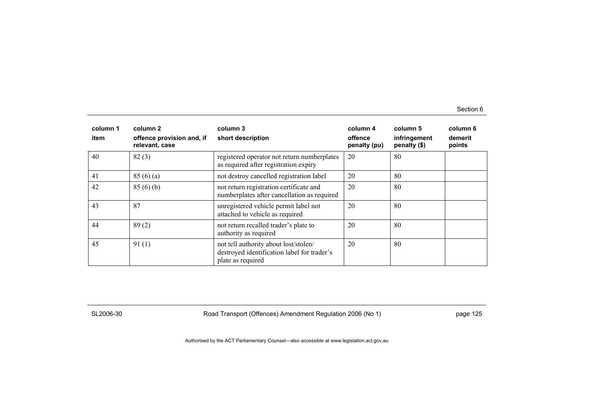| column 1<br>item | column 2<br>offence provision and, if<br>relevant, case | column 3<br>short description                                                                             | column 4<br>offence<br>penalty (pu) | column 5<br>infringement<br>penalty (\$) | column 6<br>demerit<br>points |
|------------------|---------------------------------------------------------|-----------------------------------------------------------------------------------------------------------|-------------------------------------|------------------------------------------|-------------------------------|
| 40               | 82(3)                                                   | registered operator not return numberplates<br>as required after registration expiry                      | 20                                  | 80                                       |                               |
| 41               | 85(6)(a)                                                | not destroy cancelled registration label                                                                  | 20                                  | 80                                       |                               |
| 42               | 85(6)(b)                                                | not return registration certificate and<br>numberplates after cancellation as required                    | 20                                  | 80                                       |                               |
| 43               | 87                                                      | unregistered vehicle permit label not<br>attached to vehicle as required                                  | 20                                  | 80                                       |                               |
| 44               | 89(2)                                                   | not return recalled trader's plate to<br>authority as required                                            | 20                                  | 80                                       |                               |
| 45               | 91(1)                                                   | not tell authority about lost/stolen/<br>destroyed identification label for trader's<br>plate as required | 20                                  | 80                                       |                               |

SL2006-30 Road Transport (Offences) Amendment Regulation 2006 (No 1) page 125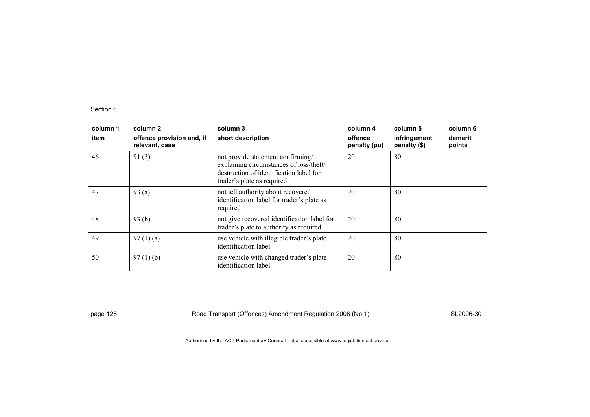| column 1<br>item | column 2<br>offence provision and, if<br>relevant, case | column 3<br>short description                                                                                                                         | column 4<br>offence<br>penalty (pu) | column 5<br>infringement<br>penalty (\$) | column 6<br>demerit<br>points |
|------------------|---------------------------------------------------------|-------------------------------------------------------------------------------------------------------------------------------------------------------|-------------------------------------|------------------------------------------|-------------------------------|
| 46               | 91(3)                                                   | not provide statement confirming/<br>explaining circumstances of loss/theft/<br>destruction of identification label for<br>trader's plate as required | 20                                  | 80                                       |                               |
| 47               | 93(a)                                                   | not tell authority about recovered<br>identification label for trader's plate as<br>required                                                          | 20                                  | 80                                       |                               |
| 48               | 93(b)                                                   | not give recovered identification label for<br>trader's plate to authority as required                                                                | 20                                  | 80                                       |                               |
| 49               | 97(1)(a)                                                | use vehicle with illegible trader's plate<br>identification label                                                                                     | 20                                  | 80                                       |                               |
| 50               | $97(1)$ (b)                                             | use vehicle with changed trader's plate<br>identification label                                                                                       | 20                                  | 80                                       |                               |

page 126 **Road Transport (Offences) Amendment Regulation 2006 (No 1)** SL2006-30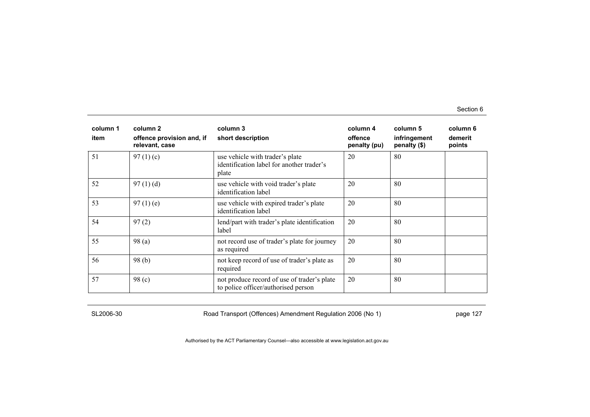| column 1<br>item | column 2<br>offence provision and, if<br>relevant, case | column 3<br>short description                                                         | column 4<br>offence<br>penalty (pu) | column 5<br>infringement<br>penalty (\$) | column 6<br>demerit<br>points |
|------------------|---------------------------------------------------------|---------------------------------------------------------------------------------------|-------------------------------------|------------------------------------------|-------------------------------|
| 51               | 97 $(1)(c)$                                             | use vehicle with trader's plate<br>identification label for another trader's<br>plate | 20                                  | 80                                       |                               |
| 52               | 97(1)(d)                                                | use vehicle with void trader's plate<br>identification label                          | 20                                  | 80                                       |                               |
| 53               | 97(1)(e)                                                | use vehicle with expired trader's plate<br>identification label                       | 20                                  | 80                                       |                               |
| 54               | 97(2)                                                   | lend/part with trader's plate identification<br>label                                 | 20                                  | 80                                       |                               |
| 55               | 98(a)                                                   | not record use of trader's plate for journey<br>as required                           | 20                                  | 80                                       |                               |
| 56               | 98(b)                                                   | not keep record of use of trader's plate as<br>required                               | 20                                  | 80                                       |                               |
| 57               | 98(c)                                                   | not produce record of use of trader's plate<br>to police officer/authorised person    | 20                                  | -80                                      |                               |

SL2006-30 Road Transport (Offences) Amendment Regulation 2006 (No 1) page 127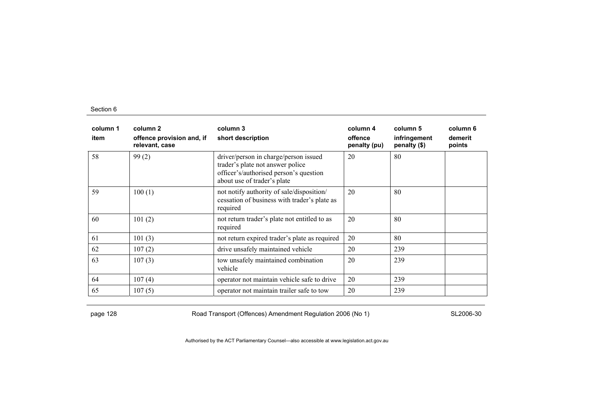| column 1<br>item | column 2<br>offence provision and, if<br>relevant, case | column 3<br>short description                                                                                                                      | column 4<br>offence<br>penalty (pu) | column 5<br>infringement<br>penalty (\$) | column 6<br>demerit<br>points |
|------------------|---------------------------------------------------------|----------------------------------------------------------------------------------------------------------------------------------------------------|-------------------------------------|------------------------------------------|-------------------------------|
| 58               | 99(2)                                                   | driver/person in charge/person issued<br>trader's plate not answer police<br>officer's/authorised person's question<br>about use of trader's plate | 20                                  | 80                                       |                               |
| 59               | 100(1)                                                  | not notify authority of sale/disposition/<br>cessation of business with trader's plate as<br>required                                              | 20                                  | 80                                       |                               |
| 60               | 101(2)                                                  | not return trader's plate not entitled to as<br>required                                                                                           | 20                                  | 80                                       |                               |
| 61               | 101(3)                                                  | not return expired trader's plate as required                                                                                                      | 20                                  | 80                                       |                               |
| 62               | 107(2)                                                  | drive unsafely maintained vehicle                                                                                                                  | 20                                  | 239                                      |                               |
| 63               | 107(3)                                                  | tow unsafely maintained combination<br>vehicle                                                                                                     | 20                                  | 239                                      |                               |
| 64               | 107(4)                                                  | operator not maintain vehicle safe to drive                                                                                                        | 20                                  | 239                                      |                               |
| 65               | 107(5)                                                  | operator not maintain trailer safe to tow                                                                                                          | 20                                  | 239                                      |                               |

page 128 **Road Transport (Offences) Amendment Regulation 2006 (No 1)** SL2006-30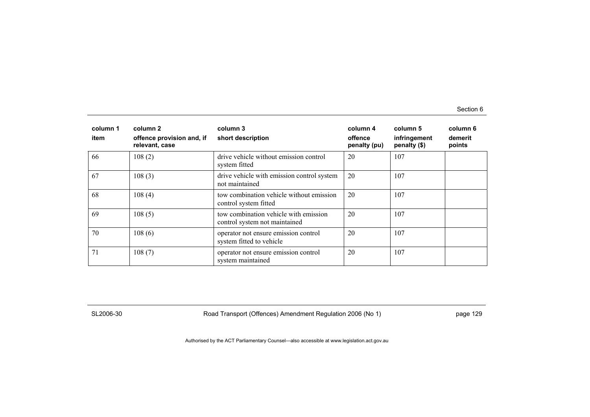| column 1<br>item | column 2<br>offence provision and, if<br>relevant, case | column 3<br>short description                                          | column 4<br>offence<br>penalty (pu) | column 5<br>infringement<br>penalty (\$) | column 6<br>demerit<br>points |
|------------------|---------------------------------------------------------|------------------------------------------------------------------------|-------------------------------------|------------------------------------------|-------------------------------|
| 66               | 108(2)                                                  | drive vehicle without emission control<br>system fitted                | 20                                  | 107                                      |                               |
| 67               | 108(3)                                                  | drive vehicle with emission control system<br>not maintained           | 20                                  | 107                                      |                               |
| 68               | 108(4)                                                  | tow combination vehicle without emission<br>control system fitted      | 20                                  | 107                                      |                               |
| 69               | 108(5)                                                  | tow combination vehicle with emission<br>control system not maintained | 20                                  | 107                                      |                               |
| 70               | 108(6)                                                  | operator not ensure emission control<br>system fitted to vehicle       | 20                                  | 107                                      |                               |
| 71               | 108(7)                                                  | operator not ensure emission control<br>system maintained              | 20                                  | 107                                      |                               |

SL2006-30 Road Transport (Offences) Amendment Regulation 2006 (No 1) page 129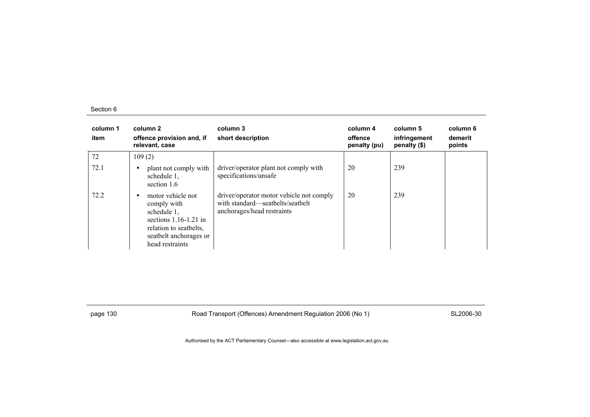| column 1<br>item | column 2<br>offence provision and, if<br>relevant, case                                                                                           | column 3<br>short description                                                                              | column 4<br>offence<br>penalty (pu) | column 5<br>infringement<br>penalty (\$) | column 6<br>demerit<br>points |
|------------------|---------------------------------------------------------------------------------------------------------------------------------------------------|------------------------------------------------------------------------------------------------------------|-------------------------------------|------------------------------------------|-------------------------------|
| 72               | 109(2)                                                                                                                                            |                                                                                                            |                                     |                                          |                               |
| 72.1             | plant not comply with<br>schedule 1,<br>section 1.6                                                                                               | driver/operator plant not comply with<br>specifications/unsafe                                             | 20                                  | 239                                      |                               |
| 72.2             | motor vehicle not<br>comply with<br>schedule 1,<br>sections $1.16-1.21$ in<br>relation to seatbelts.<br>seatbelt anchorages or<br>head restraints | driver/operator motor vehicle not comply<br>with standard—seatbelts/seatbelt<br>anchorages/head restraints | 20                                  | 239                                      |                               |

page 130 **Road Transport (Offences) Amendment Regulation 2006 (No 1)** SL2006-30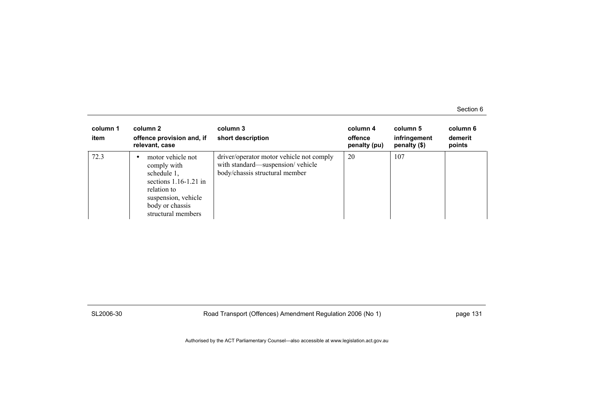| column 1<br>item | column 2<br>offence provision and, if<br>relevant, case                                                                                                   | column 3<br>short description                                                                                  | column 4<br>offence<br>penalty (pu) | column 5<br>infringement<br>penalty (\$) | column 6<br>demerit<br>points |
|------------------|-----------------------------------------------------------------------------------------------------------------------------------------------------------|----------------------------------------------------------------------------------------------------------------|-------------------------------------|------------------------------------------|-------------------------------|
| 72.3             | motor vehicle not<br>comply with<br>schedule 1,<br>sections $1.16-1.21$ in<br>relation to<br>suspension, vehicle<br>body or chassis<br>structural members | driver/operator motor vehicle not comply<br>with standard—suspension/vehicle<br>body/chassis structural member | 20                                  | 107                                      |                               |

SL2006-30 Road Transport (Offences) Amendment Regulation 2006 (No 1) page 131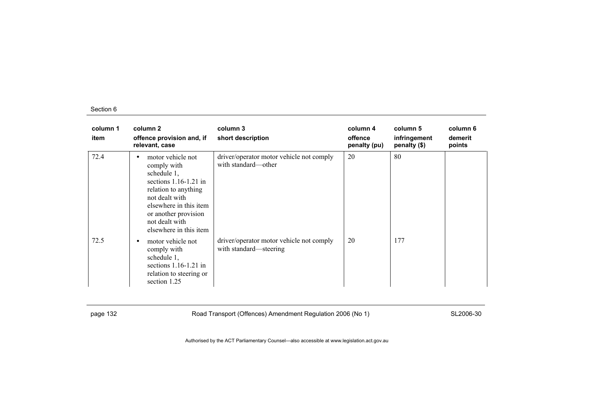| column 1<br>item | column 2<br>offence provision and, if<br>relevant, case                                                                                                                                                                 | column 3<br>short description                                      | column 4<br>offence<br>penalty (pu) | column 5<br>infringement<br>penalty (\$) | column 6<br>demerit<br>points |
|------------------|-------------------------------------------------------------------------------------------------------------------------------------------------------------------------------------------------------------------------|--------------------------------------------------------------------|-------------------------------------|------------------------------------------|-------------------------------|
| 72.4             | motor vehicle not<br>٠<br>comply with<br>schedule 1,<br>sections $1.16-1.21$ in<br>relation to anything<br>not dealt with<br>elsewhere in this item<br>or another provision<br>not dealt with<br>elsewhere in this item | driver/operator motor vehicle not comply<br>with standard—other    | 20                                  | 80                                       |                               |
| 72.5             | motor vehicle not<br>$\bullet$<br>comply with<br>schedule 1,<br>sections $1.16-1.21$ in<br>relation to steering or<br>section 1.25                                                                                      | driver/operator motor vehicle not comply<br>with standard—steering | 20                                  | 177                                      |                               |

page 132 **Road Transport (Offences) Amendment Regulation 2006 (No 1)** SL2006-30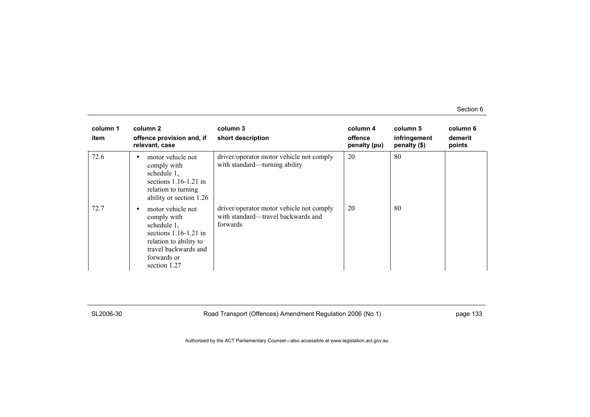| column 1<br>item | column 2<br>offence provision and, if<br>relevant, case                                                                                                          | column 3<br>short description                                                              | column 4<br>offence<br>penalty (pu) | column 5<br>infringement<br>penalty $(\$)$ | column 6<br>demerit<br>points |
|------------------|------------------------------------------------------------------------------------------------------------------------------------------------------------------|--------------------------------------------------------------------------------------------|-------------------------------------|--------------------------------------------|-------------------------------|
| 72.6             | motor vehicle not<br>$\bullet$<br>comply with<br>schedule 1,<br>sections $1.16-1.21$ in<br>relation to turning<br>ability or section 1.26                        | driver/operator motor vehicle not comply<br>with standard—turning ability                  | 20                                  | 80                                         |                               |
| 72.7             | motor vehicle not<br>٠<br>comply with<br>schedule 1,<br>sections $1.16-1.21$ in<br>relation to ability to<br>travel backwards and<br>forwards or<br>section 1.27 | driver/operator motor vehicle not comply<br>with standard—travel backwards and<br>forwards | 20                                  | 80                                         |                               |

SL2006-30 Road Transport (Offences) Amendment Regulation 2006 (No 1) page 133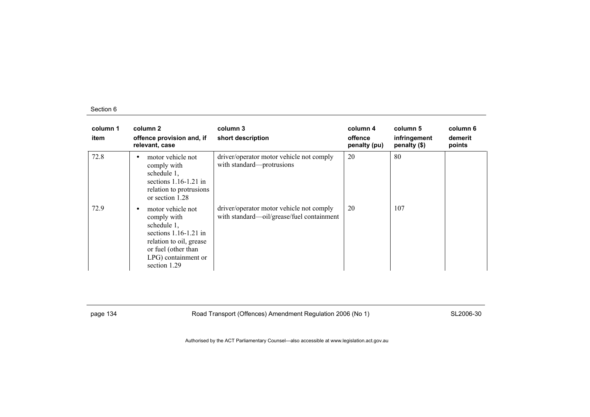| column 1<br>item | column 2<br>offence provision and, if<br>relevant, case                                                                                                                  | column 3<br>short description                                                         | column 4<br>offence<br>penalty (pu) | column 5<br>infringement<br>penalty (\$) | column 6<br>demerit<br>points |
|------------------|--------------------------------------------------------------------------------------------------------------------------------------------------------------------------|---------------------------------------------------------------------------------------|-------------------------------------|------------------------------------------|-------------------------------|
| 72.8             | motor vehicle not<br>$\bullet$<br>comply with<br>schedule 1,<br>sections $1.16-1.21$ in<br>relation to protrusions<br>or section 1.28                                    | driver/operator motor vehicle not comply<br>with standard—protrusions                 | 20                                  | 80                                       |                               |
| 72.9             | motor vehicle not<br>٠<br>comply with<br>schedule 1,<br>sections $1.16-1.21$ in<br>relation to oil, grease<br>or fuel (other than<br>LPG) containment or<br>section 1.29 | driver/operator motor vehicle not comply<br>with standard-oil/grease/fuel containment | 20                                  | 107                                      |                               |

page 134 **Road Transport (Offences) Amendment Regulation 2006 (No 1)** SL2006-30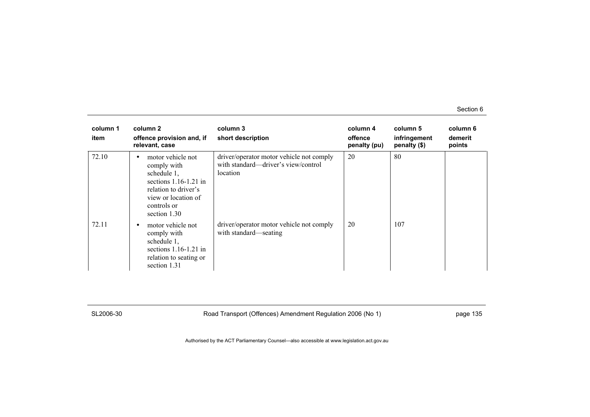| column 1<br>item | column 2<br>offence provision and, if<br>relevant, case                                                                                                                 | column 3<br>short description                                                               | column 4<br>offence<br>penalty (pu) | column 5<br>infringement<br>penalty $(\$)$ | column 6<br>demerit<br>points |
|------------------|-------------------------------------------------------------------------------------------------------------------------------------------------------------------------|---------------------------------------------------------------------------------------------|-------------------------------------|--------------------------------------------|-------------------------------|
| 72.10            | motor vehicle not<br>$\bullet$<br>comply with<br>schedule 1,<br>sections $1.16 - 1.21$ in<br>relation to driver's<br>view or location of<br>controls or<br>section 1.30 | driver/operator motor vehicle not comply<br>with standard—driver's view/control<br>location | 20                                  | 80                                         |                               |
| 72.11            | motor vehicle not<br>comply with<br>schedule 1,<br>sections $1.16-1.21$ in<br>relation to seating or<br>section 1.31                                                    | driver/operator motor vehicle not comply<br>with standard—seating                           | 20                                  | 107                                        |                               |

SL2006-30 Road Transport (Offences) Amendment Regulation 2006 (No 1) page 135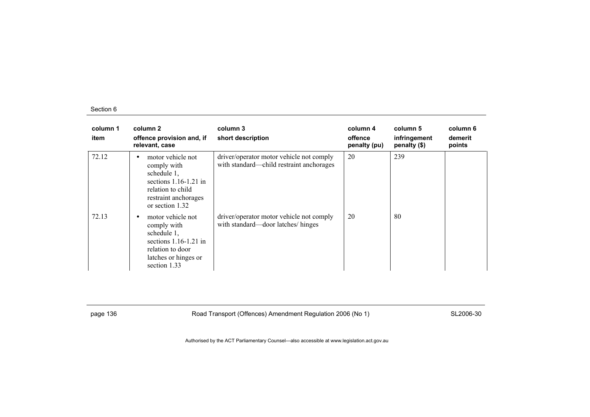| column 1<br>item | column 2<br>offence provision and, if<br>relevant, case                                                                                                 | column 3<br>short description                                                        | column 4<br>offence<br>penalty (pu) | column 5<br>infringement<br>penalty (\$) | column 6<br>demerit<br>points |
|------------------|---------------------------------------------------------------------------------------------------------------------------------------------------------|--------------------------------------------------------------------------------------|-------------------------------------|------------------------------------------|-------------------------------|
| 72.12            | motor vehicle not<br>$\bullet$<br>comply with<br>schedule 1,<br>sections $1.16-1.21$ in<br>relation to child<br>restraint anchorages<br>or section 1.32 | driver/operator motor vehicle not comply<br>with standard—child restraint anchorages | 20                                  | 239                                      |                               |
| 72.13            | motor vehicle not<br>comply with<br>schedule 1,<br>sections $1.16-1.21$ in<br>relation to door<br>latches or hinges or<br>section 1.33                  | driver/operator motor vehicle not comply<br>with standard—door latches/hinges        | 20                                  | 80                                       |                               |

page 136 **Road Transport (Offences) Amendment Regulation 2006 (No 1)** SL2006-30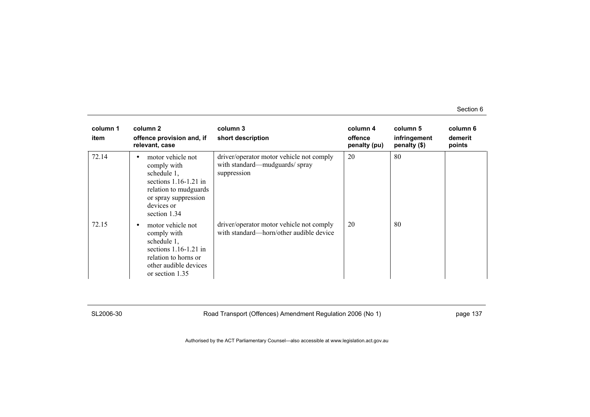| column 1<br>item | column 2<br>offence provision and, if<br>relevant, case                                                                                                   | column 3<br>short description                                                            | column 4<br>offence<br>penalty (pu) | column 5<br>infringement<br>penalty (\$) | column 6<br>demerit<br>points |
|------------------|-----------------------------------------------------------------------------------------------------------------------------------------------------------|------------------------------------------------------------------------------------------|-------------------------------------|------------------------------------------|-------------------------------|
| 72.14            | motor vehicle not<br>comply with<br>schedule 1,<br>sections $1.16-1.21$ in<br>relation to mudguards<br>or spray suppression<br>devices or<br>section 1.34 | driver/operator motor vehicle not comply<br>with standard—mudguards/spray<br>suppression | 20                                  | 80                                       |                               |
| 72.15            | motor vehicle not<br>comply with<br>schedule 1,<br>sections $1.16-1.21$ in<br>relation to horns or<br>other audible devices<br>or section 1.35            | driver/operator motor vehicle not comply<br>with standard—horn/other audible device      | 20                                  | 80                                       |                               |

SL2006-30 Road Transport (Offences) Amendment Regulation 2006 (No 1) page 137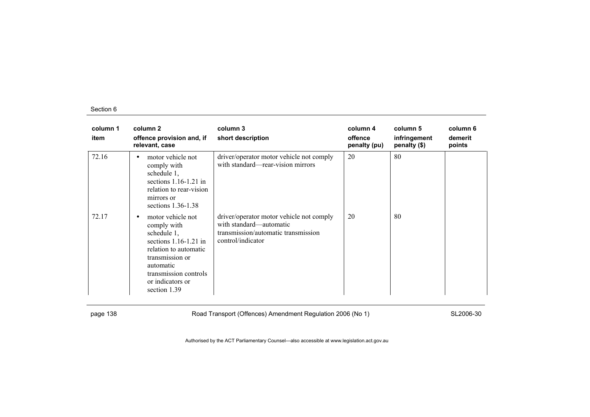| column 1<br>item | column 2<br>offence provision and, if<br>relevant, case                                                                                                                                                       | column 3<br>short description                                                                                                   | column 4<br>offence<br>penalty (pu) | column 5<br>infringement<br>penalty (\$) | column 6<br>demerit<br>points |
|------------------|---------------------------------------------------------------------------------------------------------------------------------------------------------------------------------------------------------------|---------------------------------------------------------------------------------------------------------------------------------|-------------------------------------|------------------------------------------|-------------------------------|
| 72.16            | motor vehicle not<br>comply with<br>schedule 1,<br>sections $1.16-1.21$ in<br>relation to rear-vision<br>mirrors or<br>sections $1.36-1.38$                                                                   | driver/operator motor vehicle not comply<br>with standard—rear-vision mirrors                                                   | 20                                  | 80                                       |                               |
| 72.17            | motor vehicle not<br>$\bullet$<br>comply with<br>schedule 1,<br>sections $1.16-1.21$ in<br>relation to automatic<br>transmission or<br>automatic<br>transmission controls<br>or indicators or<br>section 1.39 | driver/operator motor vehicle not comply<br>with standard—automatic<br>transmission/automatic transmission<br>control/indicator | 20                                  | 80                                       |                               |

page 138 **Road Transport (Offences) Amendment Regulation 2006 (No 1)** SL2006-30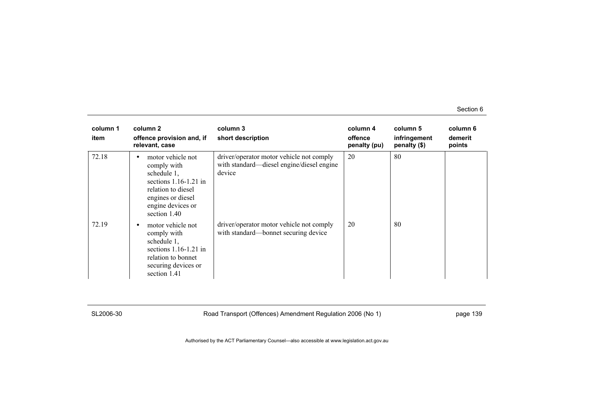| column 1<br>item | column 2<br>offence provision and, if<br>relevant, case                                                                                                    | column 3<br>short description                                                                   | column 4<br>offence<br>penalty (pu) | column 5<br>infringement<br>penalty (\$) | column 6<br>demerit<br>points |
|------------------|------------------------------------------------------------------------------------------------------------------------------------------------------------|-------------------------------------------------------------------------------------------------|-------------------------------------|------------------------------------------|-------------------------------|
| 72.18            | motor vehicle not<br>comply with<br>schedule 1,<br>sections $1.16-1.21$ in<br>relation to diesel<br>engines or diesel<br>engine devices or<br>section 1.40 | driver/operator motor vehicle not comply<br>with standard—diesel engine/diesel engine<br>device | 20                                  | 80                                       |                               |
| 72.19            | motor vehicle not<br>comply with<br>schedule 1,<br>sections $1.16-1.21$ in<br>relation to bonnet<br>securing devices or<br>section 1.41                    | driver/operator motor vehicle not comply<br>with standard—bonnet securing device                | 20                                  | -80                                      |                               |

SL2006-30 Road Transport (Offences) Amendment Regulation 2006 (No 1) page 139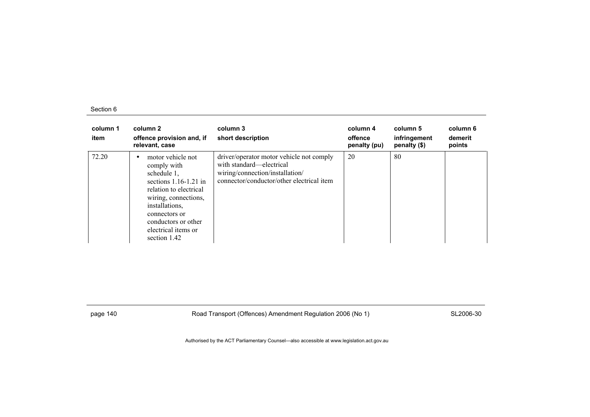| column 1<br>item | column 2<br>offence provision and, if<br>relevant, case                                                                                                                                                                            | column 3<br>short description                                                                                                                        | column 4<br>offence<br>penalty (pu) | column 5<br>infringement<br>penalty (\$) | column 6<br>demerit<br>points |
|------------------|------------------------------------------------------------------------------------------------------------------------------------------------------------------------------------------------------------------------------------|------------------------------------------------------------------------------------------------------------------------------------------------------|-------------------------------------|------------------------------------------|-------------------------------|
| 72.20            | motor vehicle not<br>comply with<br>schedule $1$ ,<br>sections $1.16 - 1.21$ in<br>relation to electrical<br>wiring, connections,<br>installations.<br>connectors or<br>conductors or other<br>electrical items or<br>section 1.42 | driver/operator motor vehicle not comply<br>with standard—electrical<br>wiring/connection/installation/<br>connector/conductor/other electrical item | 20                                  | 80                                       |                               |

page 140 **Road Transport (Offences) Amendment Regulation 2006 (No 1)** SL2006-30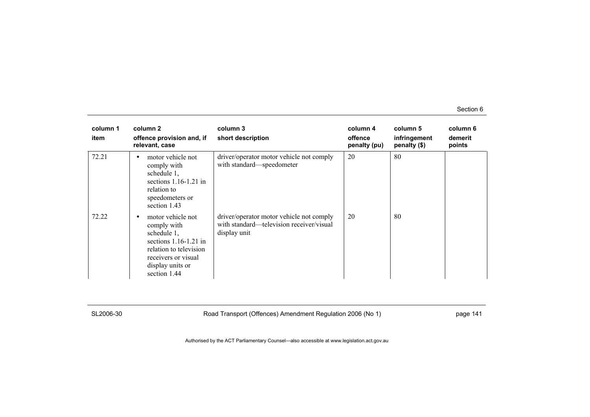| column 1<br>item | column 2<br>offence provision and, if<br>relevant, case                                                                                                         | column 3<br>short description                                                                        | column 4<br>offence<br>penalty (pu) | column 5<br>infringement<br>penalty (\$) | column 6<br>demerit<br>points |
|------------------|-----------------------------------------------------------------------------------------------------------------------------------------------------------------|------------------------------------------------------------------------------------------------------|-------------------------------------|------------------------------------------|-------------------------------|
| 72.21            | motor vehicle not<br>comply with<br>schedule 1,<br>sections $1.16-1.21$ in<br>relation to<br>speedometers or<br>section 1.43                                    | driver/operator motor vehicle not comply<br>with standard-speedometer                                | 20                                  | 80                                       |                               |
| 72.22            | motor vehicle not<br>comply with<br>schedule 1,<br>sections $1.16-1.21$ in<br>relation to television<br>receivers or visual<br>display units or<br>section 1.44 | driver/operator motor vehicle not comply<br>with standard—television receiver/visual<br>display unit | 20                                  | 80                                       |                               |

SL2006-30 Road Transport (Offences) Amendment Regulation 2006 (No 1) page 141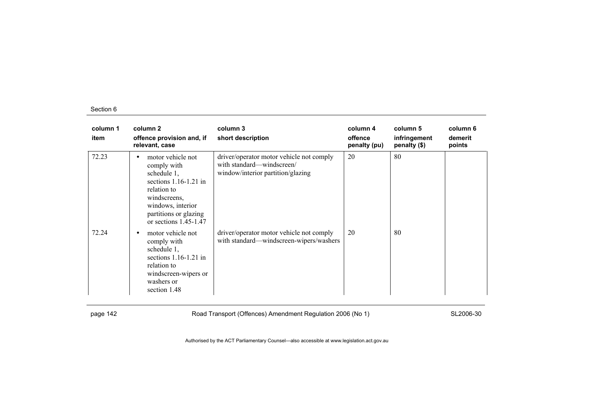| column 1<br>item | column 2<br>offence provision and, if<br>relevant, case                                                                                                                            | column 3<br>short description                                                                              | column 4<br>offence<br>penalty (pu) | column 5<br>infringement<br>penalty (\$) | column 6<br>demerit<br>points |
|------------------|------------------------------------------------------------------------------------------------------------------------------------------------------------------------------------|------------------------------------------------------------------------------------------------------------|-------------------------------------|------------------------------------------|-------------------------------|
| 72.23            | motor vehicle not<br>comply with<br>schedule 1,<br>sections $1.16-1.21$ in<br>relation to<br>windscreens,<br>windows, interior<br>partitions or glazing<br>or sections $1.45-1.47$ | driver/operator motor vehicle not comply<br>with standard—windscreen/<br>window/interior partition/glazing | 20                                  | 80                                       |                               |
| 72.24            | motor vehicle not<br>٠<br>comply with<br>schedule 1,<br>sections $1.16-1.21$ in<br>relation to<br>windscreen-wipers or<br>washers or<br>section 1.48                               | driver/operator motor vehicle not comply<br>with standard-windscreen-wipers/washers                        | 20                                  | 80                                       |                               |

page 142 **Road Transport (Offences) Amendment Regulation 2006 (No 1)** SL2006-30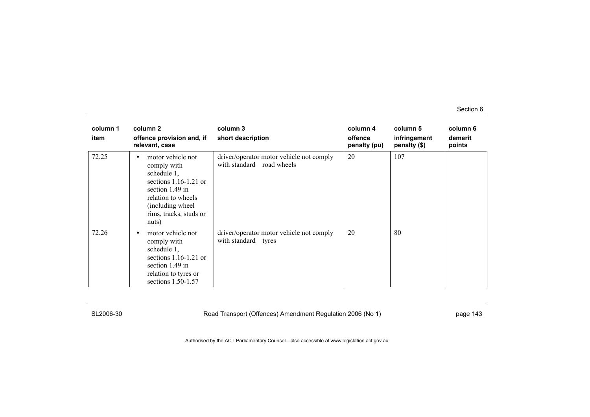| column 1<br>item | column 2<br>offence provision and, if<br>relevant, case                                                                                                                            | column 3<br>short description                                         | column 4<br>offence<br>penalty (pu) | column 5<br>infringement<br>penalty (\$) | column 6<br>demerit<br>points |
|------------------|------------------------------------------------------------------------------------------------------------------------------------------------------------------------------------|-----------------------------------------------------------------------|-------------------------------------|------------------------------------------|-------------------------------|
| 72.25            | motor vehicle not<br>٠<br>comply with<br>schedule 1,<br>sections $1.16-1.21$ or<br>section $1.49$ in<br>relation to wheels<br>(including wheel)<br>rims, tracks, studs or<br>nuts) | driver/operator motor vehicle not comply<br>with standard—road wheels | 20                                  | 107                                      |                               |
| 72.26            | motor vehicle not<br>٠<br>comply with<br>schedule 1,<br>sections $1.16-1.21$ or<br>section 1.49 in<br>relation to tyres or<br>sections 1.50-1.57                                   | driver/operator motor vehicle not comply<br>with standard—tyres       | 20                                  | -80                                      |                               |

SL2006-30 Road Transport (Offences) Amendment Regulation 2006 (No 1) page 143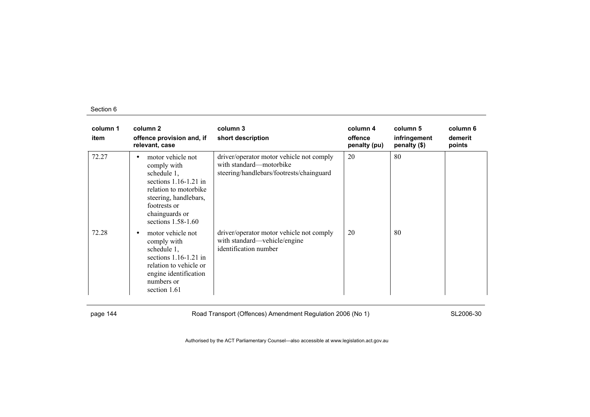| column 1<br>item | column 2<br>offence provision and, if<br>relevant, case                                                                                                                                | column 3<br>short description                                                                                   | column 4<br>offence<br>penalty (pu) | column 5<br>infringement<br>penalty (\$) | column 6<br>demerit<br>points |
|------------------|----------------------------------------------------------------------------------------------------------------------------------------------------------------------------------------|-----------------------------------------------------------------------------------------------------------------|-------------------------------------|------------------------------------------|-------------------------------|
| 72.27            | motor vehicle not<br>comply with<br>schedule 1,<br>sections $1.16-1.21$ in<br>relation to motorbike<br>steering, handlebars,<br>footrests or<br>chainguards or<br>sections $1.58-1.60$ | driver/operator motor vehicle not comply<br>with standard—motorbike<br>steering/handlebars/footrests/chainguard | 20                                  | 80                                       |                               |
| 72.28            | motor vehicle not<br>$\bullet$<br>comply with<br>schedule 1,<br>sections $1.16-1.21$ in<br>relation to vehicle or<br>engine identification<br>numbers or<br>section 1.61               | driver/operator motor vehicle not comply<br>with standard—vehicle/engine<br>identification number               | 20                                  | 80                                       |                               |

page 144 **Road Transport (Offences) Amendment Regulation 2006 (No 1)** SL2006-30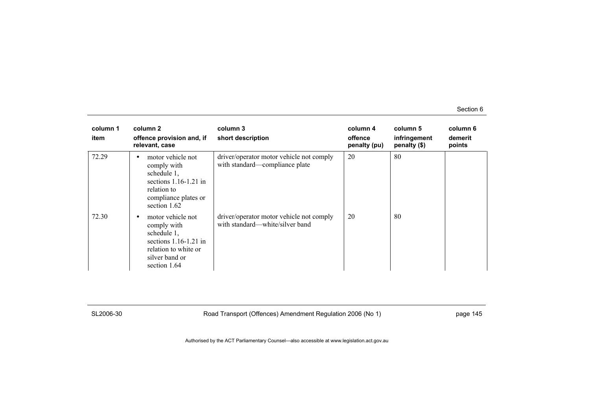| column 1<br>item | column 2<br>offence provision and, if<br>relevant, case                                                                                | column 3<br>short description                                               | column 4<br>offence<br>penalty (pu) | column 5<br>infringement<br>penalty $(\$)$ | column 6<br>demerit<br>points |
|------------------|----------------------------------------------------------------------------------------------------------------------------------------|-----------------------------------------------------------------------------|-------------------------------------|--------------------------------------------|-------------------------------|
| 72.29            | motor vehicle not<br>٠<br>comply with<br>schedule 1,<br>sections $1.16-1.21$ in<br>relation to<br>compliance plates or<br>section 1.62 | driver/operator motor vehicle not comply<br>with standard—compliance plate  | 20                                  | 80                                         |                               |
| 72.30            | motor vehicle not<br>comply with<br>schedule 1,<br>sections $1.16-1.21$ in<br>relation to white or<br>silver band or<br>section 1.64   | driver/operator motor vehicle not comply<br>with standard—white/silver band | 20                                  | 80                                         |                               |

SL2006-30 Road Transport (Offences) Amendment Regulation 2006 (No 1) page 145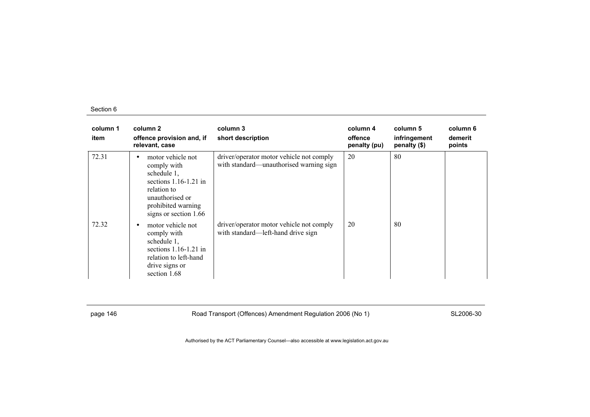| column 1<br>item | column 2<br>offence provision and, if<br>relevant, case                                                                                                            | column 3<br>short description                                                       | column 4<br>offence<br>penalty (pu) | column 5<br>infringement<br>penalty (\$) | column 6<br>demerit<br>points |
|------------------|--------------------------------------------------------------------------------------------------------------------------------------------------------------------|-------------------------------------------------------------------------------------|-------------------------------------|------------------------------------------|-------------------------------|
| 72.31            | motor vehicle not<br>٠<br>comply with<br>schedule 1,<br>sections $1.16-1.21$ in<br>relation to<br>unauthorised or<br>prohibited warning<br>signs or section $1.66$ | driver/operator motor vehicle not comply<br>with standard—unauthorised warning sign | 20                                  | 80                                       |                               |
| 72.32            | motor vehicle not<br>٠<br>comply with<br>schedule 1,<br>sections $1.16-1.21$ in<br>relation to left-hand<br>drive signs or<br>section 1.68                         | driver/operator motor vehicle not comply<br>with standard—left-hand drive sign      | 20                                  | 80                                       |                               |

page 146 **Road Transport (Offences) Amendment Regulation 2006 (No 1)** SL2006-30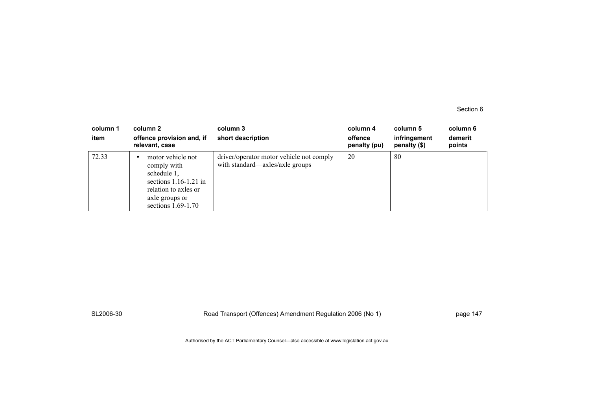| column 1<br>item | column 2<br>offence provision and, if<br>relevant, case                                                                                      | column 3<br>short description                                               | column 4<br>offence<br>penalty (pu) | column 5<br>infringement<br>penalty $(\$)$ | column 6<br>demerit<br>points |
|------------------|----------------------------------------------------------------------------------------------------------------------------------------------|-----------------------------------------------------------------------------|-------------------------------------|--------------------------------------------|-------------------------------|
| 72.33            | motor vehicle not<br>comply with<br>schedule 1,<br>sections $1.16-1.21$ in<br>relation to axles or<br>axle groups or<br>sections $1.69-1.70$ | driver/operator motor vehicle not comply<br>with standard—axles/axle groups | 20                                  | 80                                         |                               |

SL2006-30 Road Transport (Offences) Amendment Regulation 2006 (No 1) page 147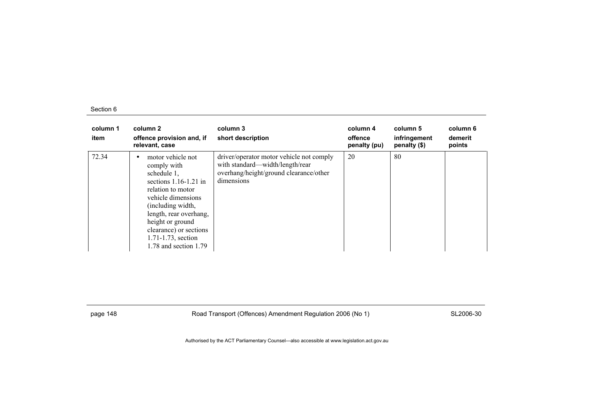| column 1<br>item | column 2<br>offence provision and, if<br>relevant, case                                                                                                                                                                                                               | column 3<br>short description                                                                                                       | column 4<br>offence<br>penalty (pu) | column 5<br>infringement<br>penalty (\$) | column 6<br>demerit<br>points |
|------------------|-----------------------------------------------------------------------------------------------------------------------------------------------------------------------------------------------------------------------------------------------------------------------|-------------------------------------------------------------------------------------------------------------------------------------|-------------------------------------|------------------------------------------|-------------------------------|
| 72.34            | motor vehicle not<br>comply with<br>schedule 1,<br>sections $1.16-1.21$ in<br>relation to motor<br>vehicle dimensions<br>(including width,<br>length, rear overhang,<br>height or ground<br>clearance) or sections<br>1.71-1.73, section<br>$1.78$ and section $1.79$ | driver/operator motor vehicle not comply<br>with standard-width/length/rear<br>overhang/height/ground clearance/other<br>dimensions | 20                                  | 80                                       |                               |

page 148 **Road Transport (Offences) Amendment Regulation 2006 (No 1)** SL2006-30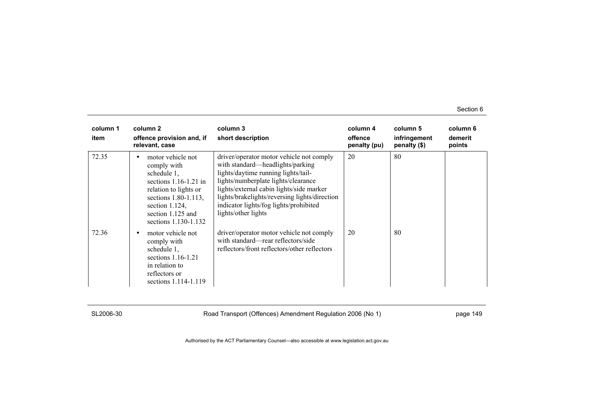| column 1<br>item | column 2<br>offence provision and, if<br>relevant, case                                                                                                                                         | column 3<br>short description                                                                                                                                                                                                                                                                                            | column 4<br>offence<br>penalty (pu) | column 5<br>infringement<br>penalty (\$) | column 6<br>demerit<br>points |
|------------------|-------------------------------------------------------------------------------------------------------------------------------------------------------------------------------------------------|--------------------------------------------------------------------------------------------------------------------------------------------------------------------------------------------------------------------------------------------------------------------------------------------------------------------------|-------------------------------------|------------------------------------------|-------------------------------|
| 72.35            | motor vehicle not<br>comply with<br>schedule 1,<br>sections $1.16 - 1.21$ in<br>relation to lights or<br>sections 1.80-1.113,<br>section $1.124$ ,<br>section 1.125 and<br>sections 1.130-1.132 | driver/operator motor vehicle not comply<br>with standard—headlights/parking<br>lights/daytime running lights/tail-<br>lights/numberplate lights/clearance<br>lights/external cabin lights/side marker<br>lights/brakelights/reversing lights/direction<br>indicator lights/fog lights/prohibited<br>lights/other lights | 20                                  | 80                                       |                               |
| 72.36            | motor vehicle not<br>٠<br>comply with<br>schedule 1,<br>sections $1.16-1.21$<br>in relation to<br>reflectors or<br>sections 1.114-1.119                                                         | driver/operator motor vehicle not comply<br>with standard—rear reflectors/side<br>reflectors/front reflectors/other reflectors                                                                                                                                                                                           | 20                                  | 80                                       |                               |

SL2006-30 Road Transport (Offences) Amendment Regulation 2006 (No 1) page 149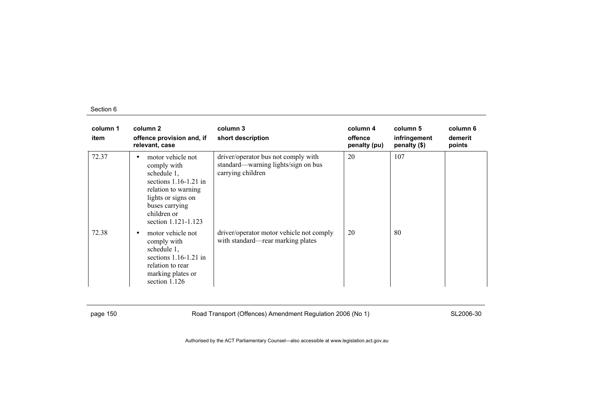| column 1<br>item | column <sub>2</sub><br>offence provision and, if<br>relevant, case                                                                                                                   | column 3<br>short description                                                                   | column 4<br>offence<br>penalty (pu) | column 5<br>infringement<br>penalty (\$) | column 6<br>demerit<br>points |
|------------------|--------------------------------------------------------------------------------------------------------------------------------------------------------------------------------------|-------------------------------------------------------------------------------------------------|-------------------------------------|------------------------------------------|-------------------------------|
| 72.37            | motor vehicle not<br>٠<br>comply with<br>schedule 1,<br>sections $1.16-1.21$ in<br>relation to warning<br>lights or signs on<br>buses carrying<br>children or<br>section 1.121-1.123 | driver/operator bus not comply with<br>standard—warning lights/sign on bus<br>carrying children | 20                                  | 107                                      |                               |
| 72.38            | motor vehicle not<br>٠<br>comply with<br>schedule 1,<br>sections $1.16 - 1.21$ in<br>relation to rear<br>marking plates or<br>section 1.126                                          | driver/operator motor vehicle not comply<br>with standard—rear marking plates                   | 20                                  | 80                                       |                               |

page 150 **Road Transport (Offences) Amendment Regulation 2006 (No 1)** SL2006-30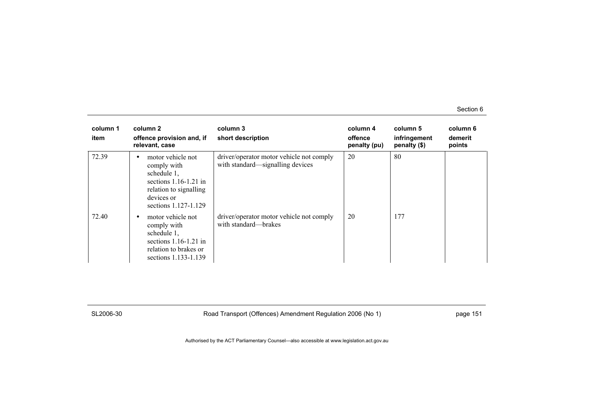| column 1<br>item | column 2<br>offence provision and, if<br>relevant, case                                                                                    | column 3<br>short description                                                | column 4<br>offence<br>penalty (pu) | column 5<br>infringement<br>penalty (\$) | column 6<br>demerit<br>points |
|------------------|--------------------------------------------------------------------------------------------------------------------------------------------|------------------------------------------------------------------------------|-------------------------------------|------------------------------------------|-------------------------------|
| 72.39            | motor vehicle not<br>comply with<br>schedule 1,<br>sections $1.16-1.21$ in<br>relation to signalling<br>devices or<br>sections 1.127-1.129 | driver/operator motor vehicle not comply<br>with standard—signalling devices | 20                                  | 80                                       |                               |
| 72.40            | motor vehicle not<br>٠<br>comply with<br>schedule 1,<br>sections $1.16 - 1.21$ in<br>relation to brakes or<br>sections 1.133-1.139         | driver/operator motor vehicle not comply<br>with standard—brakes             | 20                                  | 177                                      |                               |

SL2006-30 Road Transport (Offences) Amendment Regulation 2006 (No 1) page 151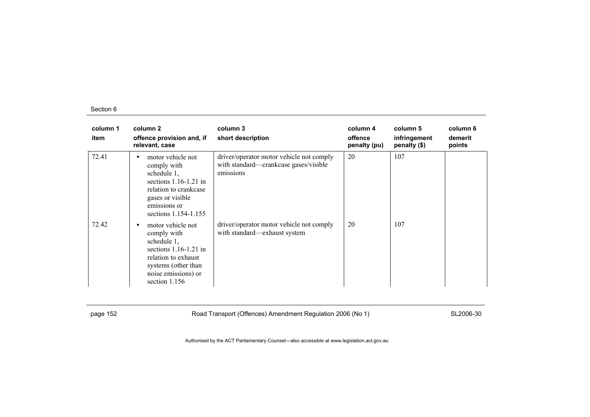| column 1<br>item | column 2<br>offence provision and, if<br>relevant, case                                                                                                               | column 3<br>short description                                                                  | column 4<br>offence<br>penalty (pu) | column 5<br>infringement<br>penalty (\$) | column 6<br>demerit<br>points |
|------------------|-----------------------------------------------------------------------------------------------------------------------------------------------------------------------|------------------------------------------------------------------------------------------------|-------------------------------------|------------------------------------------|-------------------------------|
| 72.41            | motor vehicle not<br>٠<br>comply with<br>schedule 1,<br>sections $1.16-1.21$ in<br>relation to crankcase<br>gases or visible<br>emissions or<br>sections 1.154-1.155  | driver/operator motor vehicle not comply<br>with standard—crankcase gases/visible<br>emissions | 20                                  | 107                                      |                               |
| 72.42            | motor vehicle not<br>٠<br>comply with<br>schedule 1,<br>sections $1.16-1.21$ in<br>relation to exhaust<br>systems (other than<br>noise emissions) or<br>section 1.156 | driver/operator motor vehicle not comply<br>with standard-exhaust system                       | 20                                  | 107                                      |                               |

page 152 **Road Transport (Offences) Amendment Regulation 2006 (No 1)** SL2006-30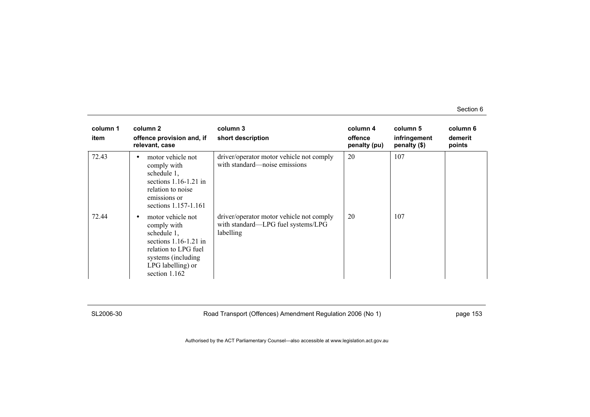| column 1<br>item | column 2<br>offence provision and, if<br>relevant, case                                                                                                        | column 3<br>short description                                                               | column 4<br>offence<br>penalty (pu) | column 5<br>infringement<br>penalty (\$) | column 6<br>demerit<br>points |
|------------------|----------------------------------------------------------------------------------------------------------------------------------------------------------------|---------------------------------------------------------------------------------------------|-------------------------------------|------------------------------------------|-------------------------------|
| 72.43            | motor vehicle not<br>comply with<br>schedule 1,<br>sections $1.16-1.21$ in<br>relation to noise<br>emissions or<br>sections 1.157-1.161                        | driver/operator motor vehicle not comply<br>with standard—noise emissions                   | 20                                  | 107                                      |                               |
| 72.44            | motor vehicle not<br>comply with<br>schedule 1,<br>sections $1.16-1.21$ in<br>relation to LPG fuel<br>systems (including<br>LPG labelling) or<br>section 1.162 | driver/operator motor vehicle not comply<br>with standard-LPG fuel systems/LPG<br>labelling | 20                                  | 107                                      |                               |

SL2006-30 Road Transport (Offences) Amendment Regulation 2006 (No 1) page 153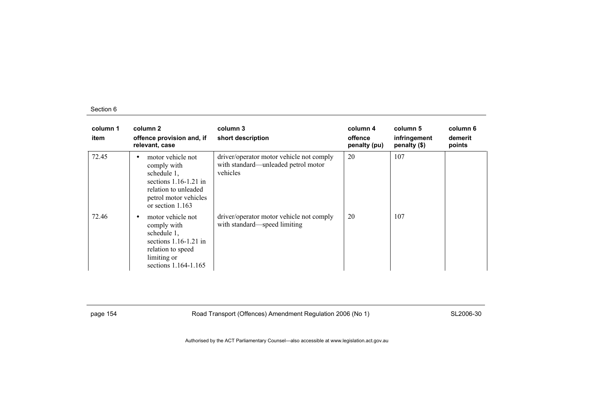| column 1<br>item | column 2<br>offence provision and, if<br>relevant, case                                                                                                        | column 3<br>short description                                                               | column 4<br>offence<br>penalty (pu) | column 5<br>infringement<br>penalty (\$) | column 6<br>demerit<br>points |
|------------------|----------------------------------------------------------------------------------------------------------------------------------------------------------------|---------------------------------------------------------------------------------------------|-------------------------------------|------------------------------------------|-------------------------------|
| 72.45            | motor vehicle not<br>$\bullet$<br>comply with<br>schedule 1,<br>sections $1.16-1.21$ in<br>relation to unleaded<br>petrol motor vehicles<br>or section $1.163$ | driver/operator motor vehicle not comply<br>with standard—unleaded petrol motor<br>vehicles | 20                                  | 107                                      |                               |
| 72.46            | motor vehicle not<br>$\bullet$<br>comply with<br>schedule 1,<br>sections $1.16-1.21$ in<br>relation to speed<br>limiting or<br>sections 1.164-1.165            | driver/operator motor vehicle not comply<br>with standard—speed limiting                    | 20                                  | 107                                      |                               |

page 154 **Road Transport (Offences) Amendment Regulation 2006 (No 1)** SL2006-30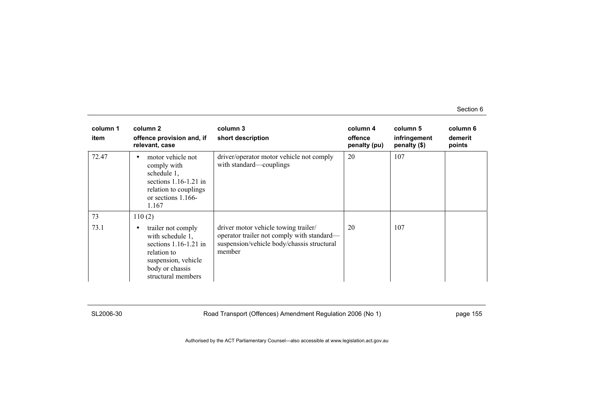| column 1<br>item | column 2<br>offence provision and, if<br>relevant, case                                                                                          | column 3<br>short description                                                                                                              | column 4<br>offence<br>penalty (pu) | column 5<br>infringement<br>penalty (\$) | column 6<br>demerit<br>points |
|------------------|--------------------------------------------------------------------------------------------------------------------------------------------------|--------------------------------------------------------------------------------------------------------------------------------------------|-------------------------------------|------------------------------------------|-------------------------------|
| 72.47            | motor vehicle not<br>comply with<br>schedule 1,<br>sections $1.16-1.21$ in<br>relation to couplings<br>or sections $1.166-$<br>1.167             | driver/operator motor vehicle not comply<br>with standard—couplings                                                                        | 20                                  | 107                                      |                               |
| 73               | 110(2)                                                                                                                                           |                                                                                                                                            |                                     |                                          |                               |
| 73.1             | trailer not comply<br>with schedule 1.<br>sections $1.16-1.21$ in<br>relation to<br>suspension, vehicle<br>body or chassis<br>structural members | driver motor vehicle towing trailer/<br>operator trailer not comply with standard—<br>suspension/vehicle body/chassis structural<br>member | 20                                  | 107                                      |                               |

SL2006-30 Road Transport (Offences) Amendment Regulation 2006 (No 1) page 155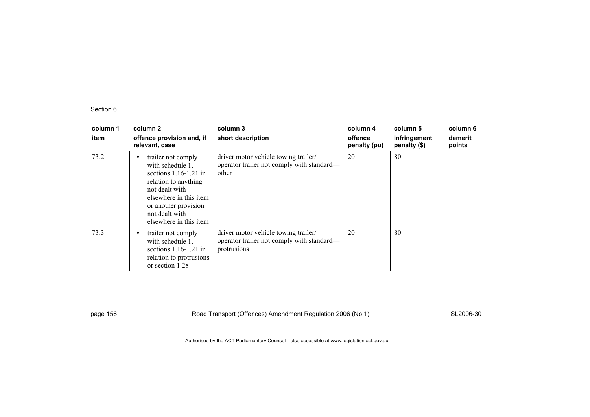| column 1<br>item | column 2<br>offence provision and, if<br>relevant, case                                                                                                                                                        | column 3<br>short description                                                                     | column 4<br>offence<br>penalty (pu) | column 5<br>infringement<br>penalty (\$) | column 6<br>demerit<br>points |
|------------------|----------------------------------------------------------------------------------------------------------------------------------------------------------------------------------------------------------------|---------------------------------------------------------------------------------------------------|-------------------------------------|------------------------------------------|-------------------------------|
| 73.2             | trailer not comply<br>٠<br>with schedule 1.<br>sections $1.16-1.21$ in<br>relation to anything<br>not dealt with<br>elsewhere in this item<br>or another provision<br>not dealt with<br>elsewhere in this item | driver motor vehicle towing trailer/<br>operator trailer not comply with standard—<br>other       | 20                                  | 80                                       |                               |
| 73.3             | trailer not comply<br>٠<br>with schedule 1.<br>sections $1.16-1.21$ in<br>relation to protrusions<br>or section 1.28                                                                                           | driver motor vehicle towing trailer/<br>operator trailer not comply with standard—<br>protrusions | 20                                  | 80                                       |                               |

page 156 **Road Transport (Offences) Amendment Regulation 2006 (No 1)** SL2006-30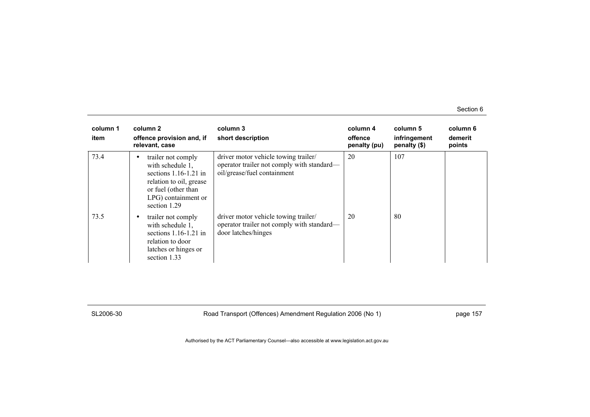| column 1<br>item | column 2<br>offence provision and, if<br>relevant, case                                                                                                         | column 3<br>short description                                                                                     | column 4<br>offence<br>penalty (pu) | column 5<br>infringement<br>penalty (\$) | column 6<br>demerit<br>points |
|------------------|-----------------------------------------------------------------------------------------------------------------------------------------------------------------|-------------------------------------------------------------------------------------------------------------------|-------------------------------------|------------------------------------------|-------------------------------|
| 73.4             | trailer not comply<br>٠<br>with schedule 1.<br>sections $1.16-1.21$ in<br>relation to oil, grease<br>or fuel (other than<br>LPG) containment or<br>section 1.29 | driver motor vehicle towing trailer/<br>operator trailer not comply with standard—<br>oil/grease/fuel containment | 20                                  | 107                                      |                               |
| 73.5             | trailer not comply<br>$\bullet$<br>with schedule 1.<br>sections $1.16-1.21$ in<br>relation to door<br>latches or hinges or<br>section 1.33                      | driver motor vehicle towing trailer/<br>operator trailer not comply with standard—<br>door latches/hinges         | 20                                  | 80                                       |                               |

SL2006-30 Road Transport (Offences) Amendment Regulation 2006 (No 1) page 157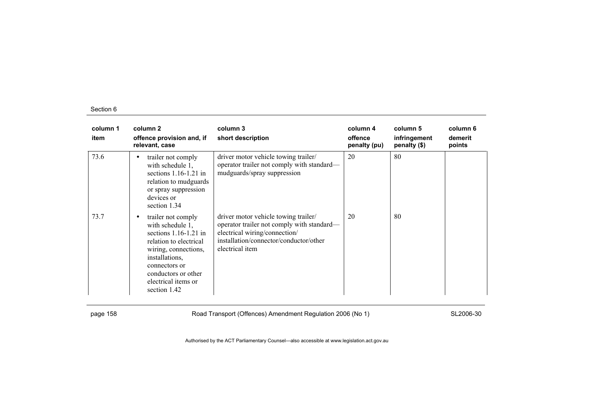| column 1<br>item | column 2<br>offence provision and, if<br>relevant, case                                                                                                                                                                           | column 3<br>short description                                                                                                                                                    | column 4<br>offence<br>penalty (pu) | column 5<br>infringement<br>penalty (\$) | column 6<br>demerit<br>points |
|------------------|-----------------------------------------------------------------------------------------------------------------------------------------------------------------------------------------------------------------------------------|----------------------------------------------------------------------------------------------------------------------------------------------------------------------------------|-------------------------------------|------------------------------------------|-------------------------------|
| 73.6             | trailer not comply<br>٠<br>with schedule 1,<br>sections $1.16-1.21$ in<br>relation to mudguards<br>or spray suppression<br>devices or<br>section 1.34                                                                             | driver motor vehicle towing trailer/<br>operator trailer not comply with standard—<br>mudguards/spray suppression                                                                | 20                                  | 80                                       |                               |
| 73.7             | trailer not comply<br>$\bullet$<br>with schedule 1.<br>sections $1.16-1.21$ in<br>relation to electrical<br>wiring, connections,<br>installations.<br>connectors or<br>conductors or other<br>electrical items or<br>section 1.42 | driver motor vehicle towing trailer/<br>operator trailer not comply with standard—<br>electrical wiring/connection/<br>installation/connector/conductor/other<br>electrical item | 20                                  | 80                                       |                               |

page 158 **Road Transport (Offences) Amendment Regulation 2006 (No 1)** SL2006-30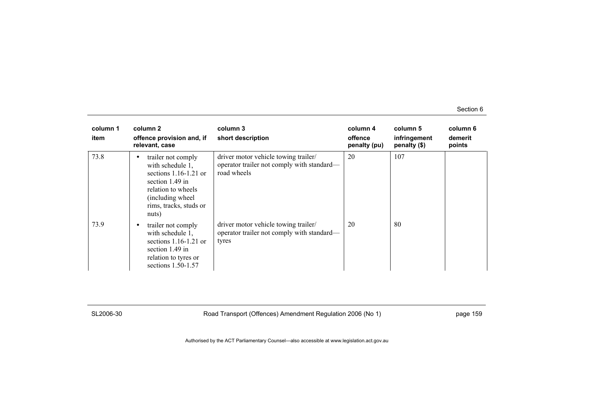| column 1<br>item | column 2<br>offence provision and, if<br>relevant, case                                                                                                                   | column 3<br>short description                                                                     | column 4<br>offence<br>penalty (pu) | column 5<br>infringement<br>penalty $(\$)$ | column 6<br>demerit<br>points |
|------------------|---------------------------------------------------------------------------------------------------------------------------------------------------------------------------|---------------------------------------------------------------------------------------------------|-------------------------------------|--------------------------------------------|-------------------------------|
| 73.8             | trailer not comply<br>٠<br>with schedule 1,<br>sections $1.16-1.21$ or<br>section $1.49$ in<br>relation to wheels<br>(including wheel)<br>rims, tracks, studs or<br>nuts) | driver motor vehicle towing trailer/<br>operator trailer not comply with standard—<br>road wheels | 20                                  | 107                                        |                               |
| 73.9             | trailer not comply<br>$\bullet$<br>with schedule 1.<br>sections $1.16-1.21$ or<br>section $1.49$ in<br>relation to tyres or<br>sections 1.50-1.57                         | driver motor vehicle towing trailer/<br>operator trailer not comply with standard—<br>tyres       | 20                                  | 80                                         |                               |

SL2006-30 Road Transport (Offences) Amendment Regulation 2006 (No 1) page 159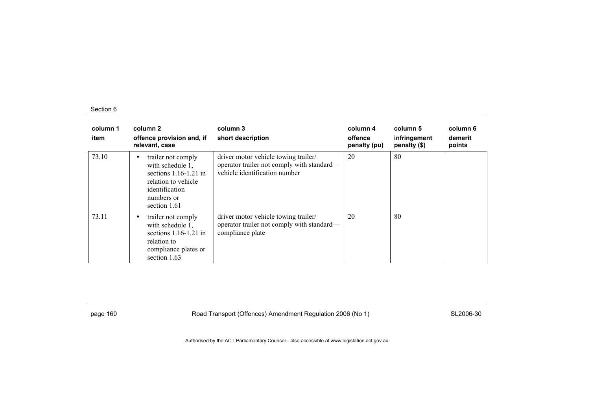| column 1<br>item | column 2<br>offence provision and, if<br>relevant, case                                                                                               | column 3<br>short description                                                                                       | column 4<br>offence<br>penalty (pu) | column 5<br>infringement<br>penalty (\$) | column 6<br>demerit<br>points |
|------------------|-------------------------------------------------------------------------------------------------------------------------------------------------------|---------------------------------------------------------------------------------------------------------------------|-------------------------------------|------------------------------------------|-------------------------------|
| 73.10            | trailer not comply<br>$\bullet$<br>with schedule 1.<br>sections $1.16-1.21$ in<br>relation to vehicle<br>identification<br>numbers or<br>section 1.61 | driver motor vehicle towing trailer/<br>operator trailer not comply with standard—<br>vehicle identification number | 20                                  | 80                                       |                               |
| 73.11            | trailer not comply<br>٠<br>with schedule 1,<br>sections $1.16-1.21$ in<br>relation to<br>compliance plates or<br>section 1.63                         | driver motor vehicle towing trailer/<br>operator trailer not comply with standard—<br>compliance plate              | 20                                  | 80                                       |                               |

page 160 **Road Transport (Offences) Amendment Regulation 2006 (No 1)** SL2006-30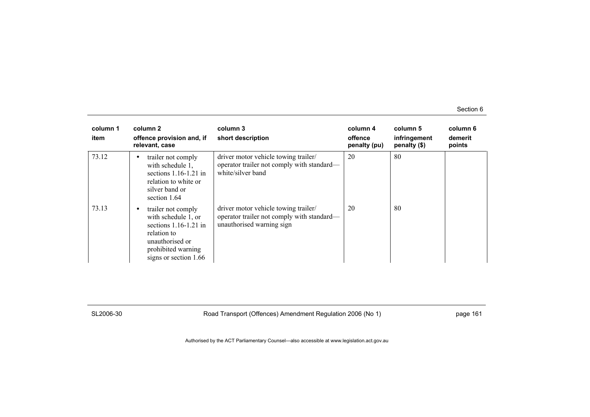| column 1<br>item | column 2<br>offence provision and, if<br>relevant, case                                                                                                    | column 3<br>short description                                                                                   | column 4<br>offence<br>penalty (pu) | column 5<br>infringement<br>penalty (\$) | column 6<br>demerit<br>points |
|------------------|------------------------------------------------------------------------------------------------------------------------------------------------------------|-----------------------------------------------------------------------------------------------------------------|-------------------------------------|------------------------------------------|-------------------------------|
| 73.12            | trailer not comply<br>$\bullet$<br>with schedule 1.<br>sections $1.16-1.21$ in<br>relation to white or<br>silver band or<br>section 1.64                   | driver motor vehicle towing trailer/<br>operator trailer not comply with standard—<br>white/silver band         | 20                                  | 80                                       |                               |
| 73.13            | trailer not comply<br>٠<br>with schedule 1, or<br>sections $1.16-1.21$ in<br>relation to<br>unauthorised or<br>prohibited warning<br>signs or section 1.66 | driver motor vehicle towing trailer/<br>operator trailer not comply with standard-<br>unauthorised warning sign | 20                                  | 80                                       |                               |

SL2006-30 Road Transport (Offences) Amendment Regulation 2006 (No 1) page 161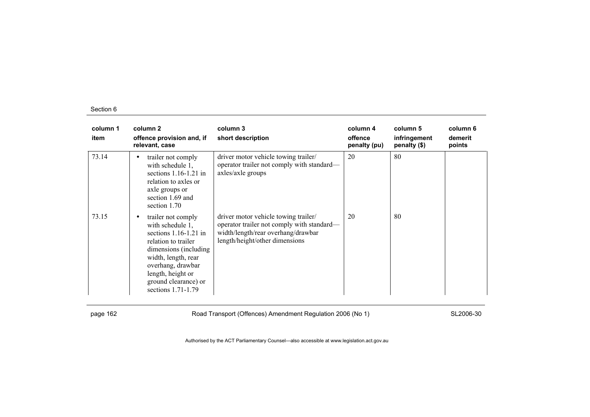| column 1<br>item | column 2<br>offence provision and, if<br>relevant, case                                                                                                                                                                                        | column 3<br>short description                                                                                                                              | column 4<br>offence<br>penalty (pu) | column 5<br>infringement<br>penalty (\$) | column 6<br>demerit<br>points |
|------------------|------------------------------------------------------------------------------------------------------------------------------------------------------------------------------------------------------------------------------------------------|------------------------------------------------------------------------------------------------------------------------------------------------------------|-------------------------------------|------------------------------------------|-------------------------------|
| 73.14            | trailer not comply<br>٠<br>with schedule 1,<br>sections $1.16-1.21$ in<br>relation to axles or<br>axle groups or<br>section 1.69 and<br>section 1.70                                                                                           | driver motor vehicle towing trailer/<br>operator trailer not comply with standard—<br>axles/axle groups                                                    | 20                                  | 80                                       |                               |
| 73.15            | trailer not comply<br>$\bullet$<br>with schedule 1.<br>sections $1.16-1.21$ in<br>relation to trailer<br>dimensions (including)<br>width, length, rear<br>overhang, drawbar<br>length, height or<br>ground clearance) or<br>sections 1.71-1.79 | driver motor vehicle towing trailer/<br>operator trailer not comply with standard—<br>width/length/rear overhang/drawbar<br>length/height/other dimensions | 20                                  | 80                                       |                               |

page 162 **Road Transport (Offences) Amendment Regulation 2006 (No 1)** SL2006-30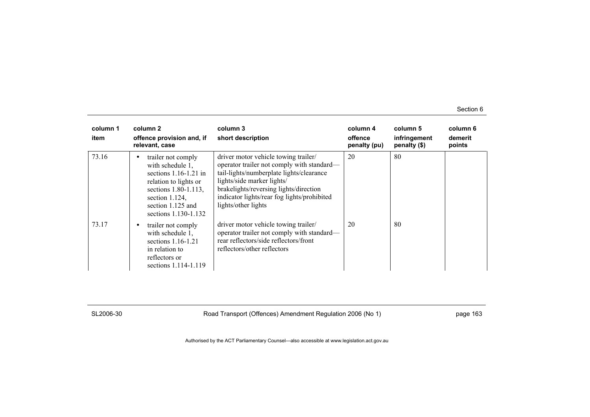| column 1<br>item | column 2<br>offence provision and, if<br>relevant, case                                                                                                                                   | column 3<br>short description                                                                                                                                                                                                                                                | column 4<br>offence<br>penalty (pu) | column 5<br>infringement<br>penalty $(\$)$ | column 6<br>demerit<br>points |
|------------------|-------------------------------------------------------------------------------------------------------------------------------------------------------------------------------------------|------------------------------------------------------------------------------------------------------------------------------------------------------------------------------------------------------------------------------------------------------------------------------|-------------------------------------|--------------------------------------------|-------------------------------|
| 73.16            | trailer not comply<br>٠<br>with schedule 1.<br>sections $1.16-1.21$ in<br>relation to lights or<br>sections 1.80-1.113,<br>section $1.124$ ,<br>section 1.125 and<br>sections 1.130-1.132 | driver motor vehicle towing trailer/<br>operator trailer not comply with standard—<br>tail-lights/numberplate lights/clearance<br>lights/side marker lights/<br>brakelights/reversing lights/direction<br>indicator lights/rear fog lights/prohibited<br>lights/other lights | 20                                  | 80                                         |                               |
| 73.17            | trailer not comply<br>with schedule 1.<br>sections 1.16-1.21<br>in relation to<br>reflectors or<br>sections 1.114-1.119                                                                   | driver motor vehicle towing trailer/<br>operator trailer not comply with standard—<br>rear reflectors/side reflectors/front<br>reflectors/other reflectors                                                                                                                   | 20                                  | -80                                        |                               |

SL2006-30 Road Transport (Offences) Amendment Regulation 2006 (No 1) page 163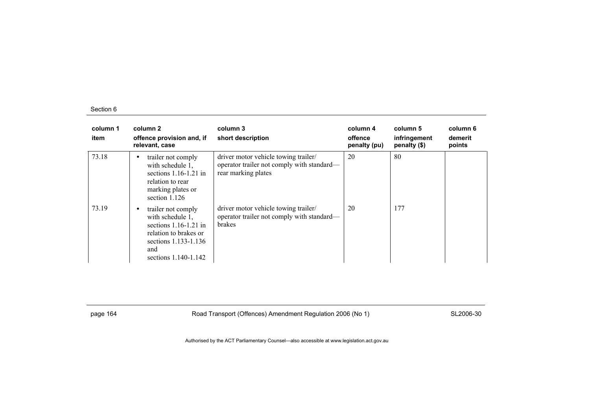| column 1<br>item | column 2<br>offence provision and, if<br>relevant, case                                                                                                  | column 3<br>short description                                                                             | column 4<br>offence<br>penalty (pu) | column 5<br>infringement<br>penalty (\$) | column 6<br>demerit<br>points |
|------------------|----------------------------------------------------------------------------------------------------------------------------------------------------------|-----------------------------------------------------------------------------------------------------------|-------------------------------------|------------------------------------------|-------------------------------|
| 73.18            | trailer not comply<br>$\bullet$<br>with schedule 1.<br>sections $1.16-1.21$ in<br>relation to rear<br>marking plates or<br>section 1.126                 | driver motor vehicle towing trailer/<br>operator trailer not comply with standard—<br>rear marking plates | 20                                  | 80                                       |                               |
| 73.19            | trailer not comply<br>٠<br>with schedule 1.<br>sections $1.16 - 1.21$ in<br>relation to brakes or<br>sections 1.133-1.136<br>and<br>sections 1.140-1.142 | driver motor vehicle towing trailer/<br>operator trailer not comply with standard—<br><b>brakes</b>       | 20                                  | 177                                      |                               |

page 164 **Road Transport (Offences) Amendment Regulation 2006 (No 1)** SL2006-30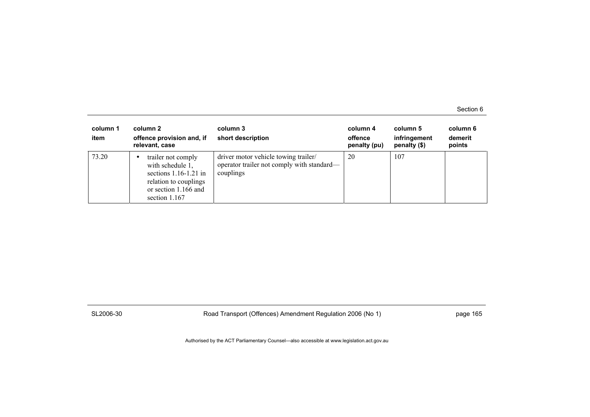| column 1<br>item | column 2<br>offence provision and, if<br>relevant, case                                                                             | column 3<br>short description                                                                   | column 4<br>offence<br>penalty (pu) | column 5<br>infringement<br>penalty $(\$)$ | column 6<br>demerit<br>points |
|------------------|-------------------------------------------------------------------------------------------------------------------------------------|-------------------------------------------------------------------------------------------------|-------------------------------------|--------------------------------------------|-------------------------------|
| 73.20            | trailer not comply<br>with schedule 1,<br>sections $1.16-1.21$ in<br>relation to couplings<br>or section 1.166 and<br>section 1.167 | driver motor vehicle towing trailer/<br>operator trailer not comply with standard—<br>couplings | 20                                  | 107                                        |                               |

SL2006-30 Road Transport (Offences) Amendment Regulation 2006 (No 1) page 165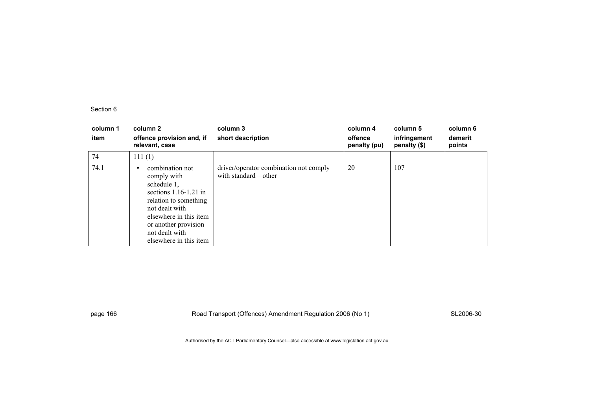| column 1<br>item | column 2<br>offence provision and, if<br>relevant, case                                                                                                                                                           | column 3<br>short description                                 | column 4<br>offence<br>penalty (pu) | column 5<br>infringement<br>penalty (\$) | column 6<br>demerit<br>points |
|------------------|-------------------------------------------------------------------------------------------------------------------------------------------------------------------------------------------------------------------|---------------------------------------------------------------|-------------------------------------|------------------------------------------|-------------------------------|
| 74               | 111(1)                                                                                                                                                                                                            |                                                               |                                     |                                          |                               |
| 74.1             | combination not<br>comply with<br>schedule 1,<br>sections $1.16-1.21$ in<br>relation to something<br>not dealt with<br>elsewhere in this item<br>or another provision<br>not dealt with<br>elsewhere in this item | driver/operator combination not comply<br>with standard—other | 20                                  | 107                                      |                               |

page 166 **Road Transport (Offences) Amendment Regulation 2006 (No 1)** SL2006-30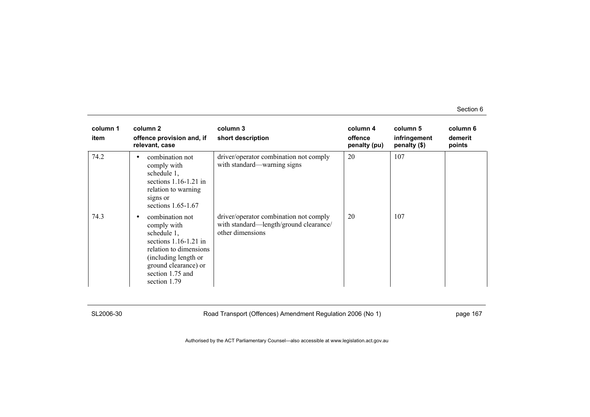| column 1<br>item | column 2<br>offence provision and, if<br>relevant, case                                                                                                                                     | column 3<br>short description                                                                        | column 4<br>offence<br>penalty (pu) | column 5<br>infringement<br>penalty (\$) | column 6<br>demerit<br>points |
|------------------|---------------------------------------------------------------------------------------------------------------------------------------------------------------------------------------------|------------------------------------------------------------------------------------------------------|-------------------------------------|------------------------------------------|-------------------------------|
| 74.2             | combination not<br>٠<br>comply with<br>schedule 1,<br>sections $1.16-1.21$ in<br>relation to warning<br>signs or<br>sections $1.65-1.67$                                                    | driver/operator combination not comply<br>with standard—warning signs                                | 20                                  | 107                                      |                               |
| 74.3             | combination not<br>٠<br>comply with<br>schedule 1,<br>sections $1.16-1.21$ in<br>relation to dimensions<br>(including length or<br>ground clearance) or<br>section 1.75 and<br>section 1.79 | driver/operator combination not comply<br>with standard—length/ground clearance/<br>other dimensions | 20                                  | 107                                      |                               |

SL2006-30 Road Transport (Offences) Amendment Regulation 2006 (No 1) page 167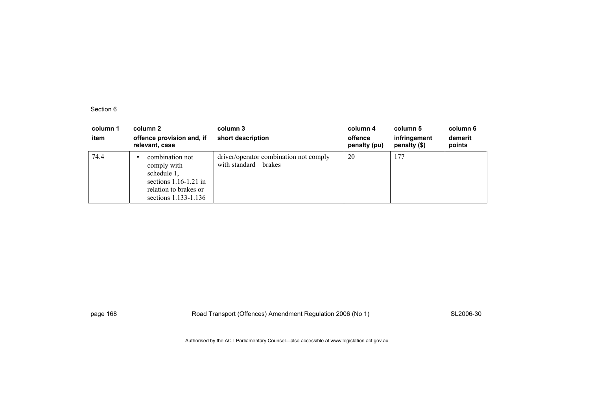| column 1<br>item | column 2<br>offence provision and, if<br>relevant, case                                                                   | column 3<br>short description                                  | column 4<br>offence<br>penalty (pu) | column 5<br>infringement<br>penalty (\$) | column 6<br>demerit<br>points |
|------------------|---------------------------------------------------------------------------------------------------------------------------|----------------------------------------------------------------|-------------------------------------|------------------------------------------|-------------------------------|
| 74.4             | combination not<br>comply with<br>schedule 1,<br>sections $1.16-1.21$ in<br>relation to brakes or<br>sections 1.133-1.136 | driver/operator combination not comply<br>with standard—brakes | 20                                  | 177                                      |                               |

page 168 **Road Transport (Offences) Amendment Regulation 2006 (No 1)** SL2006-30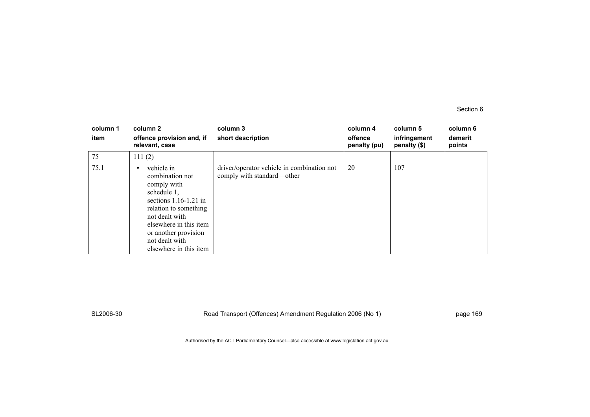| column 1<br>item | column 2<br>offence provision and, if<br>relevant, case                                                                                                                                                                              | column 3<br>short description                                            | column 4<br>offence<br>penalty (pu) | column 5<br>infringement<br>penalty (\$) | column 6<br>demerit<br>points |
|------------------|--------------------------------------------------------------------------------------------------------------------------------------------------------------------------------------------------------------------------------------|--------------------------------------------------------------------------|-------------------------------------|------------------------------------------|-------------------------------|
| 75               | 111(2)                                                                                                                                                                                                                               |                                                                          |                                     |                                          |                               |
| 75.1             | vehicle in<br>٠<br>combination not<br>comply with<br>schedule 1,<br>sections $1.16-1.21$ in<br>relation to something<br>not dealt with<br>elsewhere in this item<br>or another provision<br>not dealt with<br>elsewhere in this item | driver/operator vehicle in combination not<br>comply with standard—other | 20                                  | 107                                      |                               |

SL2006-30 Road Transport (Offences) Amendment Regulation 2006 (No 1) page 169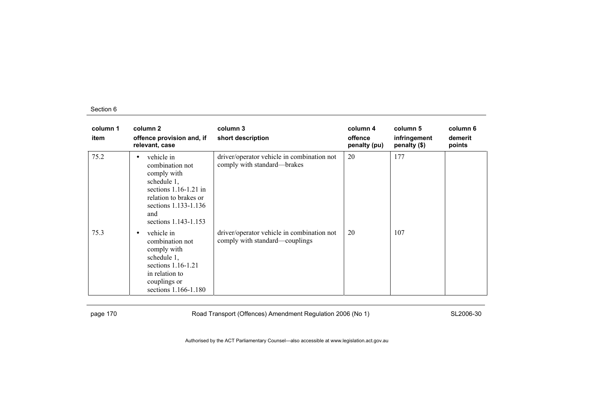| column 1<br>item | column 2<br>offence provision and, if<br>relevant, case                                                                                                                     | column 3<br>short description                                                | column 4<br>offence<br>penalty (pu) | column 5<br>infringement<br>penalty (\$) | column 6<br>demerit<br>points |
|------------------|-----------------------------------------------------------------------------------------------------------------------------------------------------------------------------|------------------------------------------------------------------------------|-------------------------------------|------------------------------------------|-------------------------------|
| 75.2             | vehicle in<br>٠<br>combination not<br>comply with<br>schedule 1,<br>sections $1.16-1.21$ in<br>relation to brakes or<br>sections 1.133-1.136<br>and<br>sections 1.143-1.153 | driver/operator vehicle in combination not<br>comply with standard—brakes    | 20                                  | 177                                      |                               |
| 75.3             | vehicle in<br>$\bullet$<br>combination not<br>comply with<br>schedule 1,<br>sections $1.16-1.21$<br>in relation to<br>couplings or<br>sections 1.166-1.180                  | driver/operator vehicle in combination not<br>comply with standard—couplings | 20                                  | 107                                      |                               |

page 170 **Road Transport (Offences) Amendment Regulation 2006 (No 1)** SL2006-30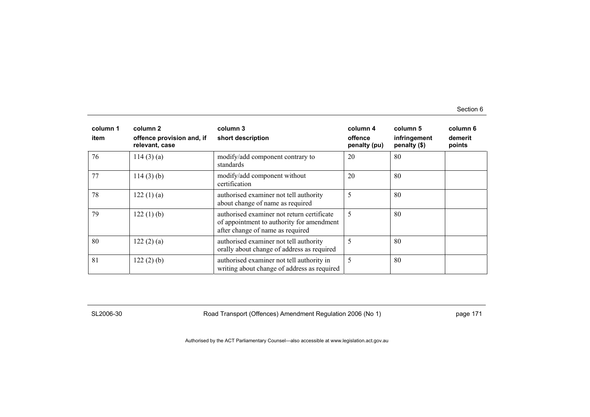| column 1<br>item | column 2<br>offence provision and, if<br>relevant, case | column 3<br>short description                                                                                               | column 4<br>offence<br>penalty (pu) | column 5<br>infringement<br>penalty (\$) | column 6<br>demerit<br>points |
|------------------|---------------------------------------------------------|-----------------------------------------------------------------------------------------------------------------------------|-------------------------------------|------------------------------------------|-------------------------------|
| 76               | 114(3)(a)                                               | modify/add component contrary to<br>standards                                                                               | 20                                  | 80                                       |                               |
| 77               | 114(3)(b)                                               | modify/add component without<br>certification                                                                               | 20                                  | 80                                       |                               |
| 78               | 122(1)(a)                                               | authorised examiner not tell authority<br>about change of name as required                                                  | 5                                   | 80                                       |                               |
| 79               | 122(1)(b)                                               | authorised examiner not return certificate<br>of appointment to authority for amendment<br>after change of name as required | 5                                   | 80                                       |                               |
| 80               | 122(2)(a)                                               | authorised examiner not tell authority<br>orally about change of address as required                                        | 5                                   | 80                                       |                               |
| 81               | 122(2)(b)                                               | authorised examiner not tell authority in<br>writing about change of address as required                                    | 5                                   | 80                                       |                               |

SL2006-30 Road Transport (Offences) Amendment Regulation 2006 (No 1) page 171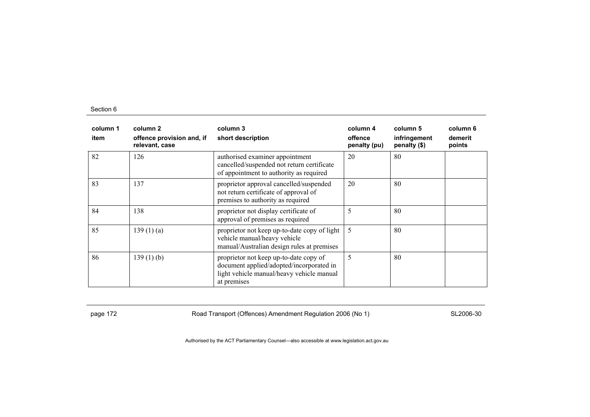| column 1<br>item | column 2<br>offence provision and, if<br>relevant, case | column 3<br>short description                                                                                                                  | column 4<br>offence<br>penalty (pu) | column 5<br>infringement<br>penalty (\$) | column 6<br>demerit<br>points |
|------------------|---------------------------------------------------------|------------------------------------------------------------------------------------------------------------------------------------------------|-------------------------------------|------------------------------------------|-------------------------------|
| 82               | 126                                                     | authorised examiner appointment<br>cancelled/suspended not return certificate<br>of appointment to authority as required                       | 20                                  | 80                                       |                               |
| 83               | 137                                                     | proprietor approval cancelled/suspended<br>not return certificate of approval of<br>premises to authority as required                          | 20                                  | 80                                       |                               |
| 84               | 138                                                     | proprietor not display certificate of<br>approval of premises as required                                                                      | 5                                   | 80                                       |                               |
| 85               | 139(1)(a)                                               | proprietor not keep up-to-date copy of light<br>vehicle manual/heavy vehicle<br>manual/Australian design rules at premises                     | 5                                   | 80                                       |                               |
| 86               | $139(1)$ (b)                                            | proprietor not keep up-to-date copy of<br>document applied/adopted/incorporated in<br>light vehicle manual/heavy vehicle manual<br>at premises | 5                                   | 80                                       |                               |

page 172 **Road Transport (Offences) Amendment Regulation 2006 (No 1)** SL2006-30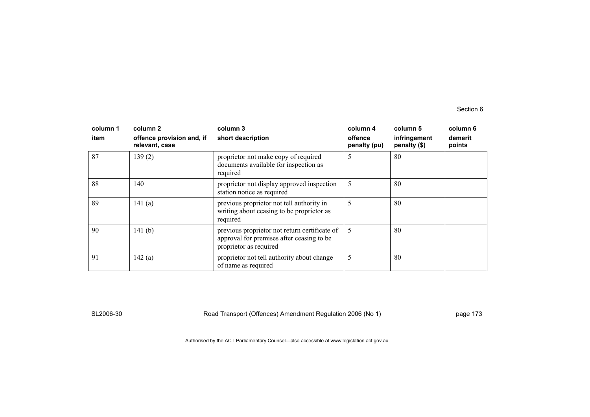| column 1<br>item | column 2<br>offence provision and, if<br>relevant, case | column 3<br>short description                                                                                        | column 4<br>offence<br>penalty (pu) | column 5<br>infringement<br>penalty (\$) | column 6<br>demerit<br>points |
|------------------|---------------------------------------------------------|----------------------------------------------------------------------------------------------------------------------|-------------------------------------|------------------------------------------|-------------------------------|
| 87               | 139(2)                                                  | proprietor not make copy of required<br>documents available for inspection as<br>required                            | 5                                   | 80                                       |                               |
| 88               | 140                                                     | proprietor not display approved inspection<br>station notice as required                                             | 5                                   | 80                                       |                               |
| 89               | 141(a)                                                  | previous proprietor not tell authority in<br>writing about ceasing to be proprietor as<br>required                   | 5                                   | 80                                       |                               |
| 90               | 141 $(b)$                                               | previous proprietor not return certificate of<br>approval for premises after ceasing to be<br>proprietor as required | 5                                   | 80                                       |                               |
| 91               | 142(a)                                                  | proprietor not tell authority about change<br>of name as required                                                    | 5                                   | 80                                       |                               |

SL2006-30 Road Transport (Offences) Amendment Regulation 2006 (No 1) page 173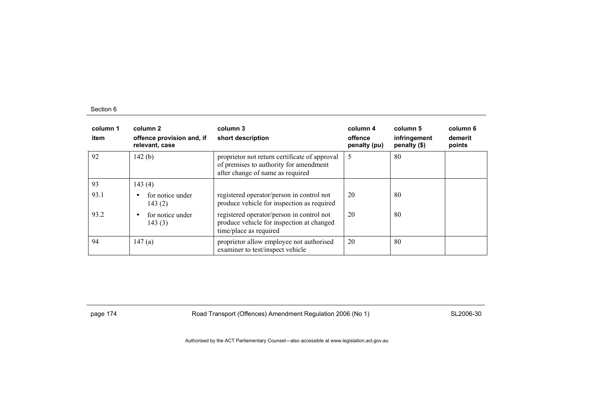| column 1<br>item | column 2<br>offence provision and, if<br>relevant, case | column 3<br>short description                                                                                               | column 4<br>offence<br>penalty (pu) | column 5<br>infringement<br>penalty (\$) | column 6<br>demerit<br>points |
|------------------|---------------------------------------------------------|-----------------------------------------------------------------------------------------------------------------------------|-------------------------------------|------------------------------------------|-------------------------------|
| 92               | 142 $(b)$                                               | proprietor not return certificate of approval<br>of premises to authority for amendment<br>after change of name as required | 5                                   | 80                                       |                               |
| 93               | 143(4)                                                  |                                                                                                                             |                                     |                                          |                               |
| 93.1             | for notice under<br>$\bullet$<br>143(2)                 | registered operator/person in control not<br>produce vehicle for inspection as required                                     | 20                                  | -80                                      |                               |
| 93.2             | for notice under<br>$\bullet$<br>143(3)                 | registered operator/person in control not<br>produce vehicle for inspection at changed<br>time/place as required            | 20                                  | -80                                      |                               |
| 94               | 147(a)                                                  | proprietor allow employee not authorised<br>examiner to test/inspect vehicle                                                | 20                                  | -80                                      |                               |

page 174 **Road Transport (Offences) Amendment Regulation 2006 (No 1)** SL2006-30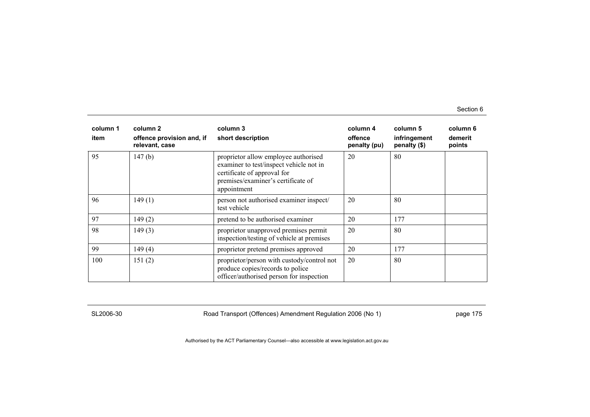| column 1<br>item | column 2<br>offence provision and, if<br>relevant, case | column 3<br>short description                                                                                                                                       | column 4<br>offence<br>penalty (pu) | column 5<br>infringement<br>penalty (\$) | column 6<br>demerit<br>points |
|------------------|---------------------------------------------------------|---------------------------------------------------------------------------------------------------------------------------------------------------------------------|-------------------------------------|------------------------------------------|-------------------------------|
| 95               | 147(b)                                                  | proprietor allow employee authorised<br>examiner to test/inspect vehicle not in<br>certificate of approval for<br>premises/examiner's certificate of<br>appointment | 20                                  | 80                                       |                               |
| 96               | 149(1)                                                  | person not authorised examiner inspect/<br>test vehicle                                                                                                             | 20                                  | 80                                       |                               |
| 97               | 149(2)                                                  | pretend to be authorised examiner                                                                                                                                   | 20                                  | 177                                      |                               |
| 98               | 149(3)                                                  | proprietor unapproved premises permit<br>inspection/testing of vehicle at premises                                                                                  | 20                                  | 80                                       |                               |
| 99               | 149(4)                                                  | proprietor pretend premises approved                                                                                                                                | 20                                  | 177                                      |                               |
| 100              | 151(2)                                                  | proprietor/person with custody/control not<br>produce copies/records to police<br>officer/authorised person for inspection                                          | 20                                  | 80                                       |                               |

SL2006-30 Road Transport (Offences) Amendment Regulation 2006 (No 1) page 175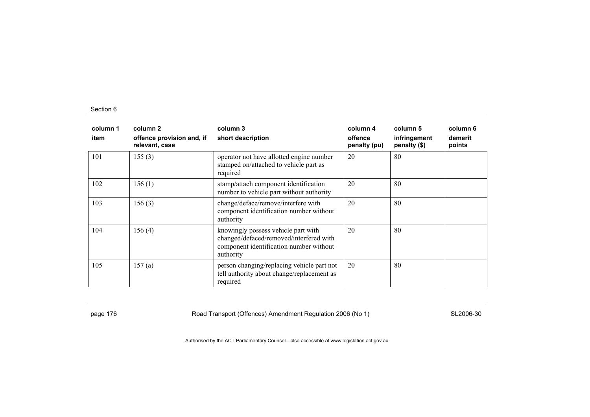| column 1<br>item | column 2<br>offence provision and, if<br>relevant, case | column 3<br>short description                                                                                                          | column 4<br>offence<br>penalty (pu) | column 5<br>infringement<br>penalty (\$) | column 6<br>demerit<br>points |
|------------------|---------------------------------------------------------|----------------------------------------------------------------------------------------------------------------------------------------|-------------------------------------|------------------------------------------|-------------------------------|
| 101              | 155(3)                                                  | operator not have allotted engine number<br>stamped on/attached to vehicle part as<br>required                                         | 20                                  | 80                                       |                               |
| 102              | 156(1)                                                  | stamp/attach component identification<br>number to vehicle part without authority                                                      | 20                                  | 80                                       |                               |
| 103              | 156(3)                                                  | change/deface/remove/interfere with<br>component identification number without<br>authority                                            | 20                                  | 80                                       |                               |
| 104              | 156(4)                                                  | knowingly possess vehicle part with<br>changed/defaced/removed/interfered with<br>component identification number without<br>authority | 20                                  | 80                                       |                               |
| 105              | 157(a)                                                  | person changing/replacing vehicle part not<br>tell authority about change/replacement as<br>required                                   | 20                                  | 80                                       |                               |

page 176 **Road Transport (Offences) Amendment Regulation 2006 (No 1)** SL2006-30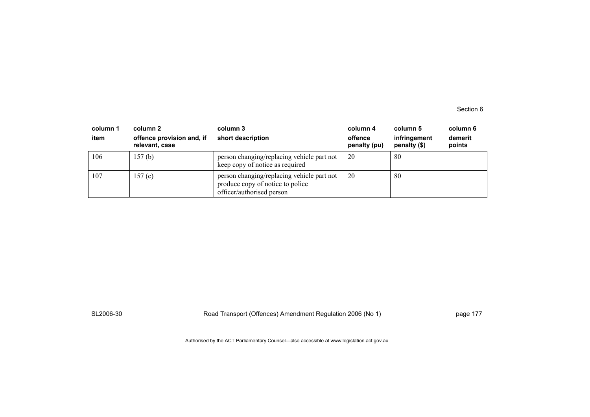Section 6

| column 1<br>item | column 2<br>offence provision and, if<br>relevant, case | column 3<br>short description                                                                               | column 4<br>offence<br>penalty (pu) | column 5<br>infringement<br>penalty $(\$)$ | column 6<br>demerit<br>points |
|------------------|---------------------------------------------------------|-------------------------------------------------------------------------------------------------------------|-------------------------------------|--------------------------------------------|-------------------------------|
| 106              | 157 <sub>(b)</sub>                                      | person changing/replacing vehicle part not<br>keep copy of notice as required                               | 20                                  | 80                                         |                               |
| 107              | 157(c)                                                  | person changing/replacing vehicle part not<br>produce copy of notice to police<br>officer/authorised person | 20                                  | 80                                         |                               |

SL2006-30 Road Transport (Offences) Amendment Regulation 2006 (No 1) page 177

Authorised by the ACT Parliamentary Counsel—also accessible at www.legislation.act.gov.au